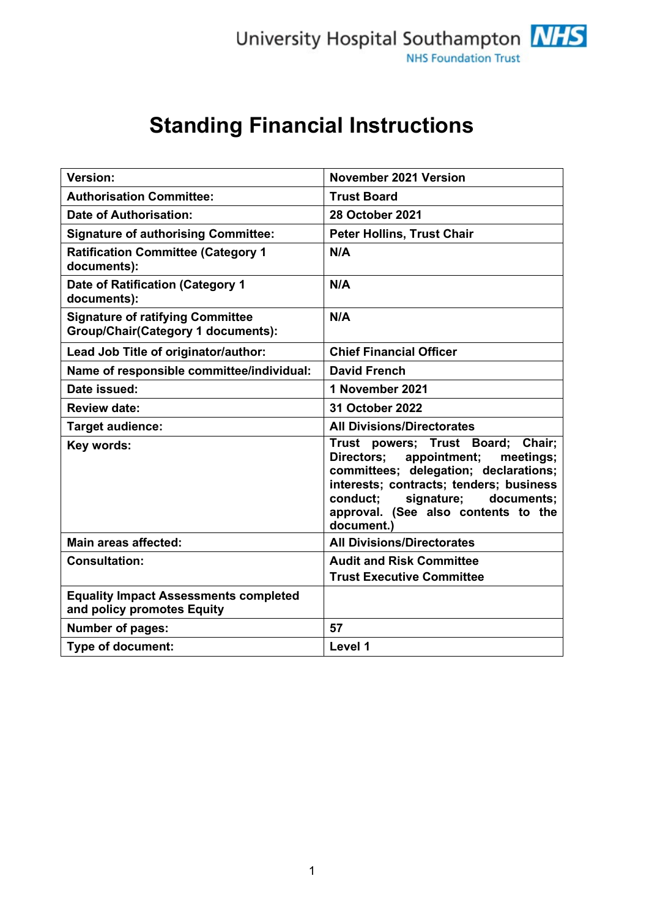# **Standing Financial Instructions**

| <b>Version:</b>                                                                      | <b>November 2021 Version</b>                                                                                                                                                                                                                                     |
|--------------------------------------------------------------------------------------|------------------------------------------------------------------------------------------------------------------------------------------------------------------------------------------------------------------------------------------------------------------|
| <b>Authorisation Committee:</b>                                                      | <b>Trust Board</b>                                                                                                                                                                                                                                               |
| <b>Date of Authorisation:</b>                                                        | <b>28 October 2021</b>                                                                                                                                                                                                                                           |
| <b>Signature of authorising Committee:</b>                                           | <b>Peter Hollins, Trust Chair</b>                                                                                                                                                                                                                                |
| <b>Ratification Committee (Category 1</b><br>documents):                             | N/A                                                                                                                                                                                                                                                              |
| Date of Ratification (Category 1<br>documents):                                      | N/A                                                                                                                                                                                                                                                              |
| <b>Signature of ratifying Committee</b><br><b>Group/Chair(Category 1 documents):</b> | N/A                                                                                                                                                                                                                                                              |
| Lead Job Title of originator/author:                                                 | <b>Chief Financial Officer</b>                                                                                                                                                                                                                                   |
| Name of responsible committee/individual:                                            | <b>David French</b>                                                                                                                                                                                                                                              |
| Date issued:                                                                         | 1 November 2021                                                                                                                                                                                                                                                  |
| <b>Review date:</b>                                                                  | 31 October 2022                                                                                                                                                                                                                                                  |
| Target audience:                                                                     | <b>All Divisions/Directorates</b>                                                                                                                                                                                                                                |
| Key words:                                                                           | Trust<br>powers; Trust Board; Chair;<br>appointment;<br>Directors;<br>meetings;<br>committees; delegation; declarations;<br>interests; contracts; tenders; business<br>signature;<br>conduct;<br>documents;<br>approval. (See also contents to the<br>document.) |
| <b>Main areas affected:</b>                                                          | <b>All Divisions/Directorates</b>                                                                                                                                                                                                                                |
| <b>Consultation:</b>                                                                 | <b>Audit and Risk Committee</b><br><b>Trust Executive Committee</b>                                                                                                                                                                                              |
| <b>Equality Impact Assessments completed</b><br>and policy promotes Equity           |                                                                                                                                                                                                                                                                  |
| <b>Number of pages:</b>                                                              | 57                                                                                                                                                                                                                                                               |
| Type of document:                                                                    | Level 1                                                                                                                                                                                                                                                          |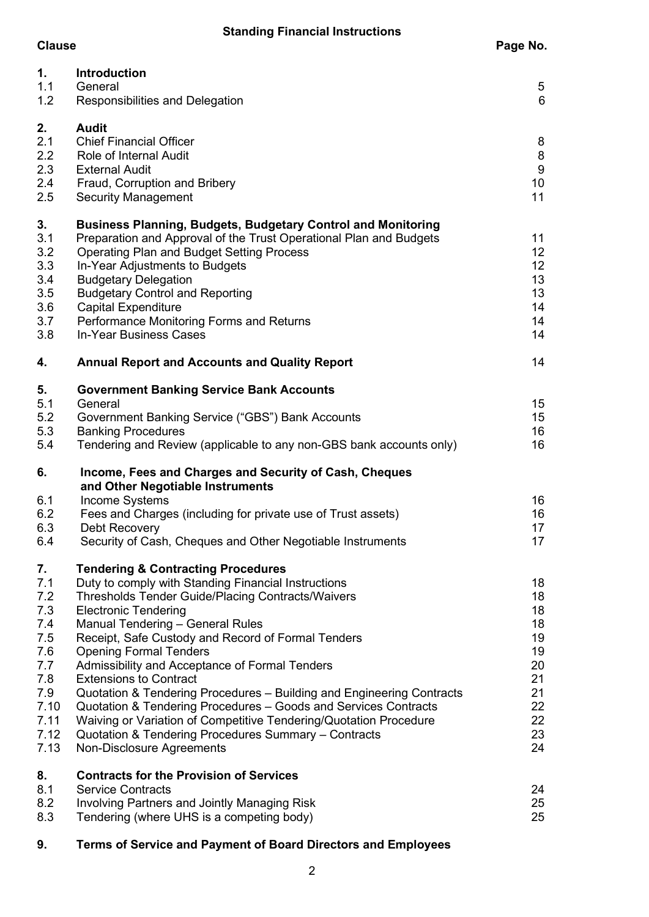| 1.<br>1.1<br>1.2                                                                                  | <b>Introduction</b><br>General<br>Responsibilities and Delegation                                                                                                                                                                                                                                                                                                                                                                                                                                                                                                                                                                                                                                            | 5<br>6                                                                     |
|---------------------------------------------------------------------------------------------------|--------------------------------------------------------------------------------------------------------------------------------------------------------------------------------------------------------------------------------------------------------------------------------------------------------------------------------------------------------------------------------------------------------------------------------------------------------------------------------------------------------------------------------------------------------------------------------------------------------------------------------------------------------------------------------------------------------------|----------------------------------------------------------------------------|
| 2.<br>2.1<br>2.2<br>2.3<br>2.4<br>2.5                                                             | <b>Audit</b><br><b>Chief Financial Officer</b><br>Role of Internal Audit<br><b>External Audit</b><br>Fraud, Corruption and Bribery<br><b>Security Management</b>                                                                                                                                                                                                                                                                                                                                                                                                                                                                                                                                             | 8<br>8<br>9<br>10<br>11                                                    |
| 3.<br>3.1<br>3.2<br>3.3<br>3.4<br>3.5<br>3.6<br>3.7<br>3.8                                        | <b>Business Planning, Budgets, Budgetary Control and Monitoring</b><br>Preparation and Approval of the Trust Operational Plan and Budgets<br><b>Operating Plan and Budget Setting Process</b><br>In-Year Adjustments to Budgets<br><b>Budgetary Delegation</b><br><b>Budgetary Control and Reporting</b><br><b>Capital Expenditure</b><br>Performance Monitoring Forms and Returns<br>In-Year Business Cases                                                                                                                                                                                                                                                                                                 | 11<br>12<br>12<br>13<br>13<br>14<br>14<br>14                               |
| 4.                                                                                                | <b>Annual Report and Accounts and Quality Report</b>                                                                                                                                                                                                                                                                                                                                                                                                                                                                                                                                                                                                                                                         | 14                                                                         |
| 5.<br>5.1<br>5.2<br>5.3<br>5.4<br>6.<br>6.1<br>6.2<br>6.3<br>6.4                                  | <b>Government Banking Service Bank Accounts</b><br>General<br>Government Banking Service ("GBS") Bank Accounts<br><b>Banking Procedures</b><br>Tendering and Review (applicable to any non-GBS bank accounts only)<br>Income, Fees and Charges and Security of Cash, Cheques<br>and Other Negotiable Instruments<br>Income Systems<br>Fees and Charges (including for private use of Trust assets)<br>Debt Recovery<br>Security of Cash, Cheques and Other Negotiable Instruments                                                                                                                                                                                                                            | 15<br>15<br>16<br>16<br>16<br>16<br>17<br>17                               |
| 7.<br>7.1<br>7.2<br>7.3<br>7.4<br>7.5<br>7.6<br>7.7<br>7.8<br>7.9<br>7.10<br>7.11<br>7.12<br>7.13 | <b>Tendering &amp; Contracting Procedures</b><br>Duty to comply with Standing Financial Instructions<br>Thresholds Tender Guide/Placing Contracts/Waivers<br><b>Electronic Tendering</b><br>Manual Tendering - General Rules<br>Receipt, Safe Custody and Record of Formal Tenders<br><b>Opening Formal Tenders</b><br>Admissibility and Acceptance of Formal Tenders<br><b>Extensions to Contract</b><br>Quotation & Tendering Procedures - Building and Engineering Contracts<br>Quotation & Tendering Procedures - Goods and Services Contracts<br>Waiving or Variation of Competitive Tendering/Quotation Procedure<br>Quotation & Tendering Procedures Summary - Contracts<br>Non-Disclosure Agreements | 18<br>18<br>18<br>18<br>19<br>19<br>20<br>21<br>21<br>22<br>22<br>23<br>24 |
| 8.<br>8.1<br>8.2<br>8.3                                                                           | <b>Contracts for the Provision of Services</b><br><b>Service Contracts</b><br><b>Involving Partners and Jointly Managing Risk</b><br>Tendering (where UHS is a competing body)                                                                                                                                                                                                                                                                                                                                                                                                                                                                                                                               | 24<br>25<br>25                                                             |

**9. Terms of Service and Payment of Board Directors and Employees**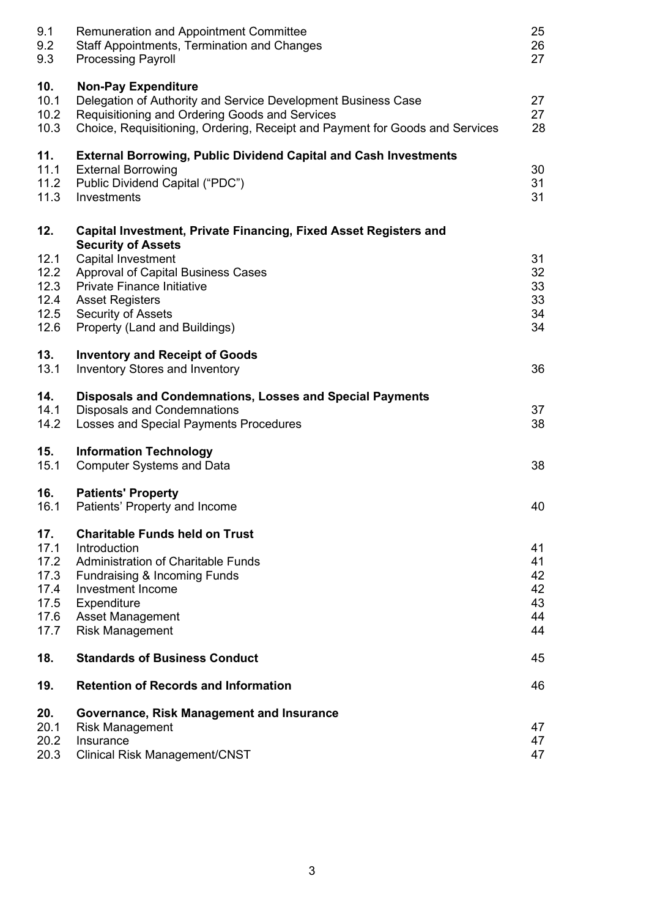| 9.1<br>9.2<br>9.3                                           | <b>Remuneration and Appointment Committee</b><br><b>Staff Appointments, Termination and Changes</b><br><b>Processing Payroll</b>                                                                                              | 25<br>26<br>27                         |
|-------------------------------------------------------------|-------------------------------------------------------------------------------------------------------------------------------------------------------------------------------------------------------------------------------|----------------------------------------|
| 10.<br>10.1<br>10.2<br>10.3                                 | <b>Non-Pay Expenditure</b><br>Delegation of Authority and Service Development Business Case<br>Requisitioning and Ordering Goods and Services<br>Choice, Requisitioning, Ordering, Receipt and Payment for Goods and Services | 27<br>27<br>28                         |
| 11.<br>11.1<br>11.2<br>11.3                                 | <b>External Borrowing, Public Dividend Capital and Cash Investments</b><br><b>External Borrowing</b><br>Public Dividend Capital ("PDC")<br>Investments                                                                        | 30<br>31<br>31                         |
| 12.                                                         | Capital Investment, Private Financing, Fixed Asset Registers and<br><b>Security of Assets</b>                                                                                                                                 |                                        |
| 12.1<br>12.2<br>12.3<br>12.4<br>12.5<br>12.6                | Capital Investment<br>Approval of Capital Business Cases<br><b>Private Finance Initiative</b><br><b>Asset Registers</b><br>Security of Assets<br>Property (Land and Buildings)                                                | 31<br>32<br>33<br>33<br>34<br>34       |
| 13.<br>13.1                                                 | <b>Inventory and Receipt of Goods</b><br><b>Inventory Stores and Inventory</b>                                                                                                                                                | 36                                     |
| 14.<br>14.1<br>14.2                                         | <b>Disposals and Condemnations, Losses and Special Payments</b><br><b>Disposals and Condemnations</b><br>Losses and Special Payments Procedures                                                                               | 37<br>38                               |
| 15.<br>15.1                                                 | <b>Information Technology</b><br><b>Computer Systems and Data</b>                                                                                                                                                             | 38                                     |
| 16.<br>16.1                                                 | <b>Patients' Property</b><br>Patients' Property and Income                                                                                                                                                                    | 40                                     |
| 17.<br>17.1<br>17.2<br>17.3<br>17.4<br>17.5<br>17.6<br>17.7 | <b>Charitable Funds held on Trust</b><br>Introduction<br><b>Administration of Charitable Funds</b><br>Fundraising & Incoming Funds<br>Investment Income<br>Expenditure<br><b>Asset Management</b><br><b>Risk Management</b>   | 41<br>41<br>42<br>42<br>43<br>44<br>44 |
| 18.                                                         | <b>Standards of Business Conduct</b>                                                                                                                                                                                          | 45                                     |
| 19.                                                         | <b>Retention of Records and Information</b>                                                                                                                                                                                   | 46                                     |
| 20.<br>20.1<br>20.2<br>20.3                                 | Governance, Risk Management and Insurance<br><b>Risk Management</b><br>Insurance<br><b>Clinical Risk Management/CNST</b>                                                                                                      | 47<br>47<br>47                         |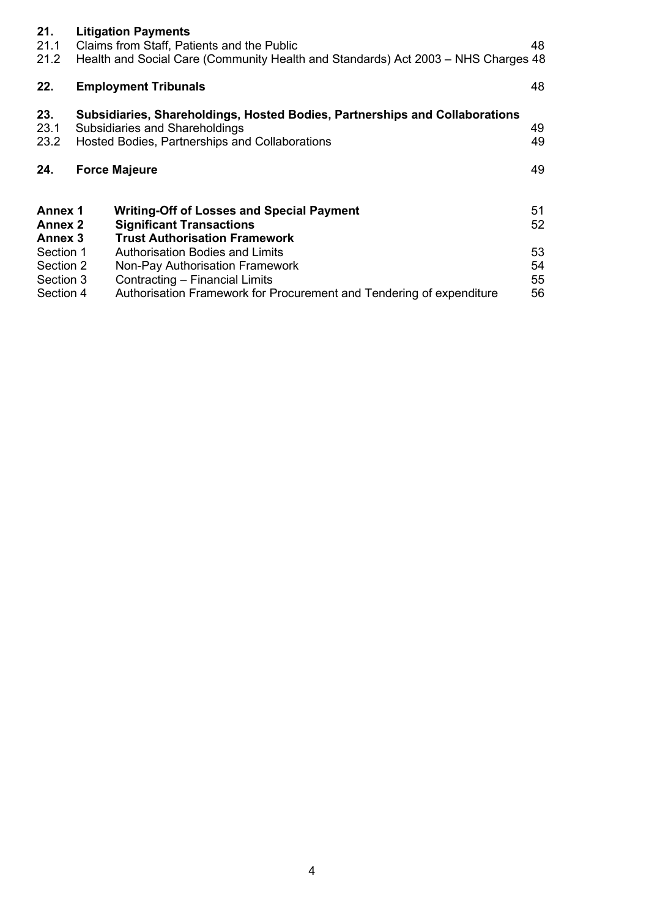| 21.<br>21.1<br>21.2                                      | <b>Litigation Payments</b><br>Claims from Staff, Patients and the Public<br>Health and Social Care (Community Health and Standards) Act 2003 – NHS Charges 48         | 48             |
|----------------------------------------------------------|-----------------------------------------------------------------------------------------------------------------------------------------------------------------------|----------------|
| 22.                                                      | <b>Employment Tribunals</b>                                                                                                                                           | 48             |
| 23.<br>23.1<br>23.2                                      | Subsidiaries, Shareholdings, Hosted Bodies, Partnerships and Collaborations<br>Subsidiaries and Shareholdings<br>Hosted Bodies, Partnerships and Collaborations       | 49<br>49       |
| 24.                                                      | <b>Force Majeure</b>                                                                                                                                                  | 49             |
| <b>Annex 1</b><br><b>Annex 2</b><br>Annex 3<br>Section 1 | <b>Writing-Off of Losses and Special Payment</b><br><b>Significant Transactions</b><br><b>Trust Authorisation Framework</b><br><b>Authorisation Bodies and Limits</b> | 51<br>52<br>53 |
| Section 2<br>Section 3<br>Section 4                      | Non-Pay Authorisation Framework<br>Contracting - Financial Limits<br>Authorisation Framework for Procurement and Tendering of expenditure                             | 54<br>55<br>56 |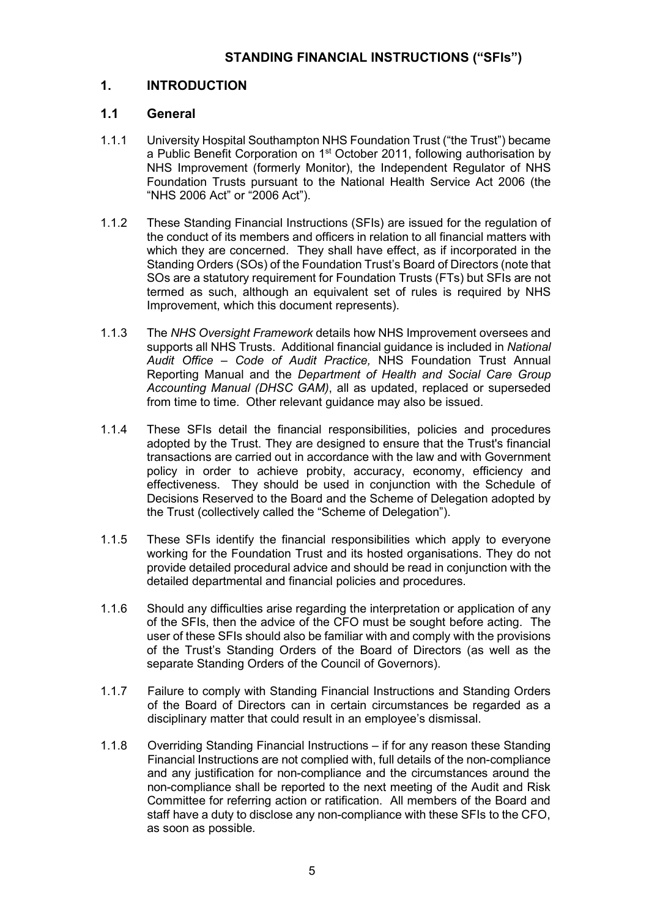# **1. INTRODUCTION**

# **1.1 General**

- 1.1.1 University Hospital Southampton NHS Foundation Trust ("the Trust") became a Public Benefit Corporation on  $1<sup>st</sup>$  October 2011, following authorisation by NHS Improvement (formerly Monitor), the Independent Regulator of NHS Foundation Trusts pursuant to the National Health Service Act 2006 (the "NHS 2006 Act" or "2006 Act").
- 1.1.2 These Standing Financial Instructions (SFIs) are issued for the regulation of the conduct of its members and officers in relation to all financial matters with which they are concerned. They shall have effect, as if incorporated in the Standing Orders (SOs) of the Foundation Trust's Board of Directors (note that SOs are a statutory requirement for Foundation Trusts (FTs) but SFIs are not termed as such, although an equivalent set of rules is required by NHS Improvement, which this document represents).
- 1.1.3 The *NHS Oversight Framework* details how NHS Improvement oversees and supports all NHS Trusts. Additional financial guidance is included in *National Audit Office – Code of Audit Practice,* NHS Foundation Trust Annual Reporting Manual and the *Department of Health and Social Care Group Accounting Manual (DHSC GAM)*, all as updated, replaced or superseded from time to time. Other relevant guidance may also be issued.
- 1.1.4 These SFIs detail the financial responsibilities, policies and procedures adopted by the Trust. They are designed to ensure that the Trust's financial transactions are carried out in accordance with the law and with Government policy in order to achieve probity, accuracy, economy, efficiency and effectiveness. They should be used in conjunction with the Schedule of Decisions Reserved to the Board and the Scheme of Delegation adopted by the Trust (collectively called the "Scheme of Delegation").
- 1.1.5 These SFIs identify the financial responsibilities which apply to everyone working for the Foundation Trust and its hosted organisations. They do not provide detailed procedural advice and should be read in conjunction with the detailed departmental and financial policies and procedures.
- 1.1.6 Should any difficulties arise regarding the interpretation or application of any of the SFIs, then the advice of the CFO must be sought before acting. The user of these SFIs should also be familiar with and comply with the provisions of the Trust's Standing Orders of the Board of Directors (as well as the separate Standing Orders of the Council of Governors).
- 1.1.7 Failure to comply with Standing Financial Instructions and Standing Orders of the Board of Directors can in certain circumstances be regarded as a disciplinary matter that could result in an employee's dismissal.
- 1.1.8 Overriding Standing Financial Instructions if for any reason these Standing Financial Instructions are not complied with, full details of the non-compliance and any justification for non-compliance and the circumstances around the non-compliance shall be reported to the next meeting of the Audit and Risk Committee for referring action or ratification. All members of the Board and staff have a duty to disclose any non-compliance with these SFIs to the CFO, as soon as possible.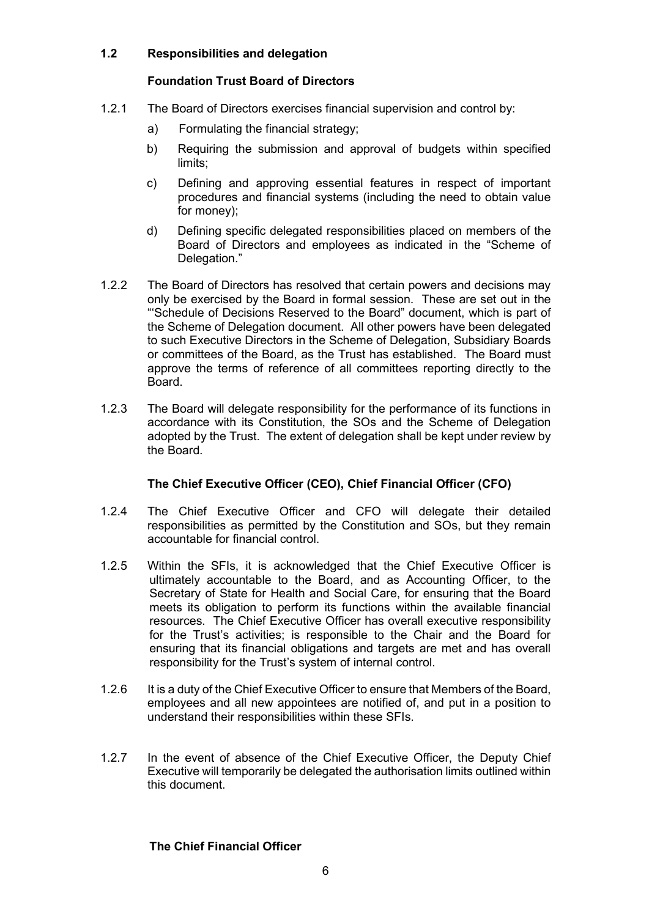## **1.2 Responsibilities and delegation**

## **Foundation Trust Board of Directors**

- 1.2.1 The Board of Directors exercises financial supervision and control by:
	- a) Formulating the financial strategy;
	- b) Requiring the submission and approval of budgets within specified limits;
	- c) Defining and approving essential features in respect of important procedures and financial systems (including the need to obtain value for money);
	- d) Defining specific delegated responsibilities placed on members of the Board of Directors and employees as indicated in the "Scheme of Delegation."
- 1.2.2 The Board of Directors has resolved that certain powers and decisions may only be exercised by the Board in formal session. These are set out in the "'Schedule of Decisions Reserved to the Board" document, which is part of the Scheme of Delegation document. All other powers have been delegated to such Executive Directors in the Scheme of Delegation, Subsidiary Boards or committees of the Board, as the Trust has established. The Board must approve the terms of reference of all committees reporting directly to the Board.
- 1.2.3 The Board will delegate responsibility for the performance of its functions in accordance with its Constitution, the SOs and the Scheme of Delegation adopted by the Trust. The extent of delegation shall be kept under review by the Board.

## **The Chief Executive Officer (CEO), Chief Financial Officer (CFO)**

- 1.2.4 The Chief Executive Officer and CFO will delegate their detailed responsibilities as permitted by the Constitution and SOs, but they remain accountable for financial control.
- 1.2.5 Within the SFIs, it is acknowledged that the Chief Executive Officer is ultimately accountable to the Board, and as Accounting Officer, to the Secretary of State for Health and Social Care, for ensuring that the Board meets its obligation to perform its functions within the available financial resources. The Chief Executive Officer has overall executive responsibility for the Trust's activities; is responsible to the Chair and the Board for ensuring that its financial obligations and targets are met and has overall responsibility for the Trust's system of internal control.
- 1.2.6 It is a duty of the Chief Executive Officer to ensure that Members of the Board, employees and all new appointees are notified of, and put in a position to understand their responsibilities within these SFIs.
- 1.2.7 In the event of absence of the Chief Executive Officer, the Deputy Chief Executive will temporarily be delegated the authorisation limits outlined within this document.

## **The Chief Financial Officer**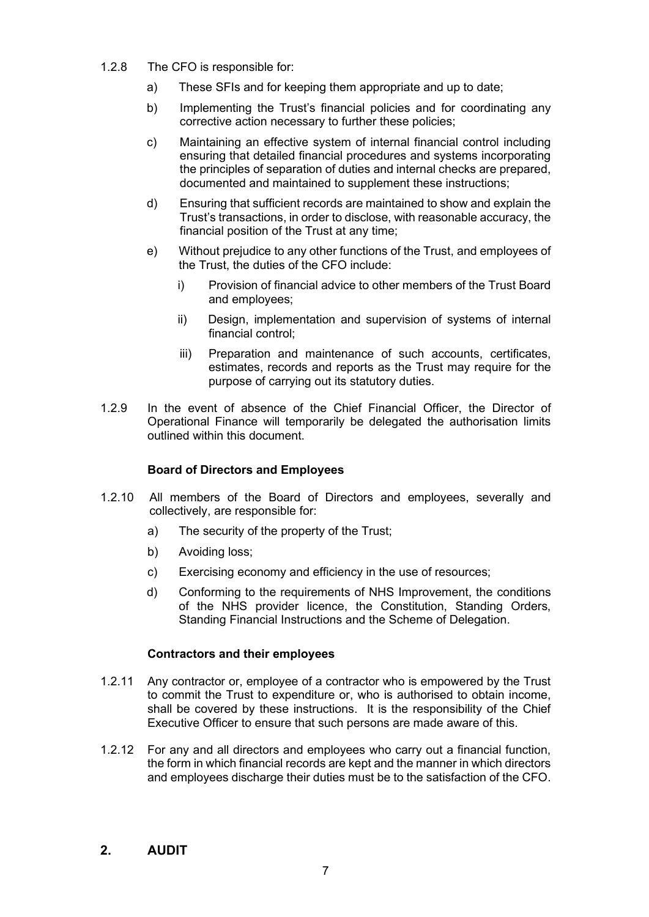- 1.2.8 The CFO is responsible for:
	- a) These SFIs and for keeping them appropriate and up to date;
	- b) Implementing the Trust's financial policies and for coordinating any corrective action necessary to further these policies;
	- c) Maintaining an effective system of internal financial control including ensuring that detailed financial procedures and systems incorporating the principles of separation of duties and internal checks are prepared, documented and maintained to supplement these instructions;
	- d) Ensuring that sufficient records are maintained to show and explain the Trust's transactions, in order to disclose, with reasonable accuracy, the financial position of the Trust at any time;
	- e) Without prejudice to any other functions of the Trust, and employees of the Trust, the duties of the CFO include:
		- i) Provision of financial advice to other members of the Trust Board and employees;
		- ii) Design, implementation and supervision of systems of internal financial control;
		- iii) Preparation and maintenance of such accounts, certificates, estimates, records and reports as the Trust may require for the purpose of carrying out its statutory duties.
- 1.2.9 In the event of absence of the Chief Financial Officer, the Director of Operational Finance will temporarily be delegated the authorisation limits outlined within this document.

## **Board of Directors and Employees**

- 1.2.10 All members of the Board of Directors and employees, severally and collectively, are responsible for:
	- a) The security of the property of the Trust;
	- b) Avoiding loss;
	- c) Exercising economy and efficiency in the use of resources;
	- d) Conforming to the requirements of NHS Improvement, the conditions of the NHS provider licence, the Constitution, Standing Orders, Standing Financial Instructions and the Scheme of Delegation.

#### **Contractors and their employees**

- 1.2.11 Any contractor or, employee of a contractor who is empowered by the Trust to commit the Trust to expenditure or, who is authorised to obtain income, shall be covered by these instructions. It is the responsibility of the Chief Executive Officer to ensure that such persons are made aware of this.
- 1.2.12 For any and all directors and employees who carry out a financial function, the form in which financial records are kept and the manner in which directors and employees discharge their duties must be to the satisfaction of the CFO.

## **2. AUDIT**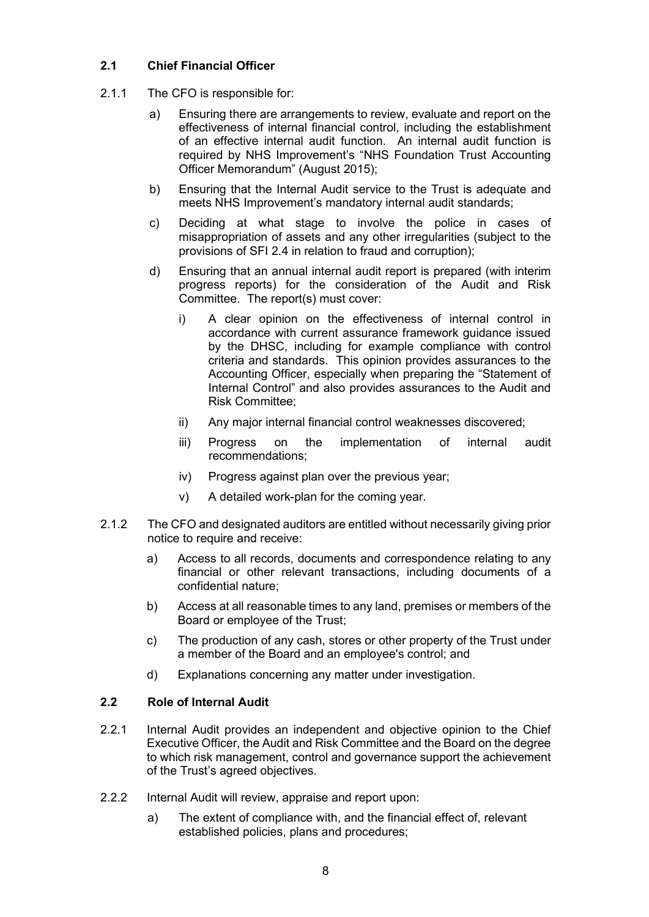## **2.1 Chief Financial Officer**

- 2.1.1 The CFO is responsible for:
	- a) Ensuring there are arrangements to review, evaluate and report on the effectiveness of internal financial control, including the establishment of an effective internal audit function. An internal audit function is required by NHS Improvement's "NHS Foundation Trust Accounting Officer Memorandum" (August 2015);
	- b) Ensuring that the Internal Audit service to the Trust is adequate and meets NHS Improvement's mandatory internal audit standards;
	- c) Deciding at what stage to involve the police in cases of misappropriation of assets and any other irregularities (subject to the provisions of SFI 2.4 in relation to fraud and corruption);
	- d) Ensuring that an annual internal audit report is prepared (with interim progress reports) for the consideration of the Audit and Risk Committee. The report(s) must cover:
		- i) A clear opinion on the effectiveness of internal control in accordance with current assurance framework guidance issued by the DHSC, including for example compliance with control criteria and standards. This opinion provides assurances to the Accounting Officer, especially when preparing the "Statement of Internal Control" and also provides assurances to the Audit and Risk Committee;
		- ii) Any major internal financial control weaknesses discovered;
		- iii) Progress on the implementation of internal audit recommendations;
		- iv) Progress against plan over the previous year;
		- v) A detailed work-plan for the coming year.
- 2.1.2 The CFO and designated auditors are entitled without necessarily giving prior notice to require and receive:
	- a) Access to all records, documents and correspondence relating to any financial or other relevant transactions, including documents of a confidential nature;
	- b) Access at all reasonable times to any land, premises or members of the Board or employee of the Trust;
	- c) The production of any cash, stores or other property of the Trust under a member of the Board and an employee's control; and
	- d) Explanations concerning any matter under investigation.

## **2.2 Role of Internal Audit**

- 2.2.1 Internal Audit provides an independent and objective opinion to the Chief Executive Officer, the Audit and Risk Committee and the Board on the degree to which risk management, control and governance support the achievement of the Trust's agreed objectives.
- 2.2.2 Internal Audit will review, appraise and report upon:
	- a) The extent of compliance with, and the financial effect of, relevant established policies, plans and procedures;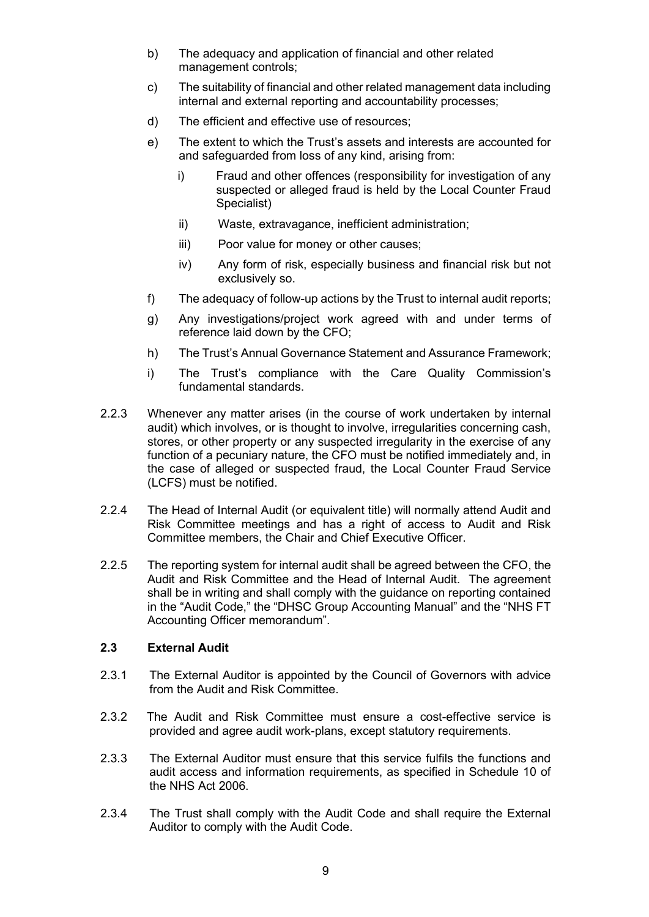- b) The adequacy and application of financial and other related management controls;
- c) The suitability of financial and other related management data including internal and external reporting and accountability processes;
- d) The efficient and effective use of resources;
- e) The extent to which the Trust's assets and interests are accounted for and safeguarded from loss of any kind, arising from:
	- i) Fraud and other offences (responsibility for investigation of any suspected or alleged fraud is held by the Local Counter Fraud Specialist)
	- ii) Waste, extravagance, inefficient administration;
	- iii) Poor value for money or other causes;
	- iv) Any form of risk, especially business and financial risk but not exclusively so.
- f) The adequacy of follow-up actions by the Trust to internal audit reports;
- g) Any investigations/project work agreed with and under terms of reference laid down by the CFO;
- h) The Trust's Annual Governance Statement and Assurance Framework;
- i) The Trust's compliance with the Care Quality Commission's fundamental standards.
- 2.2.3 Whenever any matter arises (in the course of work undertaken by internal audit) which involves, or is thought to involve, irregularities concerning cash, stores, or other property or any suspected irregularity in the exercise of any function of a pecuniary nature, the CFO must be notified immediately and, in the case of alleged or suspected fraud, the Local Counter Fraud Service (LCFS) must be notified.
- 2.2.4 The Head of Internal Audit (or equivalent title) will normally attend Audit and Risk Committee meetings and has a right of access to Audit and Risk Committee members, the Chair and Chief Executive Officer.
- 2.2.5 The reporting system for internal audit shall be agreed between the CFO, the Audit and Risk Committee and the Head of Internal Audit. The agreement shall be in writing and shall comply with the guidance on reporting contained in the "Audit Code," the "DHSC Group Accounting Manual" and the "NHS FT Accounting Officer memorandum".

#### **2.3 External Audit**

- 2.3.1 The External Auditor is appointed by the Council of Governors with advice from the Audit and Risk Committee.
- 2.3.2 The Audit and Risk Committee must ensure a cost-effective service is provided and agree audit work-plans, except statutory requirements.
- 2.3.3 The External Auditor must ensure that this service fulfils the functions and audit access and information requirements, as specified in Schedule 10 of the NHS Act 2006.
- 2.3.4 The Trust shall comply with the Audit Code and shall require the External Auditor to comply with the Audit Code.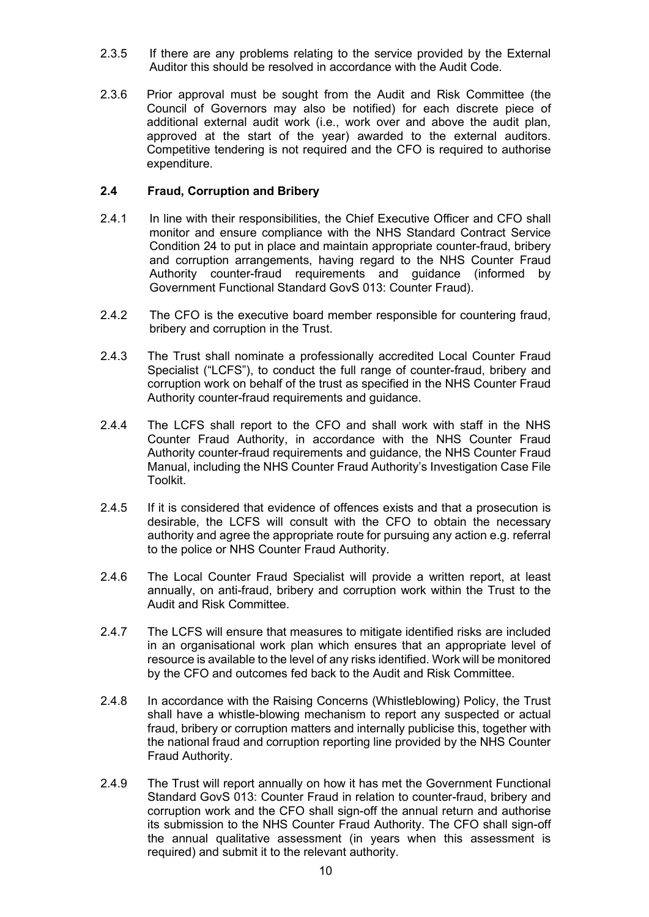- 2.3.5 If there are any problems relating to the service provided by the External Auditor this should be resolved in accordance with the Audit Code.
- 2.3.6 Prior approval must be sought from the Audit and Risk Committee (the Council of Governors may also be notified) for each discrete piece of additional external audit work (i.e., work over and above the audit plan, approved at the start of the year) awarded to the external auditors. Competitive tendering is not required and the CFO is required to authorise expenditure.

#### **2.4 Fraud, Corruption and Bribery**

- 2.4.1 In line with their responsibilities, the Chief Executive Officer and CFO shall monitor and ensure compliance with the NHS Standard Contract Service Condition 24 to put in place and maintain appropriate counter-fraud, bribery and corruption arrangements, having regard to the NHS Counter Fraud Authority counter-fraud requirements and guidance (informed by Government Functional Standard GovS 013: Counter Fraud).
- 2.4.2 The CFO is the executive board member responsible for countering fraud, bribery and corruption in the Trust.
- 2.4.3 The Trust shall nominate a professionally accredited Local Counter Fraud Specialist ("LCFS"), to conduct the full range of counter-fraud, bribery and corruption work on behalf of the trust as specified in the NHS Counter Fraud Authority counter-fraud requirements and guidance.
- 2.4.4 The LCFS shall report to the CFO and shall work with staff in the NHS Counter Fraud Authority, in accordance with the NHS Counter Fraud Authority counter-fraud requirements and guidance, the NHS Counter Fraud Manual, including the NHS Counter Fraud Authority's Investigation Case File Toolkit.
- 2.4.5 If it is considered that evidence of offences exists and that a prosecution is desirable, the LCFS will consult with the CFO to obtain the necessary authority and agree the appropriate route for pursuing any action e.g. referral to the police or NHS Counter Fraud Authority.
- 2.4.6 The Local Counter Fraud Specialist will provide a written report, at least annually, on anti-fraud, bribery and corruption work within the Trust to the Audit and Risk Committee.
- 2.4.7 The LCFS will ensure that measures to mitigate identified risks are included in an organisational work plan which ensures that an appropriate level of resource is available to the level of any risks identified. Work will be monitored by the CFO and outcomes fed back to the Audit and Risk Committee.
- 2.4.8 In accordance with the Raising Concerns (Whistleblowing) Policy, the Trust shall have a whistle-blowing mechanism to report any suspected or actual fraud, bribery or corruption matters and internally publicise this, together with the national fraud and corruption reporting line provided by the NHS Counter Fraud Authority.
- 2.4.9 The Trust will report annually on how it has met the Government Functional Standard GovS 013: Counter Fraud in relation to counter-fraud, bribery and corruption work and the CFO shall sign-off the annual return and authorise its submission to the NHS Counter Fraud Authority. The CFO shall sign-off the annual qualitative assessment (in years when this assessment is required) and submit it to the relevant authority.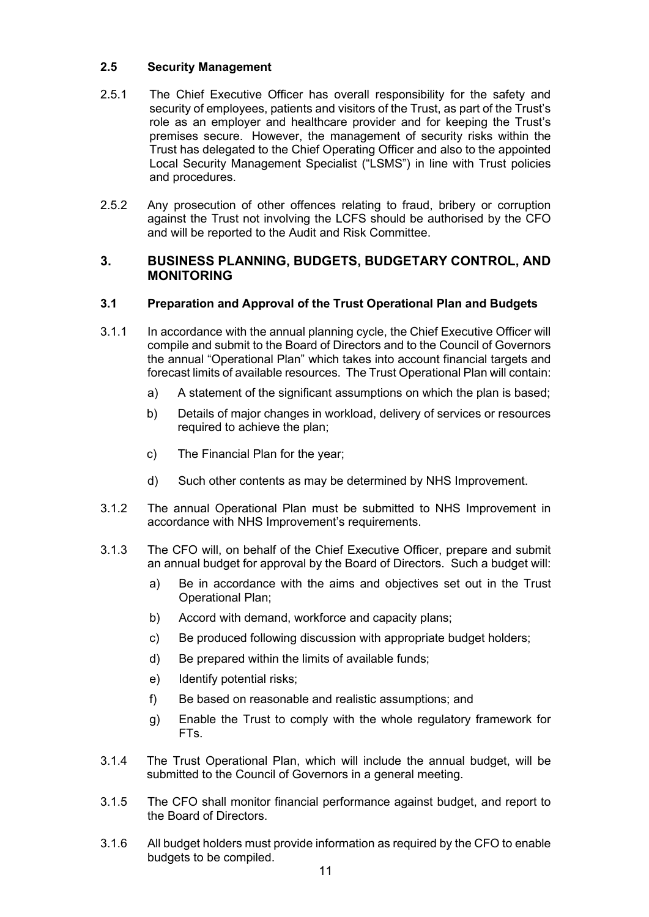## **2.5 Security Management**

- 2.5.1 The Chief Executive Officer has overall responsibility for the safety and security of employees, patients and visitors of the Trust, as part of the Trust's role as an employer and healthcare provider and for keeping the Trust's premises secure. However, the management of security risks within the Trust has delegated to the Chief Operating Officer and also to the appointed Local Security Management Specialist ("LSMS") in line with Trust policies and procedures.
- 2.5.2 Any prosecution of other offences relating to fraud, bribery or corruption against the Trust not involving the LCFS should be authorised by the CFO and will be reported to the Audit and Risk Committee.

## **3. BUSINESS PLANNING, BUDGETS, BUDGETARY CONTROL, AND MONITORING**

## **3.1 Preparation and Approval of the Trust Operational Plan and Budgets**

- 3.1.1 In accordance with the annual planning cycle, the Chief Executive Officer will compile and submit to the Board of Directors and to the Council of Governors the annual "Operational Plan" which takes into account financial targets and forecast limits of available resources. The Trust Operational Plan will contain:
	- a) A statement of the significant assumptions on which the plan is based;
	- b) Details of major changes in workload, delivery of services or resources required to achieve the plan;
	- c) The Financial Plan for the year;
	- d) Such other contents as may be determined by NHS Improvement.
- 3.1.2 The annual Operational Plan must be submitted to NHS Improvement in accordance with NHS Improvement's requirements.
- 3.1.3 The CFO will, on behalf of the Chief Executive Officer, prepare and submit an annual budget for approval by the Board of Directors. Such a budget will:
	- a) Be in accordance with the aims and objectives set out in the Trust Operational Plan;
	- b) Accord with demand, workforce and capacity plans;
	- c) Be produced following discussion with appropriate budget holders;
	- d) Be prepared within the limits of available funds;
	- e) Identify potential risks;
	- f) Be based on reasonable and realistic assumptions; and
	- g) Enable the Trust to comply with the whole regulatory framework for FTs.
- 3.1.4 The Trust Operational Plan, which will include the annual budget, will be submitted to the Council of Governors in a general meeting.
- 3.1.5 The CFO shall monitor financial performance against budget, and report to the Board of Directors.
- 3.1.6 All budget holders must provide information as required by the CFO to enable budgets to be compiled.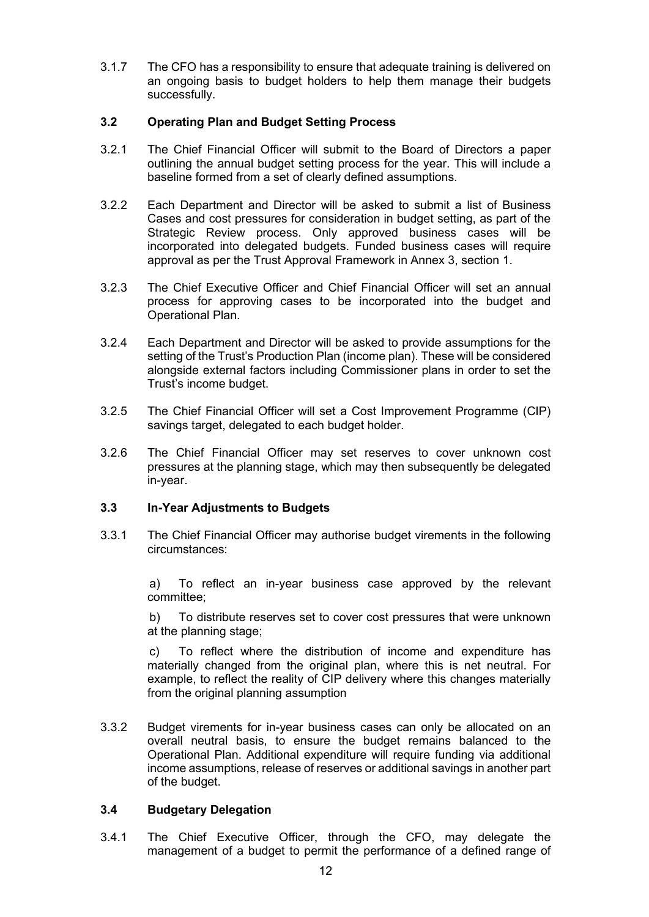3.1.7 The CFO has a responsibility to ensure that adequate training is delivered on an ongoing basis to budget holders to help them manage their budgets successfully.

## **3.2 Operating Plan and Budget Setting Process**

- 3.2.1 The Chief Financial Officer will submit to the Board of Directors a paper outlining the annual budget setting process for the year. This will include a baseline formed from a set of clearly defined assumptions.
- 3.2.2 Each Department and Director will be asked to submit a list of Business Cases and cost pressures for consideration in budget setting, as part of the Strategic Review process. Only approved business cases will be incorporated into delegated budgets. Funded business cases will require approval as per the Trust Approval Framework in Annex 3, section 1.
- 3.2.3 The Chief Executive Officer and Chief Financial Officer will set an annual process for approving cases to be incorporated into the budget and Operational Plan.
- 3.2.4 Each Department and Director will be asked to provide assumptions for the setting of the Trust's Production Plan (income plan). These will be considered alongside external factors including Commissioner plans in order to set the Trust's income budget.
- 3.2.5 The Chief Financial Officer will set a Cost Improvement Programme (CIP) savings target, delegated to each budget holder.
- 3.2.6 The Chief Financial Officer may set reserves to cover unknown cost pressures at the planning stage, which may then subsequently be delegated in-year.

## **3.3 In-Year Adjustments to Budgets**

3.3.1 The Chief Financial Officer may authorise budget virements in the following circumstances:

> a) To reflect an in-year business case approved by the relevant committee;

> b) To distribute reserves set to cover cost pressures that were unknown at the planning stage;

> c) To reflect where the distribution of income and expenditure has materially changed from the original plan, where this is net neutral. For example, to reflect the reality of CIP delivery where this changes materially from the original planning assumption

3.3.2 Budget virements for in-year business cases can only be allocated on an overall neutral basis, to ensure the budget remains balanced to the Operational Plan. Additional expenditure will require funding via additional income assumptions, release of reserves or additional savings in another part of the budget.

## **3.4 Budgetary Delegation**

3.4.1 The Chief Executive Officer, through the CFO, may delegate the management of a budget to permit the performance of a defined range of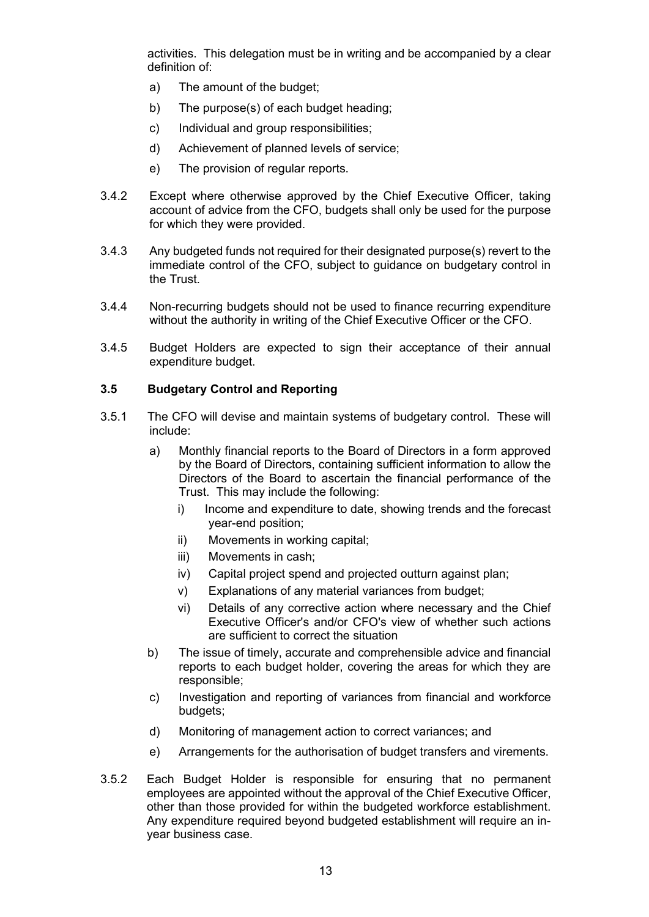activities. This delegation must be in writing and be accompanied by a clear definition of:

- a) The amount of the budget;
- b) The purpose(s) of each budget heading;
- c) Individual and group responsibilities;
- d) Achievement of planned levels of service;
- e) The provision of regular reports.
- 3.4.2 Except where otherwise approved by the Chief Executive Officer, taking account of advice from the CFO, budgets shall only be used for the purpose for which they were provided.
- 3.4.3 Any budgeted funds not required for their designated purpose(s) revert to the immediate control of the CFO, subject to guidance on budgetary control in the Trust.
- 3.4.4 Non-recurring budgets should not be used to finance recurring expenditure without the authority in writing of the Chief Executive Officer or the CFO.
- 3.4.5 Budget Holders are expected to sign their acceptance of their annual expenditure budget.

#### **3.5 Budgetary Control and Reporting**

- 3.5.1 The CFO will devise and maintain systems of budgetary control. These will include:
	- a) Monthly financial reports to the Board of Directors in a form approved by the Board of Directors, containing sufficient information to allow the Directors of the Board to ascertain the financial performance of the Trust. This may include the following:
		- i) Income and expenditure to date, showing trends and the forecast year-end position;
		- ii) Movements in working capital;
		- iii) Movements in cash;
		- iv) Capital project spend and projected outturn against plan;
		- v) Explanations of any material variances from budget;
		- vi) Details of any corrective action where necessary and the Chief Executive Officer's and/or CFO's view of whether such actions are sufficient to correct the situation
	- b) The issue of timely, accurate and comprehensible advice and financial reports to each budget holder, covering the areas for which they are responsible;
	- c) Investigation and reporting of variances from financial and workforce budgets;
	- d) Monitoring of management action to correct variances; and
	- e) Arrangements for the authorisation of budget transfers and virements.
- 3.5.2 Each Budget Holder is responsible for ensuring that no permanent employees are appointed without the approval of the Chief Executive Officer, other than those provided for within the budgeted workforce establishment. Any expenditure required beyond budgeted establishment will require an inyear business case.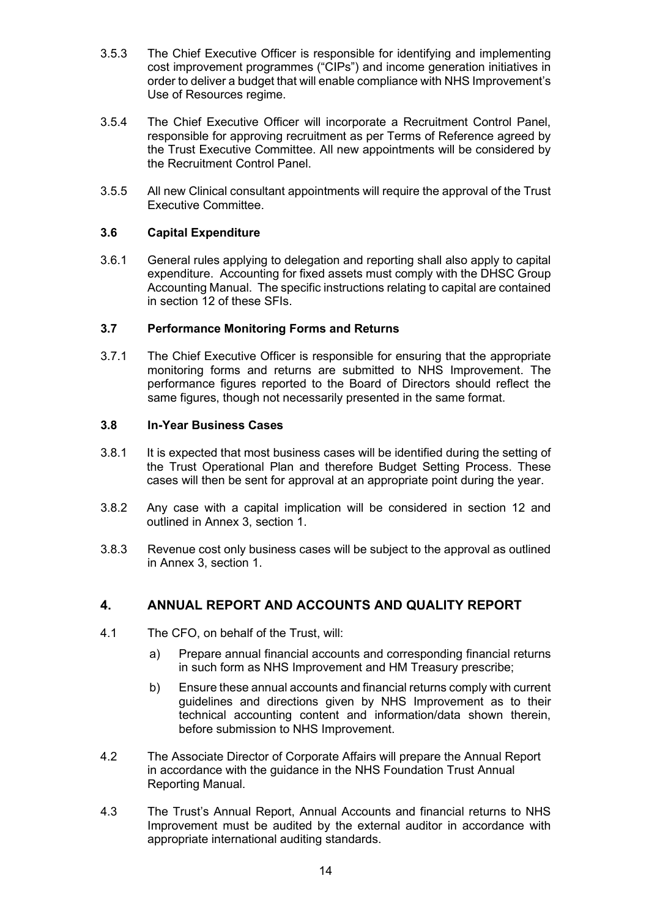- 3.5.3 The Chief Executive Officer is responsible for identifying and implementing cost improvement programmes ("CIPs") and income generation initiatives in order to deliver a budget that will enable compliance with NHS Improvement's Use of Resources regime.
- 3.5.4 The Chief Executive Officer will incorporate a Recruitment Control Panel, responsible for approving recruitment as per Terms of Reference agreed by the Trust Executive Committee. All new appointments will be considered by the Recruitment Control Panel.
- 3.5.5 All new Clinical consultant appointments will require the approval of the Trust Executive Committee.

## **3.6 Capital Expenditure**

3.6.1 General rules applying to delegation and reporting shall also apply to capital expenditure. Accounting for fixed assets must comply with the DHSC Group Accounting Manual. The specific instructions relating to capital are contained in section 12 of these SFIs.

## **3.7 Performance Monitoring Forms and Returns**

3.7.1 The Chief Executive Officer is responsible for ensuring that the appropriate monitoring forms and returns are submitted to NHS Improvement. The performance figures reported to the Board of Directors should reflect the same figures, though not necessarily presented in the same format.

## **3.8 In-Year Business Cases**

- 3.8.1 It is expected that most business cases will be identified during the setting of the Trust Operational Plan and therefore Budget Setting Process. These cases will then be sent for approval at an appropriate point during the year.
- 3.8.2 Any case with a capital implication will be considered in section 12 and outlined in Annex 3, section 1.
- 3.8.3 Revenue cost only business cases will be subject to the approval as outlined in Annex 3, section 1.

## **4. ANNUAL REPORT AND ACCOUNTS AND QUALITY REPORT**

- 4.1 The CFO, on behalf of the Trust, will:
	- a) Prepare annual financial accounts and corresponding financial returns in such form as NHS Improvement and HM Treasury prescribe;
	- b) Ensure these annual accounts and financial returns comply with current guidelines and directions given by NHS Improvement as to their technical accounting content and information/data shown therein, before submission to NHS Improvement.
- 4.2 The Associate Director of Corporate Affairs will prepare the Annual Report in accordance with the guidance in the NHS Foundation Trust Annual Reporting Manual.
- 4.3 The Trust's Annual Report, Annual Accounts and financial returns to NHS Improvement must be audited by the external auditor in accordance with appropriate international auditing standards.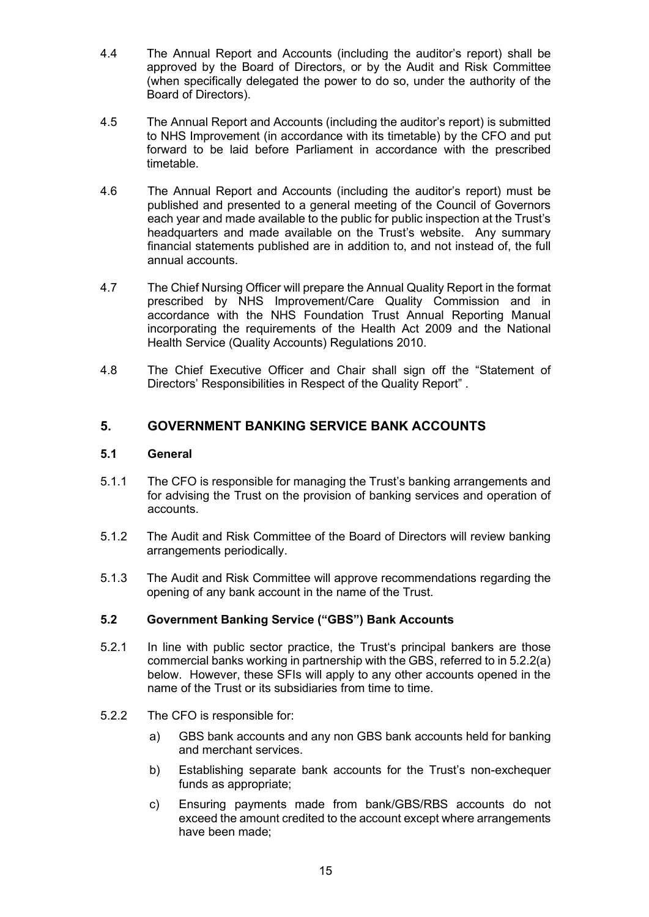- 4.4 The Annual Report and Accounts (including the auditor's report) shall be approved by the Board of Directors, or by the Audit and Risk Committee (when specifically delegated the power to do so, under the authority of the Board of Directors).
- 4.5 The Annual Report and Accounts (including the auditor's report) is submitted to NHS Improvement (in accordance with its timetable) by the CFO and put forward to be laid before Parliament in accordance with the prescribed timetable.
- 4.6 The Annual Report and Accounts (including the auditor's report) must be published and presented to a general meeting of the Council of Governors each year and made available to the public for public inspection at the Trust's headquarters and made available on the Trust's website. Any summary financial statements published are in addition to, and not instead of, the full annual accounts.
- 4.7 The Chief Nursing Officer will prepare the Annual Quality Report in the format prescribed by NHS Improvement/Care Quality Commission and in accordance with the NHS Foundation Trust Annual Reporting Manual incorporating the requirements of the Health Act 2009 and the National Health Service (Quality Accounts) Regulations 2010.
- 4.8 The Chief Executive Officer and Chair shall sign off the "Statement of Directors' Responsibilities in Respect of the Quality Report" .

## **5. GOVERNMENT BANKING SERVICE BANK ACCOUNTS**

#### **5.1 General**

- 5.1.1 The CFO is responsible for managing the Trust's banking arrangements and for advising the Trust on the provision of banking services and operation of accounts.
- 5.1.2 The Audit and Risk Committee of the Board of Directors will review banking arrangements periodically.
- 5.1.3 The Audit and Risk Committee will approve recommendations regarding the opening of any bank account in the name of the Trust.

## **5.2 Government Banking Service ("GBS") Bank Accounts**

- 5.2.1 In line with public sector practice, the Trust's principal bankers are those commercial banks working in partnership with the GBS, referred to in 5.2.2(a) below. However, these SFIs will apply to any other accounts opened in the name of the Trust or its subsidiaries from time to time.
- 5.2.2 The CFO is responsible for:
	- a) GBS bank accounts and any non GBS bank accounts held for banking and merchant services.
	- b) Establishing separate bank accounts for the Trust's non-exchequer funds as appropriate;
	- c) Ensuring payments made from bank/GBS/RBS accounts do not exceed the amount credited to the account except where arrangements have been made;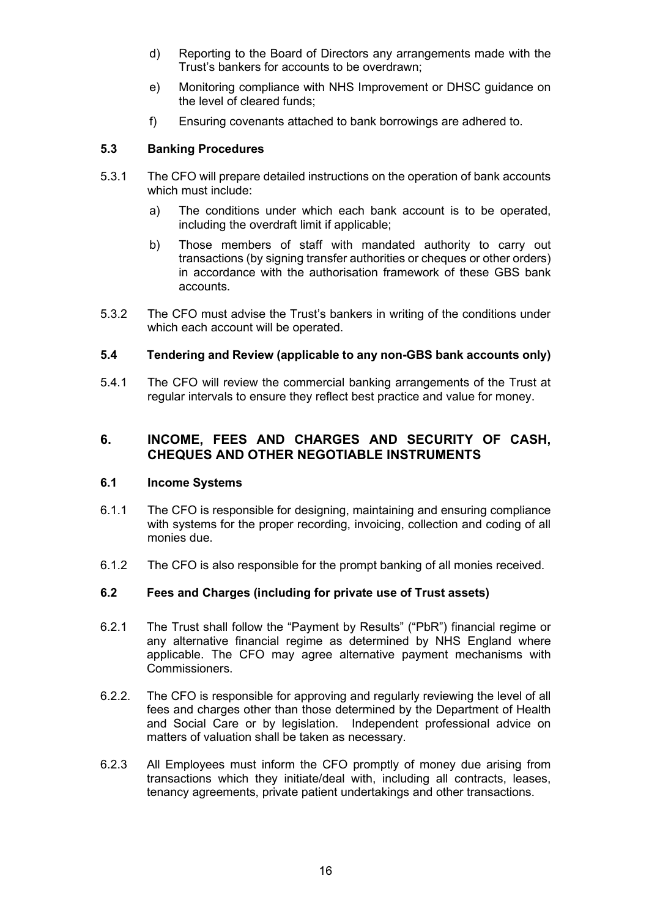- d) Reporting to the Board of Directors any arrangements made with the Trust's bankers for accounts to be overdrawn;
- e) Monitoring compliance with NHS Improvement or DHSC guidance on the level of cleared funds;
- f) Ensuring covenants attached to bank borrowings are adhered to.

## **5.3 Banking Procedures**

- 5.3.1 The CFO will prepare detailed instructions on the operation of bank accounts which must include:
	- a) The conditions under which each bank account is to be operated, including the overdraft limit if applicable;
	- b) Those members of staff with mandated authority to carry out transactions (by signing transfer authorities or cheques or other orders) in accordance with the authorisation framework of these GBS bank accounts.
- 5.3.2 The CFO must advise the Trust's bankers in writing of the conditions under which each account will be operated.

#### **5.4 Tendering and Review (applicable to any non-GBS bank accounts only)**

5.4.1 The CFO will review the commercial banking arrangements of the Trust at regular intervals to ensure they reflect best practice and value for money.

## **6. INCOME, FEES AND CHARGES AND SECURITY OF CASH, CHEQUES AND OTHER NEGOTIABLE INSTRUMENTS**

#### **6.1 Income Systems**

- 6.1.1 The CFO is responsible for designing, maintaining and ensuring compliance with systems for the proper recording, invoicing, collection and coding of all monies due.
- 6.1.2 The CFO is also responsible for the prompt banking of all monies received.

## **6.2 Fees and Charges (including for private use of Trust assets)**

- 6.2.1 The Trust shall follow the "Payment by Results" ("PbR") financial regime or any alternative financial regime as determined by NHS England where applicable. The CFO may agree alternative payment mechanisms with Commissioners.
- 6.2.2. The CFO is responsible for approving and regularly reviewing the level of all fees and charges other than those determined by the Department of Health and Social Care or by legislation. Independent professional advice on matters of valuation shall be taken as necessary.
- 6.2.3 All Employees must inform the CFO promptly of money due arising from transactions which they initiate/deal with, including all contracts, leases, tenancy agreements, private patient undertakings and other transactions.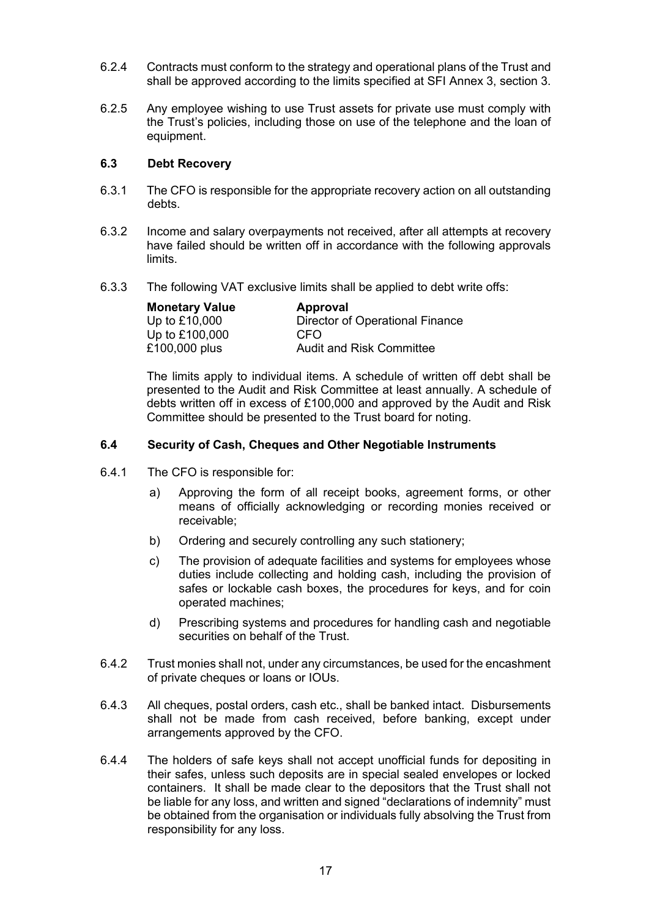- 6.2.4 Contracts must conform to the strategy and operational plans of the Trust and shall be approved according to the limits specified at SFI Annex 3, section 3.
- 6.2.5 Any employee wishing to use Trust assets for private use must comply with the Trust's policies, including those on use of the telephone and the loan of equipment.

#### **6.3 Debt Recovery**

- 6.3.1 The CFO is responsible for the appropriate recovery action on all outstanding debts.
- 6.3.2 Income and salary overpayments not received, after all attempts at recovery have failed should be written off in accordance with the following approvals limits.
- 6.3.3 The following VAT exclusive limits shall be applied to debt write offs:

| <b>Monetary Value</b> | Approval                        |
|-----------------------|---------------------------------|
| Up to £10,000         | Director of Operational Finance |
| Up to £100,000        | CEO                             |
| £100,000 plus         | <b>Audit and Risk Committee</b> |

The limits apply to individual items. A schedule of written off debt shall be presented to the Audit and Risk Committee at least annually. A schedule of debts written off in excess of £100,000 and approved by the Audit and Risk Committee should be presented to the Trust board for noting.

#### **6.4 Security of Cash, Cheques and Other Negotiable Instruments**

- 6.4.1 The CFO is responsible for:
	- a) Approving the form of all receipt books, agreement forms, or other means of officially acknowledging or recording monies received or receivable;
	- b) Ordering and securely controlling any such stationery;
	- c) The provision of adequate facilities and systems for employees whose duties include collecting and holding cash, including the provision of safes or lockable cash boxes, the procedures for keys, and for coin operated machines;
	- d) Prescribing systems and procedures for handling cash and negotiable securities on behalf of the Trust.
- 6.4.2 Trust monies shall not, under any circumstances, be used for the encashment of private cheques or loans or IOUs.
- 6.4.3 All cheques, postal orders, cash etc., shall be banked intact. Disbursements shall not be made from cash received, before banking, except under arrangements approved by the CFO.
- 6.4.4 The holders of safe keys shall not accept unofficial funds for depositing in their safes, unless such deposits are in special sealed envelopes or locked containers. It shall be made clear to the depositors that the Trust shall not be liable for any loss, and written and signed "declarations of indemnity" must be obtained from the organisation or individuals fully absolving the Trust from responsibility for any loss.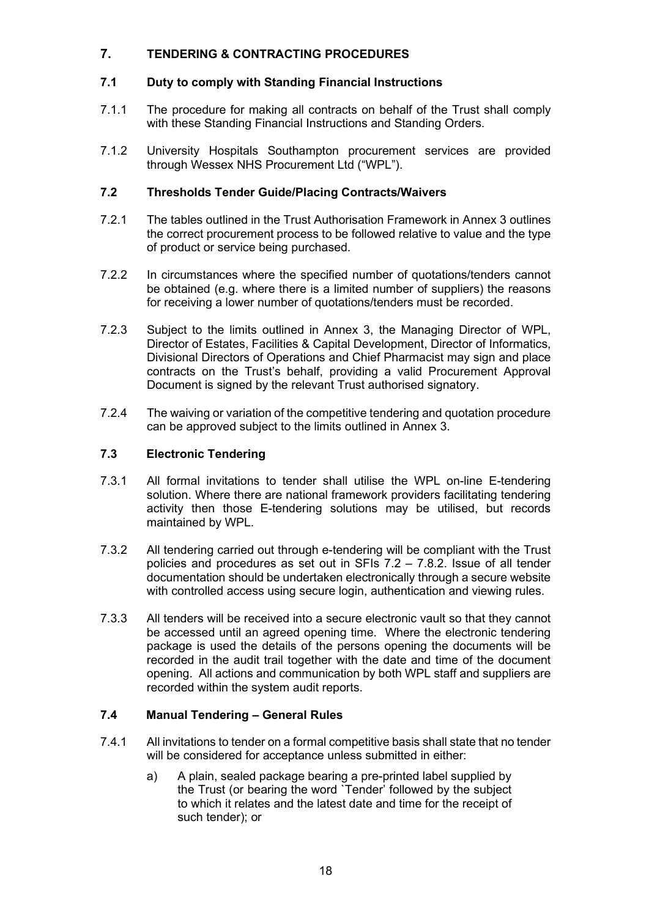## **7. TENDERING & CONTRACTING PROCEDURES**

## **7.1 Duty to comply with Standing Financial Instructions**

- 7.1.1 The procedure for making all contracts on behalf of the Trust shall comply with these Standing Financial Instructions and Standing Orders.
- 7.1.2 University Hospitals Southampton procurement services are provided through Wessex NHS Procurement Ltd ("WPL").

## **7.2 Thresholds Tender Guide/Placing Contracts/Waivers**

- 7.2.1 The tables outlined in the Trust Authorisation Framework in Annex 3 outlines the correct procurement process to be followed relative to value and the type of product or service being purchased.
- 7.2.2 In circumstances where the specified number of quotations/tenders cannot be obtained (e.g. where there is a limited number of suppliers) the reasons for receiving a lower number of quotations/tenders must be recorded.
- 7.2.3 Subject to the limits outlined in Annex 3, the Managing Director of WPL, Director of Estates, Facilities & Capital Development, Director of Informatics, Divisional Directors of Operations and Chief Pharmacist may sign and place contracts on the Trust's behalf, providing a valid Procurement Approval Document is signed by the relevant Trust authorised signatory.
- 7.2.4 The waiving or variation of the competitive tendering and quotation procedure can be approved subject to the limits outlined in Annex 3.

## **7.3 Electronic Tendering**

- 7.3.1 All formal invitations to tender shall utilise the WPL on-line E-tendering solution. Where there are national framework providers facilitating tendering activity then those E-tendering solutions may be utilised, but records maintained by WPL.
- 7.3.2 All tendering carried out through e-tendering will be compliant with the Trust policies and procedures as set out in SFIs 7.2 – 7.8.2. Issue of all tender documentation should be undertaken electronically through a secure website with controlled access using secure login, authentication and viewing rules.
- 7.3.3 All tenders will be received into a secure electronic vault so that they cannot be accessed until an agreed opening time. Where the electronic tendering package is used the details of the persons opening the documents will be recorded in the audit trail together with the date and time of the document opening. All actions and communication by both WPL staff and suppliers are recorded within the system audit reports.

## **7.4 Manual Tendering – General Rules**

- 7.4.1 All invitations to tender on a formal competitive basis shall state that no tender will be considered for acceptance unless submitted in either:
	- a) A plain, sealed package bearing a pre-printed label supplied by the Trust (or bearing the word `Tender' followed by the subject to which it relates and the latest date and time for the receipt of such tender); or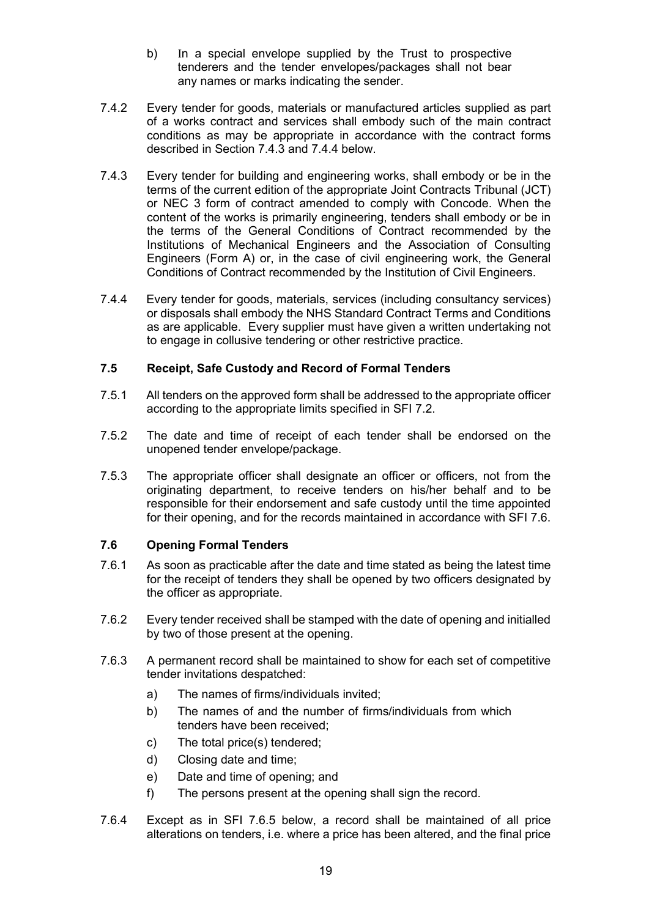- b) In a special envelope supplied by the Trust to prospective tenderers and the tender envelopes/packages shall not bear any names or marks indicating the sender.
- 7.4.2 Every tender for goods, materials or manufactured articles supplied as part of a works contract and services shall embody such of the main contract conditions as may be appropriate in accordance with the contract forms described in Section 7.4.3 and 7.4.4 below.
- 7.4.3 Every tender for building and engineering works, shall embody or be in the terms of the current edition of the appropriate Joint Contracts Tribunal (JCT) or NEC 3 form of contract amended to comply with Concode. When the content of the works is primarily engineering, tenders shall embody or be in the terms of the General Conditions of Contract recommended by the Institutions of Mechanical Engineers and the Association of Consulting Engineers (Form A) or, in the case of civil engineering work, the General Conditions of Contract recommended by the Institution of Civil Engineers.
- 7.4.4 Every tender for goods, materials, services (including consultancy services) or disposals shall embody the NHS Standard Contract Terms and Conditions as are applicable. Every supplier must have given a written undertaking not to engage in collusive tendering or other restrictive practice.

## **7.5 Receipt, Safe Custody and Record of Formal Tenders**

- 7.5.1 All tenders on the approved form shall be addressed to the appropriate officer according to the appropriate limits specified in SFI 7.2.
- 7.5.2 The date and time of receipt of each tender shall be endorsed on the unopened tender envelope/package.
- 7.5.3 The appropriate officer shall designate an officer or officers, not from the originating department, to receive tenders on his/her behalf and to be responsible for their endorsement and safe custody until the time appointed for their opening, and for the records maintained in accordance with SFI 7.6.

## **7.6 Opening Formal Tenders**

- 7.6.1 As soon as practicable after the date and time stated as being the latest time for the receipt of tenders they shall be opened by two officers designated by the officer as appropriate.
- 7.6.2 Every tender received shall be stamped with the date of opening and initialled by two of those present at the opening.
- 7.6.3 A permanent record shall be maintained to show for each set of competitive tender invitations despatched:
	- a) The names of firms/individuals invited;
	- b) The names of and the number of firms/individuals from which tenders have been received;
	- c) The total price(s) tendered;
	- d) Closing date and time;
	- e) Date and time of opening; and
	- f) The persons present at the opening shall sign the record.
- 7.6.4 Except as in SFI 7.6.5 below, a record shall be maintained of all price alterations on tenders, i.e. where a price has been altered, and the final price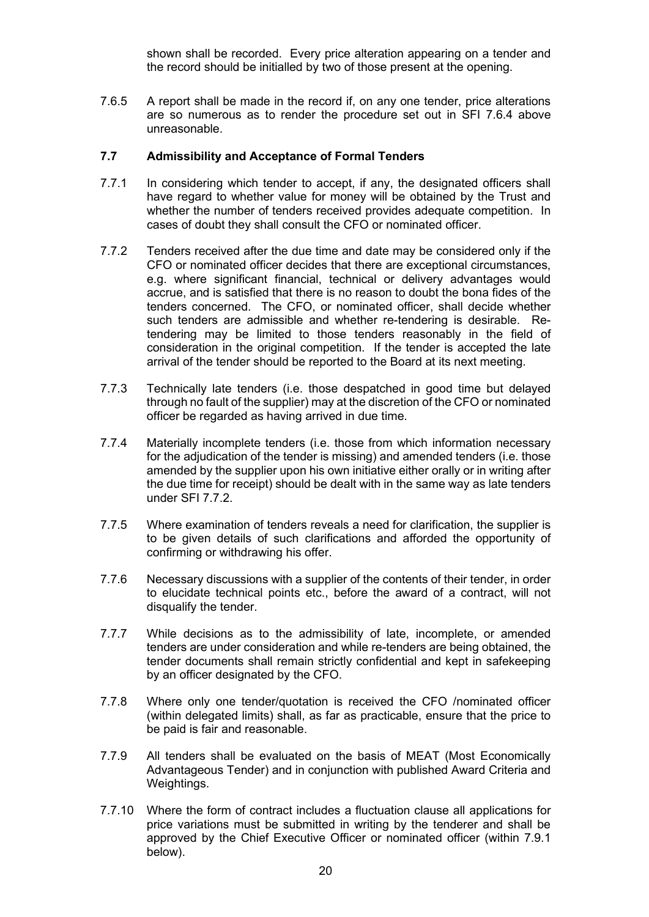shown shall be recorded. Every price alteration appearing on a tender and the record should be initialled by two of those present at the opening.

7.6.5 A report shall be made in the record if, on any one tender, price alterations are so numerous as to render the procedure set out in SFI 7.6.4 above unreasonable.

#### **7.7 Admissibility and Acceptance of Formal Tenders**

- 7.7.1 In considering which tender to accept, if any, the designated officers shall have regard to whether value for money will be obtained by the Trust and whether the number of tenders received provides adequate competition. In cases of doubt they shall consult the CFO or nominated officer.
- 7.7.2 Tenders received after the due time and date may be considered only if the CFO or nominated officer decides that there are exceptional circumstances, e.g. where significant financial, technical or delivery advantages would accrue, and is satisfied that there is no reason to doubt the bona fides of the tenders concerned. The CFO, or nominated officer, shall decide whether such tenders are admissible and whether re-tendering is desirable. Retendering may be limited to those tenders reasonably in the field of consideration in the original competition. If the tender is accepted the late arrival of the tender should be reported to the Board at its next meeting.
- 7.7.3 Technically late tenders (i.e. those despatched in good time but delayed through no fault of the supplier) may at the discretion of the CFO or nominated officer be regarded as having arrived in due time.
- 7.7.4 Materially incomplete tenders (i.e. those from which information necessary for the adjudication of the tender is missing) and amended tenders (i.e. those amended by the supplier upon his own initiative either orally or in writing after the due time for receipt) should be dealt with in the same way as late tenders under SFI 7.7.2.
- 7.7.5 Where examination of tenders reveals a need for clarification, the supplier is to be given details of such clarifications and afforded the opportunity of confirming or withdrawing his offer.
- 7.7.6 Necessary discussions with a supplier of the contents of their tender, in order to elucidate technical points etc., before the award of a contract, will not disqualify the tender.
- 7.7.7 While decisions as to the admissibility of late, incomplete, or amended tenders are under consideration and while re-tenders are being obtained, the tender documents shall remain strictly confidential and kept in safekeeping by an officer designated by the CFO.
- 7.7.8 Where only one tender/quotation is received the CFO /nominated officer (within delegated limits) shall, as far as practicable, ensure that the price to be paid is fair and reasonable.
- 7.7.9 All tenders shall be evaluated on the basis of MEAT (Most Economically Advantageous Tender) and in conjunction with published Award Criteria and Weightings.
- 7.7.10 Where the form of contract includes a fluctuation clause all applications for price variations must be submitted in writing by the tenderer and shall be approved by the Chief Executive Officer or nominated officer (within 7.9.1 below).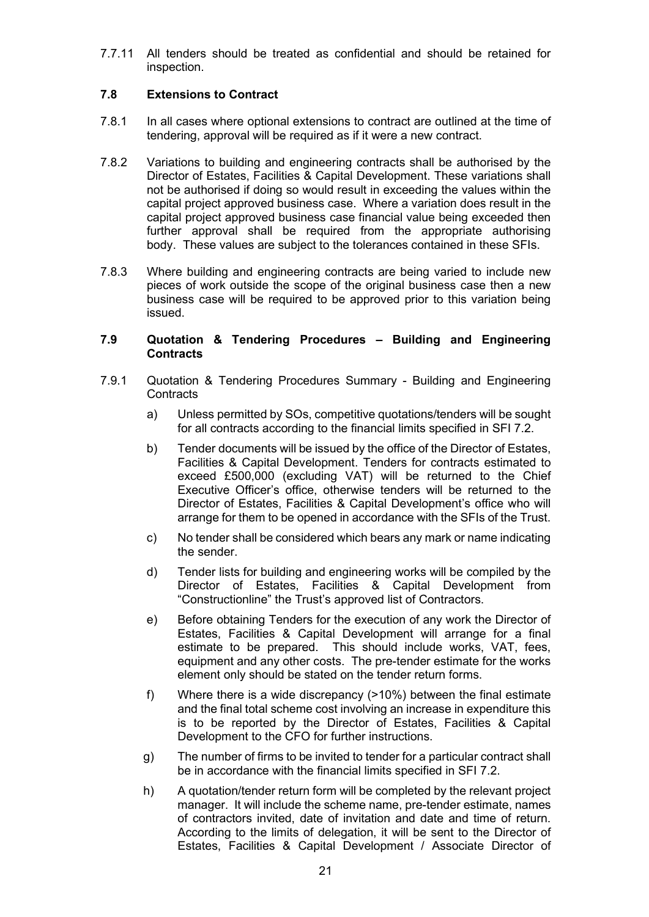7.7.11 All tenders should be treated as confidential and should be retained for inspection.

## **7.8 Extensions to Contract**

- 7.8.1 In all cases where optional extensions to contract are outlined at the time of tendering, approval will be required as if it were a new contract.
- 7.8.2 Variations to building and engineering contracts shall be authorised by the Director of Estates, Facilities & Capital Development. These variations shall not be authorised if doing so would result in exceeding the values within the capital project approved business case. Where a variation does result in the capital project approved business case financial value being exceeded then further approval shall be required from the appropriate authorising body. These values are subject to the tolerances contained in these SFIs.
- 7.8.3 Where building and engineering contracts are being varied to include new pieces of work outside the scope of the original business case then a new business case will be required to be approved prior to this variation being issued.

#### **7.9 Quotation & Tendering Procedures – Building and Engineering Contracts**

- 7.9.1 Quotation & Tendering Procedures Summary Building and Engineering **Contracts** 
	- a) Unless permitted by SOs, competitive quotations/tenders will be sought for all contracts according to the financial limits specified in SFI 7.2.
	- b) Tender documents will be issued by the office of the Director of Estates, Facilities & Capital Development. Tenders for contracts estimated to exceed £500,000 (excluding VAT) will be returned to the Chief Executive Officer's office, otherwise tenders will be returned to the Director of Estates, Facilities & Capital Development's office who will arrange for them to be opened in accordance with the SFIs of the Trust.
	- c) No tender shall be considered which bears any mark or name indicating the sender.
	- d) Tender lists for building and engineering works will be compiled by the Director of Estates, Facilities & Capital Development from "Constructionline" the Trust's approved list of Contractors.
	- e) Before obtaining Tenders for the execution of any work the Director of Estates, Facilities & Capital Development will arrange for a final estimate to be prepared. This should include works, VAT, fees, equipment and any other costs. The pre-tender estimate for the works element only should be stated on the tender return forms.
	- f) Where there is a wide discrepancy (>10%) between the final estimate and the final total scheme cost involving an increase in expenditure this is to be reported by the Director of Estates, Facilities & Capital Development to the CFO for further instructions.
	- g) The number of firms to be invited to tender for a particular contract shall be in accordance with the financial limits specified in SFI 7.2.
	- h) A quotation/tender return form will be completed by the relevant project manager. It will include the scheme name, pre-tender estimate, names of contractors invited, date of invitation and date and time of return. According to the limits of delegation, it will be sent to the Director of Estates, Facilities & Capital Development / Associate Director of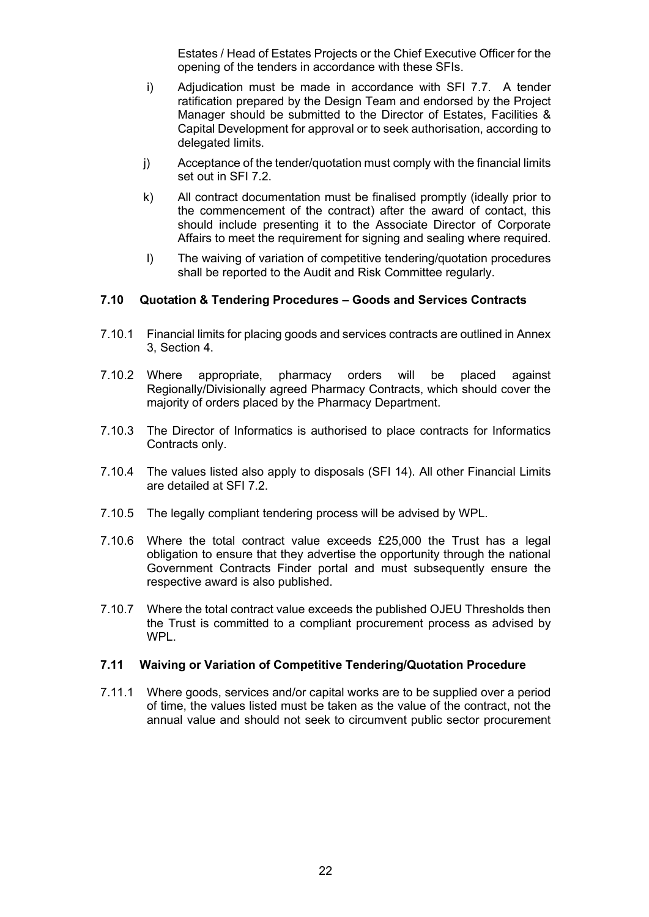Estates / Head of Estates Projects or the Chief Executive Officer for the opening of the tenders in accordance with these SFIs.

- i) Adjudication must be made in accordance with SFI 7.7. A tender ratification prepared by the Design Team and endorsed by the Project Manager should be submitted to the Director of Estates, Facilities & Capital Development for approval or to seek authorisation, according to delegated limits.
- j) Acceptance of the tender/quotation must comply with the financial limits set out in SFI 7.2.
- k) All contract documentation must be finalised promptly (ideally prior to the commencement of the contract) after the award of contact, this should include presenting it to the Associate Director of Corporate Affairs to meet the requirement for signing and sealing where required.
- l) The waiving of variation of competitive tendering/quotation procedures shall be reported to the Audit and Risk Committee regularly.

#### **7.10 Quotation & Tendering Procedures – Goods and Services Contracts**

- 7.10.1 Financial limits for placing goods and services contracts are outlined in Annex 3, Section 4.
- 7.10.2 Where appropriate, pharmacy orders will be placed against Regionally/Divisionally agreed Pharmacy Contracts, which should cover the majority of orders placed by the Pharmacy Department.
- 7.10.3 The Director of Informatics is authorised to place contracts for Informatics Contracts only.
- 7.10.4 The values listed also apply to disposals (SFI 14). All other Financial Limits are detailed at SFI 7.2.
- 7.10.5 The legally compliant tendering process will be advised by WPL.
- 7.10.6 Where the total contract value exceeds £25,000 the Trust has a legal obligation to ensure that they advertise the opportunity through the national Government Contracts Finder portal and must subsequently ensure the respective award is also published.
- 7.10.7 Where the total contract value exceeds the published OJEU Thresholds then the Trust is committed to a compliant procurement process as advised by WPL.

#### **7.11 Waiving or Variation of Competitive Tendering/Quotation Procedure**

7.11.1 Where goods, services and/or capital works are to be supplied over a period of time, the values listed must be taken as the value of the contract, not the annual value and should not seek to circumvent public sector procurement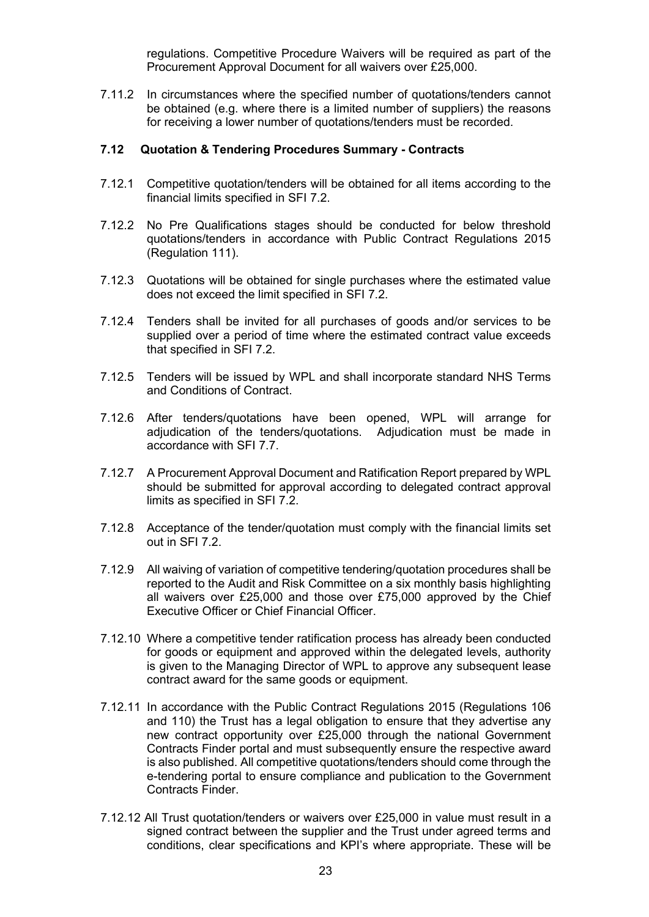regulations. Competitive Procedure Waivers will be required as part of the Procurement Approval Document for all waivers over £25,000.

7.11.2 In circumstances where the specified number of quotations/tenders cannot be obtained (e.g. where there is a limited number of suppliers) the reasons for receiving a lower number of quotations/tenders must be recorded.

#### **7.12 Quotation & Tendering Procedures Summary - Contracts**

- 7.12.1 Competitive quotation/tenders will be obtained for all items according to the financial limits specified in SFI 7.2.
- 7.12.2 No Pre Qualifications stages should be conducted for below threshold quotations/tenders in accordance with Public Contract Regulations 2015 (Regulation 111).
- 7.12.3 Quotations will be obtained for single purchases where the estimated value does not exceed the limit specified in SFI 7.2.
- 7.12.4 Tenders shall be invited for all purchases of goods and/or services to be supplied over a period of time where the estimated contract value exceeds that specified in SFI 7.2.
- 7.12.5 Tenders will be issued by WPL and shall incorporate standard NHS Terms and Conditions of Contract.
- 7.12.6 After tenders/quotations have been opened, WPL will arrange for adjudication of the tenders/quotations. Adjudication must be made in accordance with SFI 7.7.
- 7.12.7 A Procurement Approval Document and Ratification Report prepared by WPL should be submitted for approval according to delegated contract approval limits as specified in SFI 7.2.
- 7.12.8 Acceptance of the tender/quotation must comply with the financial limits set out in SFI 7.2.
- 7.12.9 All waiving of variation of competitive tendering/quotation procedures shall be reported to the Audit and Risk Committee on a six monthly basis highlighting all waivers over £25,000 and those over £75,000 approved by the Chief Executive Officer or Chief Financial Officer.
- 7.12.10 Where a competitive tender ratification process has already been conducted for goods or equipment and approved within the delegated levels, authority is given to the Managing Director of WPL to approve any subsequent lease contract award for the same goods or equipment.
- 7.12.11 In accordance with the Public Contract Regulations 2015 (Regulations 106 and 110) the Trust has a legal obligation to ensure that they advertise any new contract opportunity over £25,000 through the national Government Contracts Finder portal and must subsequently ensure the respective award is also published. All competitive quotations/tenders should come through the e-tendering portal to ensure compliance and publication to the Government Contracts Finder.
- 7.12.12 All Trust quotation/tenders or waivers over £25,000 in value must result in a signed contract between the supplier and the Trust under agreed terms and conditions, clear specifications and KPI's where appropriate. These will be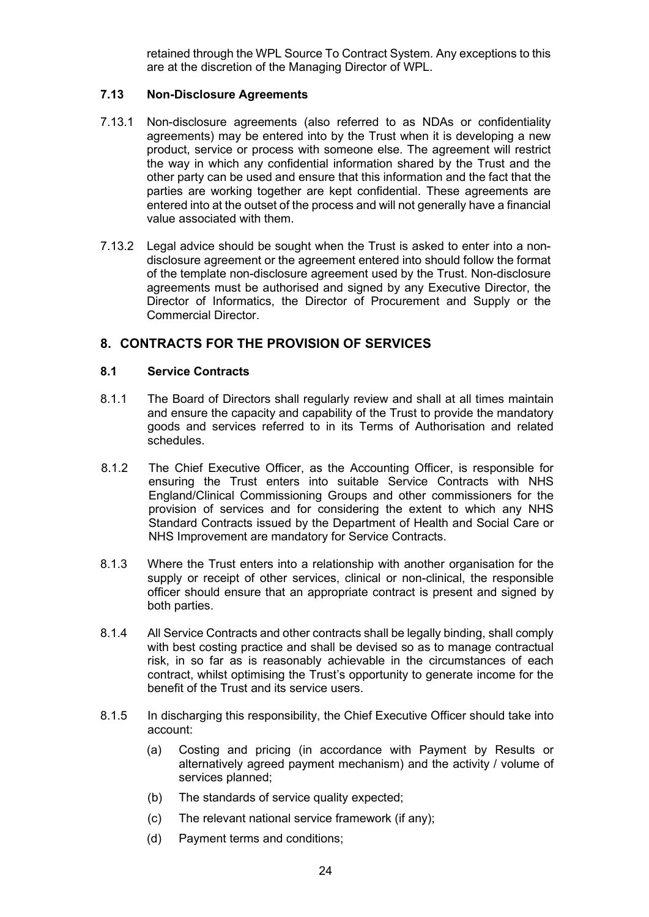retained through the WPL Source To Contract System. Any exceptions to this are at the discretion of the Managing Director of WPL.

## **7.13 Non-Disclosure Agreements**

- 7.13.1 Non-disclosure agreements (also referred to as NDAs or confidentiality agreements) may be entered into by the Trust when it is developing a new product, service or process with someone else. The agreement will restrict the way in which any confidential information shared by the Trust and the other party can be used and ensure that this information and the fact that the parties are working together are kept confidential. These agreements are entered into at the outset of the process and will not generally have a financial value associated with them.
- 7.13.2 Legal advice should be sought when the Trust is asked to enter into a nondisclosure agreement or the agreement entered into should follow the format of the template non-disclosure agreement used by the Trust. Non-disclosure agreements must be authorised and signed by any Executive Director, the Director of Informatics, the Director of Procurement and Supply or the Commercial Director.

## **8. CONTRACTS FOR THE PROVISION OF SERVICES**

#### **8.1 Service Contracts**

- 8.1.1 The Board of Directors shall regularly review and shall at all times maintain and ensure the capacity and capability of the Trust to provide the mandatory goods and services referred to in its Terms of Authorisation and related schedules.
- 8.1.2 The Chief Executive Officer, as the Accounting Officer, is responsible for ensuring the Trust enters into suitable Service Contracts with NHS England/Clinical Commissioning Groups and other commissioners for the provision of services and for considering the extent to which any NHS Standard Contracts issued by the Department of Health and Social Care or NHS Improvement are mandatory for Service Contracts.
- 8.1.3 Where the Trust enters into a relationship with another organisation for the supply or receipt of other services, clinical or non-clinical, the responsible officer should ensure that an appropriate contract is present and signed by both parties.
- 8.1.4 All Service Contracts and other contracts shall be legally binding, shall comply with best costing practice and shall be devised so as to manage contractual risk, in so far as is reasonably achievable in the circumstances of each contract, whilst optimising the Trust's opportunity to generate income for the benefit of the Trust and its service users.
- 8.1.5 In discharging this responsibility, the Chief Executive Officer should take into account:
	- (a) Costing and pricing (in accordance with Payment by Results or alternatively agreed payment mechanism) and the activity / volume of services planned;
	- (b) The standards of service quality expected;
	- (c) The relevant national service framework (if any);
	- (d) Payment terms and conditions;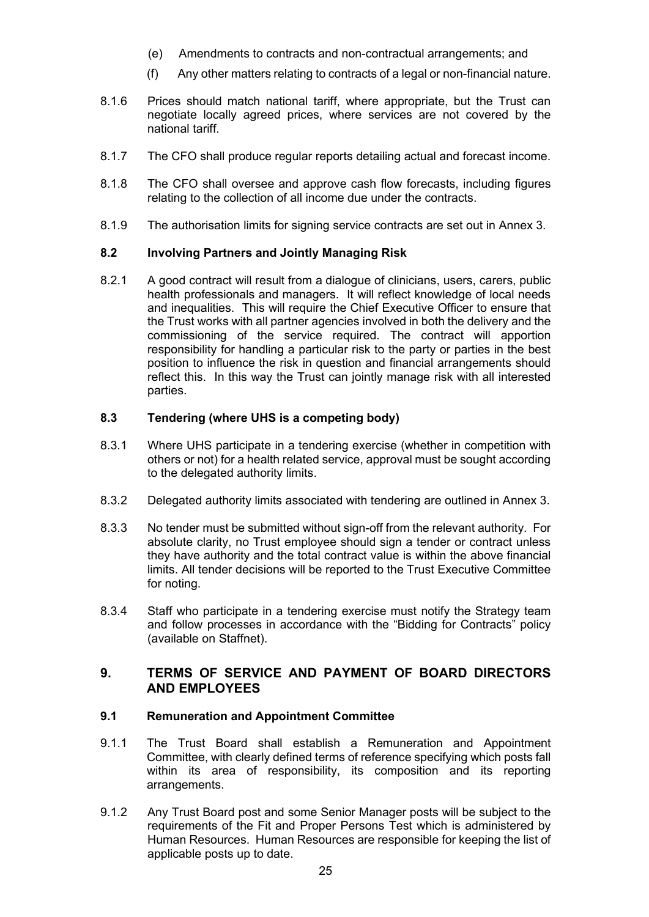- (e) Amendments to contracts and non-contractual arrangements; and
- (f) Any other matters relating to contracts of a legal or non-financial nature.
- 8.1.6 Prices should match national tariff, where appropriate, but the Trust can negotiate locally agreed prices, where services are not covered by the national tariff.
- 8.1.7 The CFO shall produce regular reports detailing actual and forecast income.
- 8.1.8 The CFO shall oversee and approve cash flow forecasts, including figures relating to the collection of all income due under the contracts.
- 8.1.9 The authorisation limits for signing service contracts are set out in Annex 3.

#### **8.2 Involving Partners and Jointly Managing Risk**

8.2.1 A good contract will result from a dialogue of clinicians, users, carers, public health professionals and managers. It will reflect knowledge of local needs and inequalities. This will require the Chief Executive Officer to ensure that the Trust works with all partner agencies involved in both the delivery and the commissioning of the service required. The contract will apportion responsibility for handling a particular risk to the party or parties in the best position to influence the risk in question and financial arrangements should reflect this. In this way the Trust can jointly manage risk with all interested parties.

#### **8.3 Tendering (where UHS is a competing body)**

- 8.3.1 Where UHS participate in a tendering exercise (whether in competition with others or not) for a health related service, approval must be sought according to the delegated authority limits.
- 8.3.2 Delegated authority limits associated with tendering are outlined in Annex 3.
- 8.3.3 No tender must be submitted without sign-off from the relevant authority. For absolute clarity, no Trust employee should sign a tender or contract unless they have authority and the total contract value is within the above financial limits. All tender decisions will be reported to the Trust Executive Committee for noting.
- 8.3.4 Staff who participate in a tendering exercise must notify the Strategy team and follow processes in accordance with the "Bidding for Contracts" policy (available on Staffnet).

# **9. TERMS OF SERVICE AND PAYMENT OF BOARD DIRECTORS AND EMPLOYEES**

#### **9.1 Remuneration and Appointment Committee**

- 9.1.1 The Trust Board shall establish a Remuneration and Appointment Committee, with clearly defined terms of reference specifying which posts fall within its area of responsibility, its composition and its reporting arrangements.
- 9.1.2 Any Trust Board post and some Senior Manager posts will be subject to the requirements of the Fit and Proper Persons Test which is administered by Human Resources. Human Resources are responsible for keeping the list of applicable posts up to date.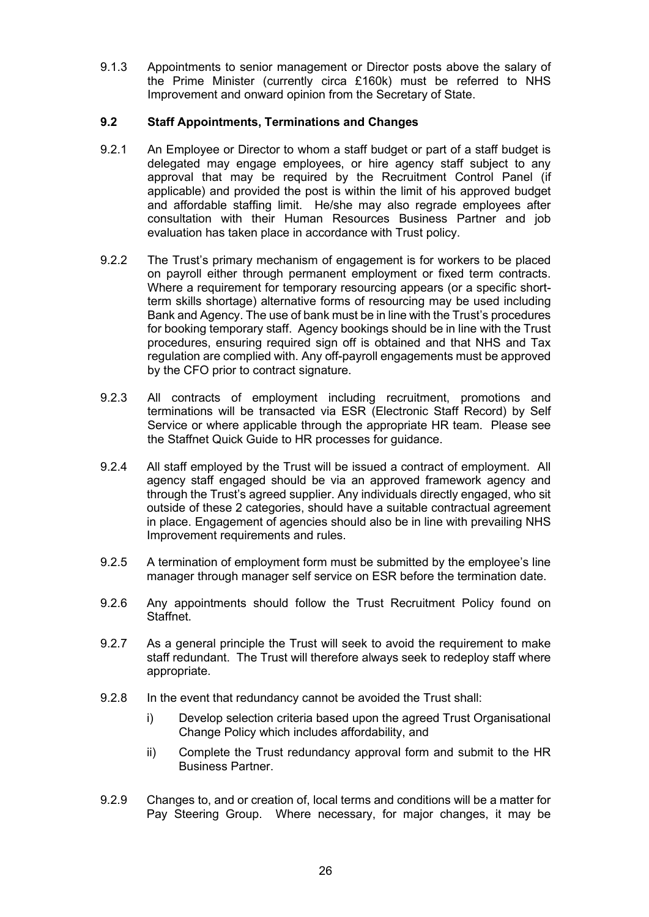9.1.3 Appointments to senior management or Director posts above the salary of the Prime Minister (currently circa £160k) must be referred to NHS Improvement and onward opinion from the Secretary of State.

## **9.2 Staff Appointments, Terminations and Changes**

- 9.2.1 An Employee or Director to whom a staff budget or part of a staff budget is delegated may engage employees, or hire agency staff subject to any approval that may be required by the Recruitment Control Panel (if applicable) and provided the post is within the limit of his approved budget and affordable staffing limit. He/she may also regrade employees after consultation with their Human Resources Business Partner and job evaluation has taken place in accordance with Trust policy.
- 9.2.2 The Trust's primary mechanism of engagement is for workers to be placed on payroll either through permanent employment or fixed term contracts. Where a requirement for temporary resourcing appears (or a specific shortterm skills shortage) alternative forms of resourcing may be used including Bank and Agency. The use of bank must be in line with the Trust's procedures for booking temporary staff. Agency bookings should be in line with the Trust procedures, ensuring required sign off is obtained and that NHS and Tax regulation are complied with. Any off-payroll engagements must be approved by the CFO prior to contract signature.
- 9.2.3 All contracts of employment including recruitment, promotions and terminations will be transacted via ESR (Electronic Staff Record) by Self Service or where applicable through the appropriate HR team. Please see the Staffnet Quick Guide to HR processes for guidance.
- 9.2.4 All staff employed by the Trust will be issued a contract of employment. All agency staff engaged should be via an approved framework agency and through the Trust's agreed supplier. Any individuals directly engaged, who sit outside of these 2 categories, should have a suitable contractual agreement in place. Engagement of agencies should also be in line with prevailing NHS Improvement requirements and rules.
- 9.2.5 A termination of employment form must be submitted by the employee's line manager through manager self service on ESR before the termination date.
- 9.2.6 Any appointments should follow the Trust Recruitment Policy found on Staffnet.
- 9.2.7 As a general principle the Trust will seek to avoid the requirement to make staff redundant. The Trust will therefore always seek to redeploy staff where appropriate.
- 9.2.8 In the event that redundancy cannot be avoided the Trust shall:
	- i) Develop selection criteria based upon the agreed Trust Organisational Change Policy which includes affordability, and
	- ii) Complete the Trust redundancy approval form and submit to the HR Business Partner.
- 9.2.9 Changes to, and or creation of, local terms and conditions will be a matter for Pay Steering Group. Where necessary, for major changes, it may be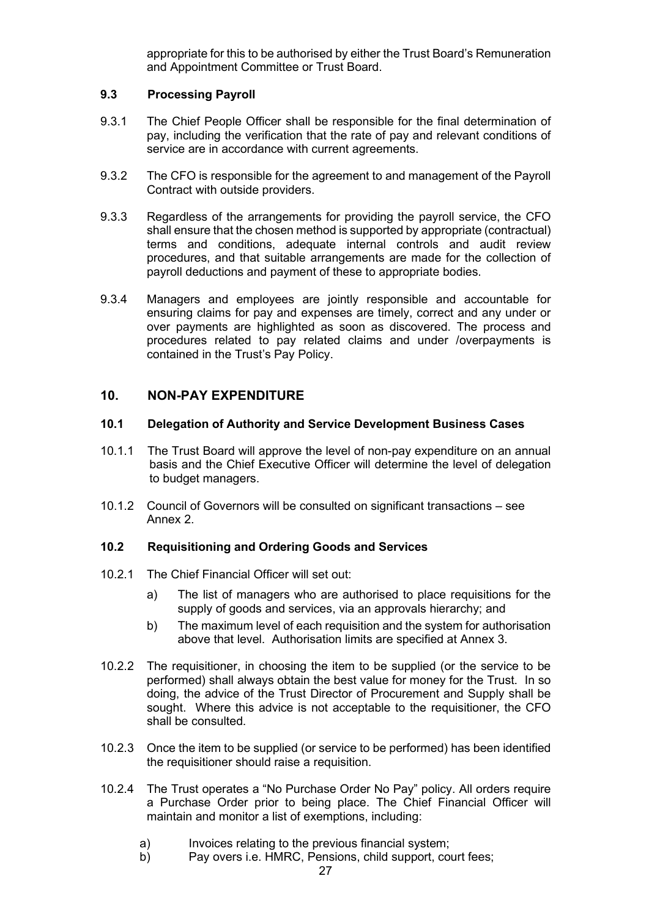appropriate for this to be authorised by either the Trust Board's Remuneration and Appointment Committee or Trust Board.

## **9.3 Processing Payroll**

- 9.3.1 The Chief People Officer shall be responsible for the final determination of pay, including the verification that the rate of pay and relevant conditions of service are in accordance with current agreements.
- 9.3.2 The CFO is responsible for the agreement to and management of the Payroll Contract with outside providers.
- 9.3.3 Regardless of the arrangements for providing the payroll service, the CFO shall ensure that the chosen method is supported by appropriate (contractual) terms and conditions, adequate internal controls and audit review procedures, and that suitable arrangements are made for the collection of payroll deductions and payment of these to appropriate bodies.
- 9.3.4 Managers and employees are jointly responsible and accountable for ensuring claims for pay and expenses are timely, correct and any under or over payments are highlighted as soon as discovered. The process and procedures related to pay related claims and under /overpayments is contained in the Trust's Pay Policy.

## **10. NON-PAY EXPENDITURE**

#### **10.1 Delegation of Authority and Service Development Business Cases**

- 10.1.1 The Trust Board will approve the level of non-pay expenditure on an annual basis and the Chief Executive Officer will determine the level of delegation to budget managers.
- 10.1.2 Council of Governors will be consulted on significant transactions see Annex 2.

## **10.2 Requisitioning and Ordering Goods and Services**

- 10.2.1 The Chief Financial Officer will set out:
	- a) The list of managers who are authorised to place requisitions for the supply of goods and services, via an approvals hierarchy; and
	- b) The maximum level of each requisition and the system for authorisation above that level. Authorisation limits are specified at Annex 3.
- 10.2.2 The requisitioner, in choosing the item to be supplied (or the service to be performed) shall always obtain the best value for money for the Trust. In so doing, the advice of the Trust Director of Procurement and Supply shall be sought. Where this advice is not acceptable to the requisitioner, the CFO shall be consulted.
- 10.2.3 Once the item to be supplied (or service to be performed) has been identified the requisitioner should raise a requisition.
- 10.2.4 The Trust operates a "No Purchase Order No Pay" policy. All orders require a Purchase Order prior to being place. The Chief Financial Officer will maintain and monitor a list of exemptions, including:
	- a) Invoices relating to the previous financial system;
	- b) Pay overs i.e. HMRC, Pensions, child support, court fees;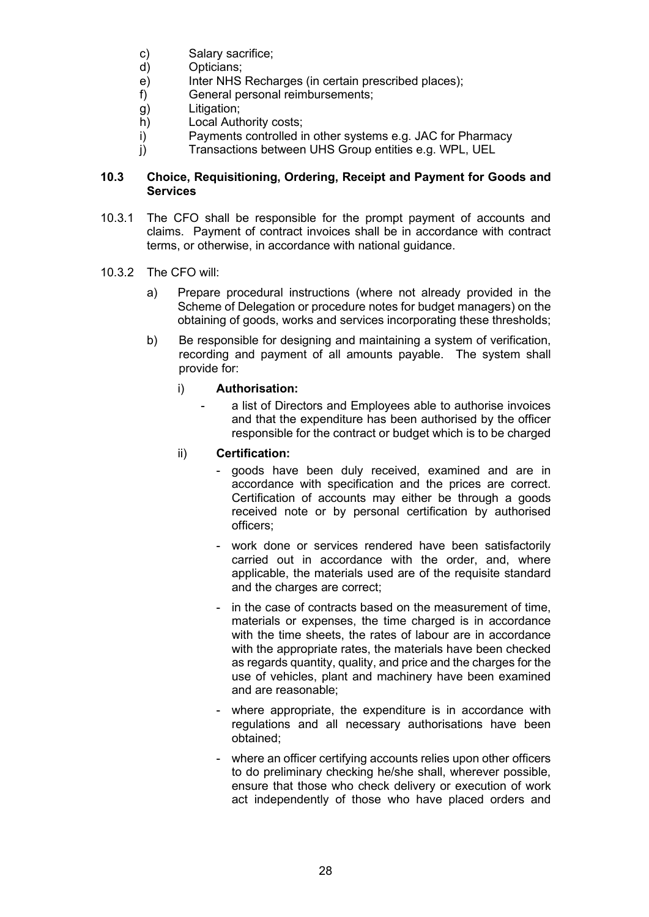- c) Salary sacrifice;<br>d) Opticians:
- Opticians:
- e) Inter NHS Recharges (in certain prescribed places);
- f) General personal reimbursements;
- g) Litigation;
- h) Local Authority costs;
- i) Payments controlled in other systems e.g. JAC for Pharmacy
- j) Transactions between UHS Group entities e.g. WPL, UEL

## **10.3 Choice, Requisitioning, Ordering, Receipt and Payment for Goods and Services**

- 10.3.1 The CFO shall be responsible for the prompt payment of accounts and claims. Payment of contract invoices shall be in accordance with contract terms, or otherwise, in accordance with national guidance.
- 10.3.2 The CFO will:
	- a) Prepare procedural instructions (where not already provided in the Scheme of Delegation or procedure notes for budget managers) on the obtaining of goods, works and services incorporating these thresholds;
	- b) Be responsible for designing and maintaining a system of verification, recording and payment of all amounts payable. The system shall provide for:

## i) **Authorisation:**

- a list of Directors and Employees able to authorise invoices and that the expenditure has been authorised by the officer responsible for the contract or budget which is to be charged

## ii) **Certification:**

- goods have been duly received, examined and are in accordance with specification and the prices are correct. Certification of accounts may either be through a goods received note or by personal certification by authorised officers;
- work done or services rendered have been satisfactorily carried out in accordance with the order, and, where applicable, the materials used are of the requisite standard and the charges are correct;
- in the case of contracts based on the measurement of time, materials or expenses, the time charged is in accordance with the time sheets, the rates of labour are in accordance with the appropriate rates, the materials have been checked as regards quantity, quality, and price and the charges for the use of vehicles, plant and machinery have been examined and are reasonable;
- where appropriate, the expenditure is in accordance with regulations and all necessary authorisations have been obtained;
- where an officer certifying accounts relies upon other officers to do preliminary checking he/she shall, wherever possible, ensure that those who check delivery or execution of work act independently of those who have placed orders and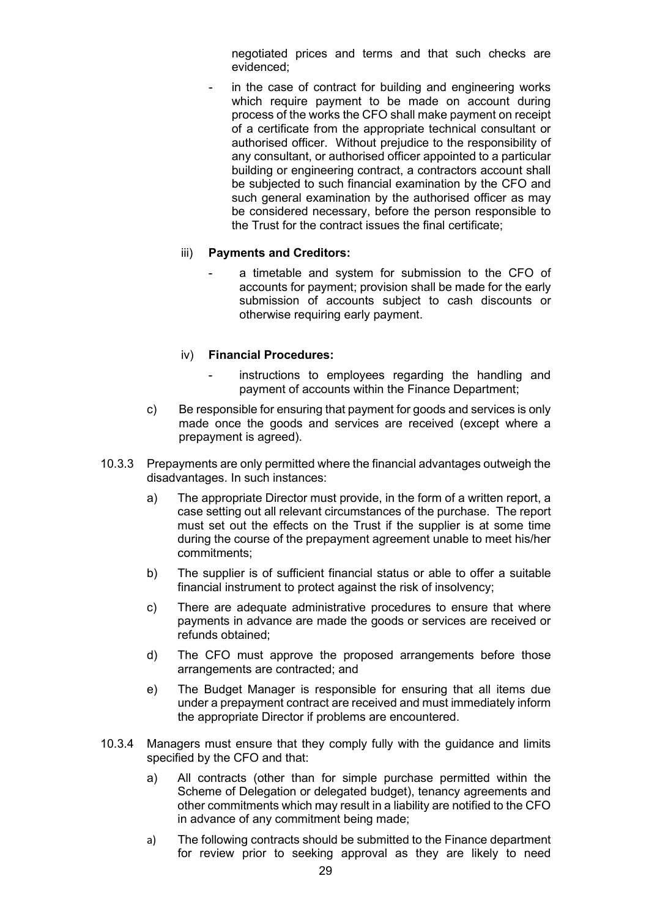negotiated prices and terms and that such checks are evidenced;

in the case of contract for building and engineering works which require payment to be made on account during process of the works the CFO shall make payment on receipt of a certificate from the appropriate technical consultant or authorised officer. Without prejudice to the responsibility of any consultant, or authorised officer appointed to a particular building or engineering contract, a contractors account shall be subjected to such financial examination by the CFO and such general examination by the authorised officer as may be considered necessary, before the person responsible to the Trust for the contract issues the final certificate;

#### iii) **Payments and Creditors:**

a timetable and system for submission to the CFO of accounts for payment; provision shall be made for the early submission of accounts subject to cash discounts or otherwise requiring early payment.

#### iv) **Financial Procedures:**

- instructions to employees regarding the handling and payment of accounts within the Finance Department;
- c) Be responsible for ensuring that payment for goods and services is only made once the goods and services are received (except where a prepayment is agreed).
- 10.3.3 Prepayments are only permitted where the financial advantages outweigh the disadvantages. In such instances:
	- a) The appropriate Director must provide, in the form of a written report, a case setting out all relevant circumstances of the purchase. The report must set out the effects on the Trust if the supplier is at some time during the course of the prepayment agreement unable to meet his/her commitments;
	- b) The supplier is of sufficient financial status or able to offer a suitable financial instrument to protect against the risk of insolvency;
	- c) There are adequate administrative procedures to ensure that where payments in advance are made the goods or services are received or refunds obtained;
	- d) The CFO must approve the proposed arrangements before those arrangements are contracted; and
	- e) The Budget Manager is responsible for ensuring that all items due under a prepayment contract are received and must immediately inform the appropriate Director if problems are encountered.
- 10.3.4 Managers must ensure that they comply fully with the guidance and limits specified by the CFO and that:
	- a) All contracts (other than for simple purchase permitted within the Scheme of Delegation or delegated budget), tenancy agreements and other commitments which may result in a liability are notified to the CFO in advance of any commitment being made;
	- a) The following contracts should be submitted to the Finance department for review prior to seeking approval as they are likely to need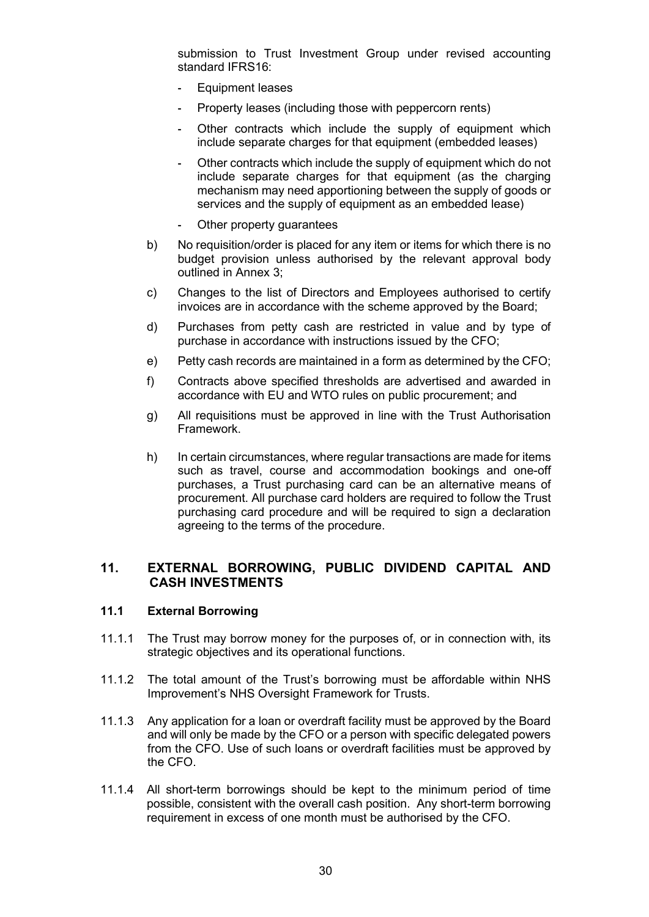submission to Trust Investment Group under revised accounting standard IFRS16:

- **-** Equipment leases
- **-** Property leases (including those with peppercorn rents)
- **-** Other contracts which include the supply of equipment which include separate charges for that equipment (embedded leases)
- **-** Other contracts which include the supply of equipment which do not include separate charges for that equipment (as the charging mechanism may need apportioning between the supply of goods or services and the supply of equipment as an embedded lease)
- **-** Other property guarantees
- b) No requisition/order is placed for any item or items for which there is no budget provision unless authorised by the relevant approval body outlined in Annex 3;
- c) Changes to the list of Directors and Employees authorised to certify invoices are in accordance with the scheme approved by the Board;
- d) Purchases from petty cash are restricted in value and by type of purchase in accordance with instructions issued by the CFO;
- e) Petty cash records are maintained in a form as determined by the CFO;
- f) Contracts above specified thresholds are advertised and awarded in accordance with EU and WTO rules on public procurement; and
- g) All requisitions must be approved in line with the Trust Authorisation Framework.
- h) In certain circumstances, where regular transactions are made for items such as travel, course and accommodation bookings and one-off purchases, a Trust purchasing card can be an alternative means of procurement. All purchase card holders are required to follow the Trust purchasing card procedure and will be required to sign a declaration agreeing to the terms of the procedure.

## **11. EXTERNAL BORROWING, PUBLIC DIVIDEND CAPITAL AND CASH INVESTMENTS**

#### **11.1 External Borrowing**

- 11.1.1 The Trust may borrow money for the purposes of, or in connection with, its strategic objectives and its operational functions.
- 11.1.2 The total amount of the Trust's borrowing must be affordable within NHS Improvement's NHS Oversight Framework for Trusts.
- 11.1.3 Any application for a loan or overdraft facility must be approved by the Board and will only be made by the CFO or a person with specific delegated powers from the CFO. Use of such loans or overdraft facilities must be approved by the CFO.
- 11.1.4 All short-term borrowings should be kept to the minimum period of time possible, consistent with the overall cash position. Any short-term borrowing requirement in excess of one month must be authorised by the CFO.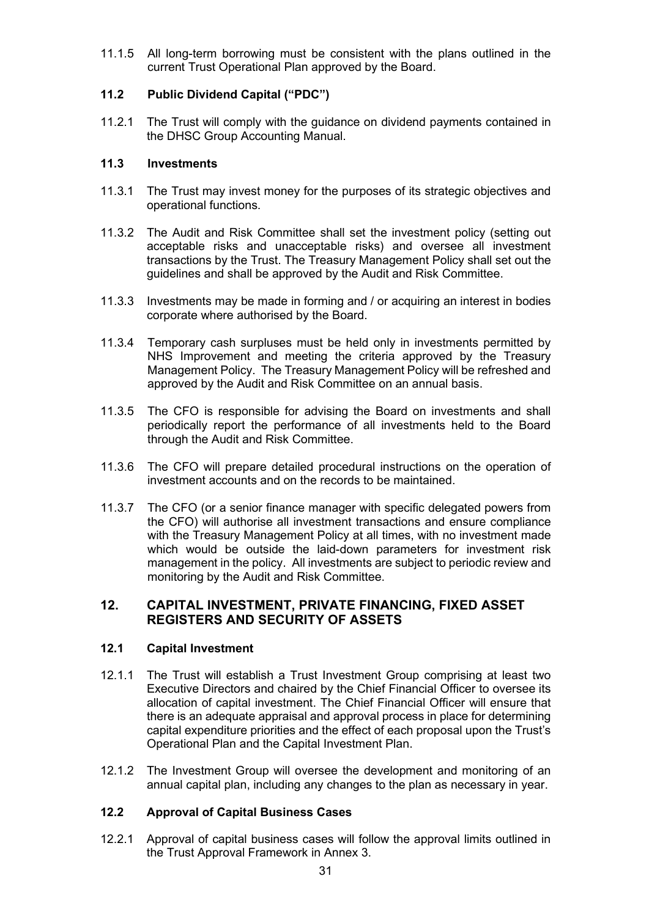11.1.5 All long-term borrowing must be consistent with the plans outlined in the current Trust Operational Plan approved by the Board.

## **11.2 Public Dividend Capital ("PDC")**

11.2.1 The Trust will comply with the guidance on dividend payments contained in the DHSC Group Accounting Manual.

#### **11.3 Investments**

- 11.3.1 The Trust may invest money for the purposes of its strategic objectives and operational functions.
- 11.3.2 The Audit and Risk Committee shall set the investment policy (setting out acceptable risks and unacceptable risks) and oversee all investment transactions by the Trust. The Treasury Management Policy shall set out the guidelines and shall be approved by the Audit and Risk Committee.
- 11.3.3 Investments may be made in forming and / or acquiring an interest in bodies corporate where authorised by the Board.
- 11.3.4 Temporary cash surpluses must be held only in investments permitted by NHS Improvement and meeting the criteria approved by the Treasury Management Policy. The Treasury Management Policy will be refreshed and approved by the Audit and Risk Committee on an annual basis.
- 11.3.5 The CFO is responsible for advising the Board on investments and shall periodically report the performance of all investments held to the Board through the Audit and Risk Committee.
- 11.3.6 The CFO will prepare detailed procedural instructions on the operation of investment accounts and on the records to be maintained.
- 11.3.7 The CFO (or a senior finance manager with specific delegated powers from the CFO) will authorise all investment transactions and ensure compliance with the Treasury Management Policy at all times, with no investment made which would be outside the laid-down parameters for investment risk management in the policy. All investments are subject to periodic review and monitoring by the Audit and Risk Committee.

## **12. CAPITAL INVESTMENT, PRIVATE FINANCING, FIXED ASSET REGISTERS AND SECURITY OF ASSETS**

## **12.1 Capital Investment**

- 12.1.1 The Trust will establish a Trust Investment Group comprising at least two Executive Directors and chaired by the Chief Financial Officer to oversee its allocation of capital investment. The Chief Financial Officer will ensure that there is an adequate appraisal and approval process in place for determining capital expenditure priorities and the effect of each proposal upon the Trust's Operational Plan and the Capital Investment Plan.
- 12.1.2 The Investment Group will oversee the development and monitoring of an annual capital plan, including any changes to the plan as necessary in year.

## **12.2 Approval of Capital Business Cases**

12.2.1 Approval of capital business cases will follow the approval limits outlined in the Trust Approval Framework in Annex 3.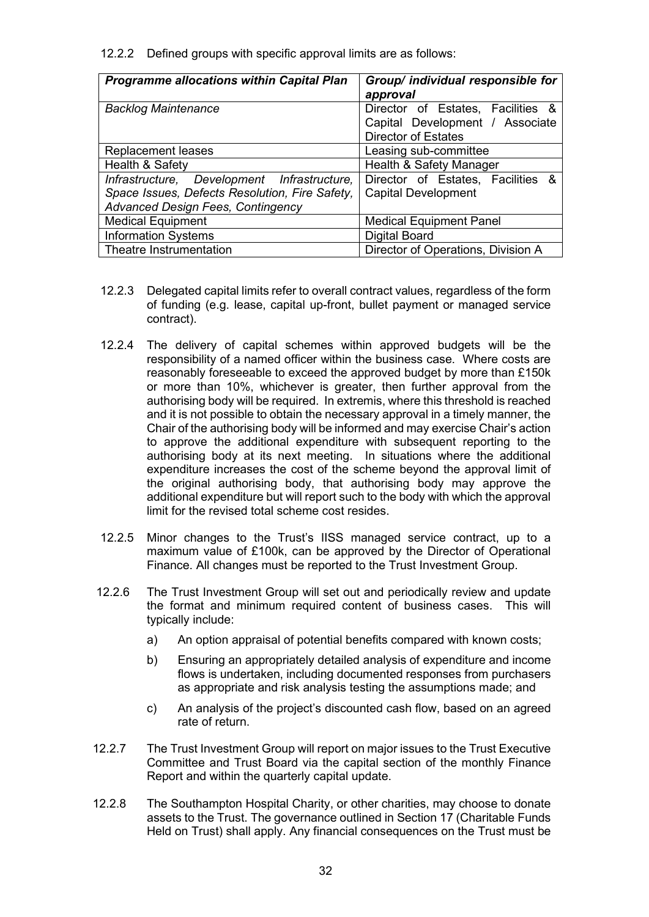12.2.2 Defined groups with specific approval limits are as follows:

| <b>Programme allocations within Capital Plan</b>                                                                                          | Group/ individual responsible for<br>approval                                                      |  |  |  |
|-------------------------------------------------------------------------------------------------------------------------------------------|----------------------------------------------------------------------------------------------------|--|--|--|
| <b>Backlog Maintenance</b>                                                                                                                | Director of Estates, Facilities &<br>Capital Development / Associate<br><b>Director of Estates</b> |  |  |  |
| <b>Replacement leases</b>                                                                                                                 | Leasing sub-committee                                                                              |  |  |  |
| Health & Safety<br>Health & Safety Manager                                                                                                |                                                                                                    |  |  |  |
| Infrastructure, Development Infrastructure,<br>Space Issues, Defects Resolution, Fire Safety,<br><b>Advanced Design Fees, Contingency</b> | Director of Estates, Facilities &<br><b>Capital Development</b>                                    |  |  |  |
| <b>Medical Equipment</b>                                                                                                                  | <b>Medical Equipment Panel</b>                                                                     |  |  |  |
| <b>Information Systems</b>                                                                                                                | <b>Digital Board</b>                                                                               |  |  |  |
| Theatre Instrumentation                                                                                                                   | Director of Operations, Division A                                                                 |  |  |  |

- 12.2.3 Delegated capital limits refer to overall contract values, regardless of the form of funding (e.g. lease, capital up-front, bullet payment or managed service contract).
- 12.2.4 The delivery of capital schemes within approved budgets will be the responsibility of a named officer within the business case. Where costs are reasonably foreseeable to exceed the approved budget by more than £150k or more than 10%, whichever is greater, then further approval from the authorising body will be required. In extremis, where this threshold is reached and it is not possible to obtain the necessary approval in a timely manner, the Chair of the authorising body will be informed and may exercise Chair's action to approve the additional expenditure with subsequent reporting to the authorising body at its next meeting. In situations where the additional expenditure increases the cost of the scheme beyond the approval limit of the original authorising body, that authorising body may approve the additional expenditure but will report such to the body with which the approval limit for the revised total scheme cost resides.
- 12.2.5 Minor changes to the Trust's IISS managed service contract, up to a maximum value of £100k, can be approved by the Director of Operational Finance. All changes must be reported to the Trust Investment Group.
- 12.2.6 The Trust Investment Group will set out and periodically review and update the format and minimum required content of business cases. This will typically include:
	- a) An option appraisal of potential benefits compared with known costs;
	- b) Ensuring an appropriately detailed analysis of expenditure and income flows is undertaken, including documented responses from purchasers as appropriate and risk analysis testing the assumptions made; and
	- c) An analysis of the project's discounted cash flow, based on an agreed rate of return.
- 12.2.7 The Trust Investment Group will report on major issues to the Trust Executive Committee and Trust Board via the capital section of the monthly Finance Report and within the quarterly capital update.
- 12.2.8 The Southampton Hospital Charity, or other charities, may choose to donate assets to the Trust. The governance outlined in Section 17 (Charitable Funds Held on Trust) shall apply. Any financial consequences on the Trust must be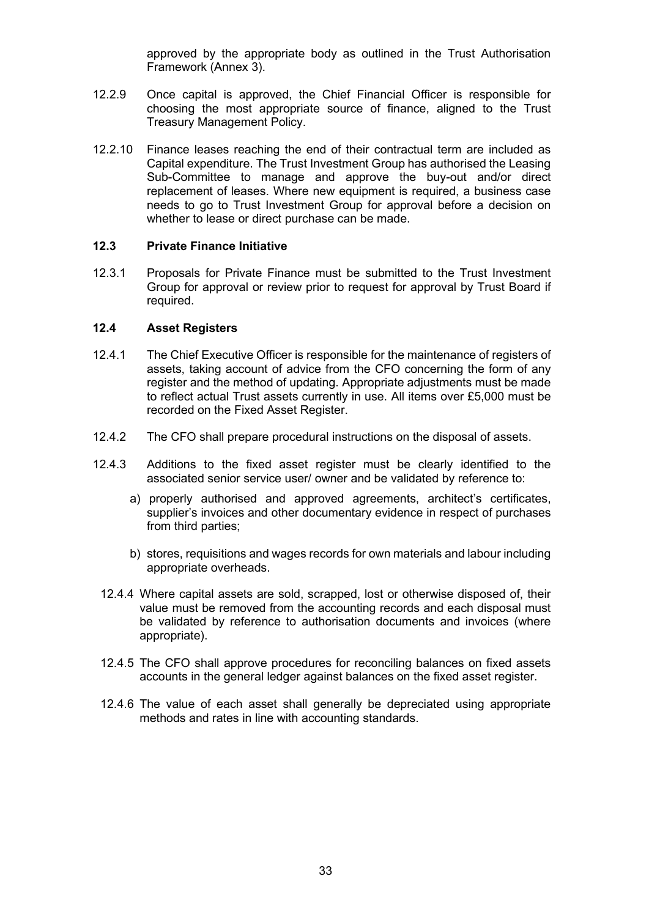approved by the appropriate body as outlined in the Trust Authorisation Framework (Annex 3).

- 12.2.9 Once capital is approved, the Chief Financial Officer is responsible for choosing the most appropriate source of finance, aligned to the Trust Treasury Management Policy.
- 12.2.10 Finance leases reaching the end of their contractual term are included as Capital expenditure. The Trust Investment Group has authorised the Leasing Sub-Committee to manage and approve the buy-out and/or direct replacement of leases. Where new equipment is required, a business case needs to go to Trust Investment Group for approval before a decision on whether to lease or direct purchase can be made.

#### **12.3 Private Finance Initiative**

12.3.1 Proposals for Private Finance must be submitted to the Trust Investment Group for approval or review prior to request for approval by Trust Board if required.

#### **12.4 Asset Registers**

- 12.4.1 The Chief Executive Officer is responsible for the maintenance of registers of assets, taking account of advice from the CFO concerning the form of any register and the method of updating. Appropriate adjustments must be made to reflect actual Trust assets currently in use. All items over £5,000 must be recorded on the Fixed Asset Register.
- 12.4.2 The CFO shall prepare procedural instructions on the disposal of assets.
- 12.4.3 Additions to the fixed asset register must be clearly identified to the associated senior service user/ owner and be validated by reference to:
	- a) properly authorised and approved agreements, architect's certificates, supplier's invoices and other documentary evidence in respect of purchases from third parties;
	- b) stores, requisitions and wages records for own materials and labour including appropriate overheads.
	- 12.4.4 Where capital assets are sold, scrapped, lost or otherwise disposed of, their value must be removed from the accounting records and each disposal must be validated by reference to authorisation documents and invoices (where appropriate).
	- 12.4.5 The CFO shall approve procedures for reconciling balances on fixed assets accounts in the general ledger against balances on the fixed asset register.
	- 12.4.6 The value of each asset shall generally be depreciated using appropriate methods and rates in line with accounting standards.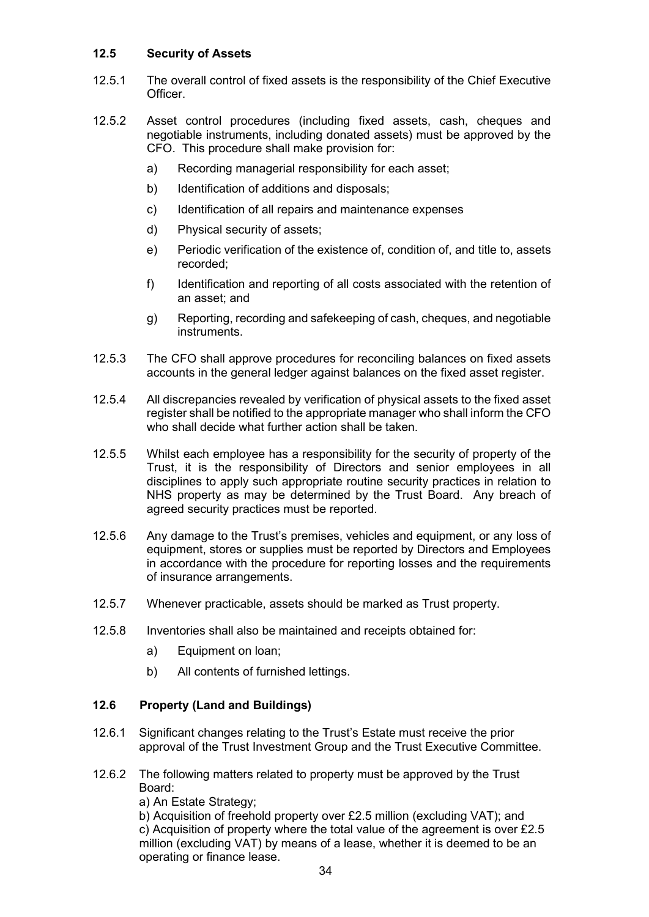## **12.5 Security of Assets**

- 12.5.1 The overall control of fixed assets is the responsibility of the Chief Executive **Officer**
- 12.5.2 Asset control procedures (including fixed assets, cash, cheques and negotiable instruments, including donated assets) must be approved by the CFO. This procedure shall make provision for:
	- a) Recording managerial responsibility for each asset;
	- b) Identification of additions and disposals;
	- c) Identification of all repairs and maintenance expenses
	- d) Physical security of assets;
	- e) Periodic verification of the existence of, condition of, and title to, assets recorded;
	- f) Identification and reporting of all costs associated with the retention of an asset; and
	- g) Reporting, recording and safekeeping of cash, cheques, and negotiable instruments.
- 12.5.3 The CFO shall approve procedures for reconciling balances on fixed assets accounts in the general ledger against balances on the fixed asset register.
- 12.5.4 All discrepancies revealed by verification of physical assets to the fixed asset register shall be notified to the appropriate manager who shall inform the CFO who shall decide what further action shall be taken.
- 12.5.5 Whilst each employee has a responsibility for the security of property of the Trust, it is the responsibility of Directors and senior employees in all disciplines to apply such appropriate routine security practices in relation to NHS property as may be determined by the Trust Board. Any breach of agreed security practices must be reported.
- 12.5.6 Any damage to the Trust's premises, vehicles and equipment, or any loss of equipment, stores or supplies must be reported by Directors and Employees in accordance with the procedure for reporting losses and the requirements of insurance arrangements.
- 12.5.7 Whenever practicable, assets should be marked as Trust property.
- 12.5.8 Inventories shall also be maintained and receipts obtained for:
	- a) Equipment on loan;
	- b) All contents of furnished lettings.

## **12.6 Property (Land and Buildings)**

- 12.6.1 Significant changes relating to the Trust's Estate must receive the prior approval of the Trust Investment Group and the Trust Executive Committee.
- 12.6.2 The following matters related to property must be approved by the Trust Board:

a) An Estate Strategy;

b) Acquisition of freehold property over £2.5 million (excluding VAT); and c) Acquisition of property where the total value of the agreement is over £2.5 million (excluding VAT) by means of a lease, whether it is deemed to be an operating or finance lease.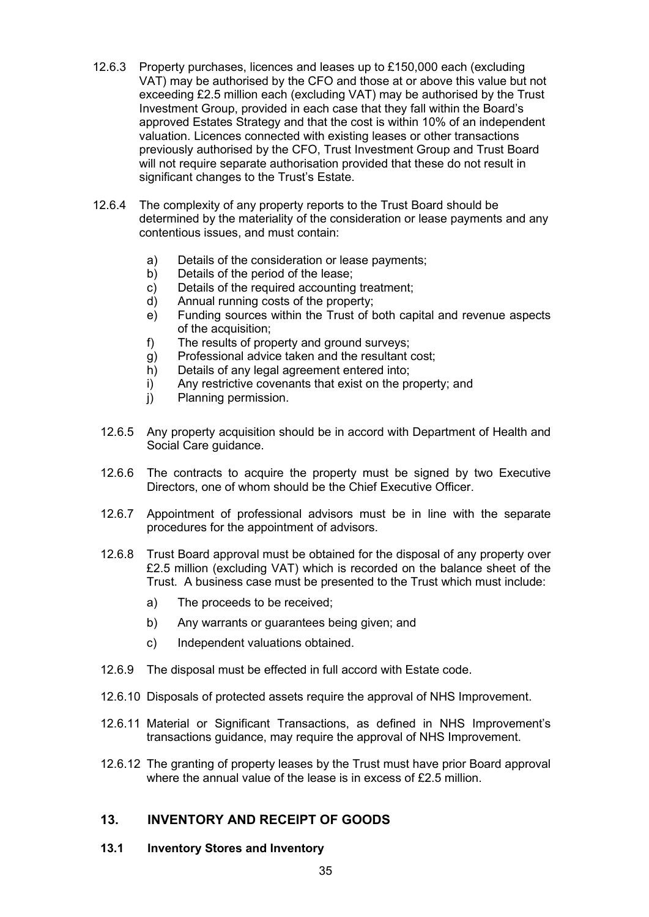- 12.6.3 Property purchases, licences and leases up to £150,000 each (excluding VAT) may be authorised by the CFO and those at or above this value but not exceeding £2.5 million each (excluding VAT) may be authorised by the Trust Investment Group, provided in each case that they fall within the Board's approved Estates Strategy and that the cost is within 10% of an independent valuation. Licences connected with existing leases or other transactions previously authorised by the CFO, Trust Investment Group and Trust Board will not require separate authorisation provided that these do not result in significant changes to the Trust's Estate.
- 12.6.4 The complexity of any property reports to the Trust Board should be determined by the materiality of the consideration or lease payments and any contentious issues, and must contain:
	- a) Details of the consideration or lease payments;<br>b) Details of the period of the lease:
	- Details of the period of the lease:
	- c) Details of the required accounting treatment;
	- d) Annual running costs of the property;
	- e) Funding sources within the Trust of both capital and revenue aspects of the acquisition;
	- f) The results of property and ground surveys;
	- g) Professional advice taken and the resultant cost;
	- h) Details of any legal agreement entered into:
	- i) Any restrictive covenants that exist on the property; and
	- i) Planning permission.
	- 12.6.5 Any property acquisition should be in accord with Department of Health and Social Care guidance.
	- 12.6.6 The contracts to acquire the property must be signed by two Executive Directors, one of whom should be the Chief Executive Officer.
	- 12.6.7 Appointment of professional advisors must be in line with the separate procedures for the appointment of advisors.
	- 12.6.8 Trust Board approval must be obtained for the disposal of any property over £2.5 million (excluding VAT) which is recorded on the balance sheet of the Trust. A business case must be presented to the Trust which must include:
		- a) The proceeds to be received;
		- b) Any warrants or guarantees being given; and
		- c) Independent valuations obtained.
	- 12.6.9 The disposal must be effected in full accord with Estate code.
	- 12.6.10 Disposals of protected assets require the approval of NHS Improvement.
	- 12.6.11 Material or Significant Transactions, as defined in NHS Improvement's transactions guidance, may require the approval of NHS Improvement.
	- 12.6.12 The granting of property leases by the Trust must have prior Board approval where the annual value of the lease is in excess of £2.5 million.

## **13. INVENTORY AND RECEIPT OF GOODS**

#### **13.1 Inventory Stores and Inventory**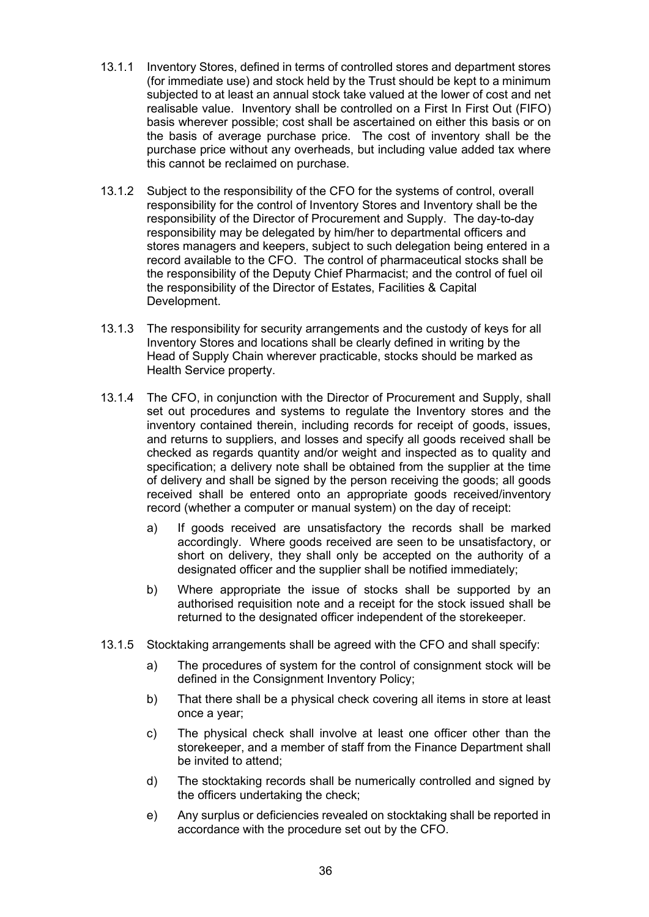- 13.1.1 Inventory Stores, defined in terms of controlled stores and department stores (for immediate use) and stock held by the Trust should be kept to a minimum subjected to at least an annual stock take valued at the lower of cost and net realisable value. Inventory shall be controlled on a First In First Out (FIFO) basis wherever possible; cost shall be ascertained on either this basis or on the basis of average purchase price. The cost of inventory shall be the purchase price without any overheads, but including value added tax where this cannot be reclaimed on purchase.
- 13.1.2 Subject to the responsibility of the CFO for the systems of control, overall responsibility for the control of Inventory Stores and Inventory shall be the responsibility of the Director of Procurement and Supply. The day-to-day responsibility may be delegated by him/her to departmental officers and stores managers and keepers, subject to such delegation being entered in a record available to the CFO. The control of pharmaceutical stocks shall be the responsibility of the Deputy Chief Pharmacist; and the control of fuel oil the responsibility of the Director of Estates, Facilities & Capital Development.
- 13.1.3 The responsibility for security arrangements and the custody of keys for all Inventory Stores and locations shall be clearly defined in writing by the Head of Supply Chain wherever practicable, stocks should be marked as Health Service property.
- 13.1.4 The CFO, in conjunction with the Director of Procurement and Supply, shall set out procedures and systems to regulate the Inventory stores and the inventory contained therein, including records for receipt of goods, issues, and returns to suppliers, and losses and specify all goods received shall be checked as regards quantity and/or weight and inspected as to quality and specification; a delivery note shall be obtained from the supplier at the time of delivery and shall be signed by the person receiving the goods; all goods received shall be entered onto an appropriate goods received/inventory record (whether a computer or manual system) on the day of receipt:
	- a) If goods received are unsatisfactory the records shall be marked accordingly. Where goods received are seen to be unsatisfactory, or short on delivery, they shall only be accepted on the authority of a designated officer and the supplier shall be notified immediately;
	- b) Where appropriate the issue of stocks shall be supported by an authorised requisition note and a receipt for the stock issued shall be returned to the designated officer independent of the storekeeper.
- 13.1.5 Stocktaking arrangements shall be agreed with the CFO and shall specify:
	- a) The procedures of system for the control of consignment stock will be defined in the Consignment Inventory Policy;
	- b) That there shall be a physical check covering all items in store at least once a year;
	- c) The physical check shall involve at least one officer other than the storekeeper, and a member of staff from the Finance Department shall be invited to attend;
	- d) The stocktaking records shall be numerically controlled and signed by the officers undertaking the check;
	- e) Any surplus or deficiencies revealed on stocktaking shall be reported in accordance with the procedure set out by the CFO.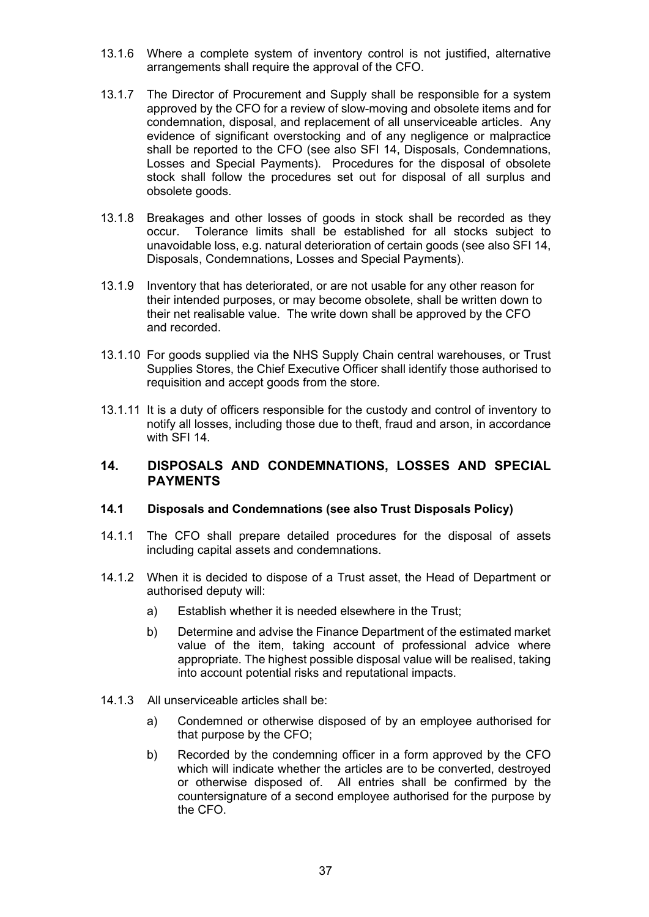- 13.1.6 Where a complete system of inventory control is not justified, alternative arrangements shall require the approval of the CFO.
- 13.1.7 The Director of Procurement and Supply shall be responsible for a system approved by the CFO for a review of slow-moving and obsolete items and for condemnation, disposal, and replacement of all unserviceable articles. Any evidence of significant overstocking and of any negligence or malpractice shall be reported to the CFO (see also SFI 14, Disposals, Condemnations, Losses and Special Payments). Procedures for the disposal of obsolete stock shall follow the procedures set out for disposal of all surplus and obsolete goods.
- 13.1.8 Breakages and other losses of goods in stock shall be recorded as they occur. Tolerance limits shall be established for all stocks subject to unavoidable loss, e.g. natural deterioration of certain goods (see also SFI 14, Disposals, Condemnations, Losses and Special Payments).
- 13.1.9 Inventory that has deteriorated, or are not usable for any other reason for their intended purposes, or may become obsolete, shall be written down to their net realisable value. The write down shall be approved by the CFO and recorded.
- 13.1.10 For goods supplied via the NHS Supply Chain central warehouses, or Trust Supplies Stores, the Chief Executive Officer shall identify those authorised to requisition and accept goods from the store.
- 13.1.11 It is a duty of officers responsible for the custody and control of inventory to notify all losses, including those due to theft, fraud and arson, in accordance with SFI 14

## **14. DISPOSALS AND CONDEMNATIONS, LOSSES AND SPECIAL PAYMENTS**

## **14.1 Disposals and Condemnations (see also Trust Disposals Policy)**

- 14.1.1 The CFO shall prepare detailed procedures for the disposal of assets including capital assets and condemnations.
- 14.1.2 When it is decided to dispose of a Trust asset, the Head of Department or authorised deputy will:
	- a) Establish whether it is needed elsewhere in the Trust;
	- b) Determine and advise the Finance Department of the estimated market value of the item, taking account of professional advice where appropriate. The highest possible disposal value will be realised, taking into account potential risks and reputational impacts.
- 14.1.3 All unserviceable articles shall be:
	- a) Condemned or otherwise disposed of by an employee authorised for that purpose by the CFO;
	- b) Recorded by the condemning officer in a form approved by the CFO which will indicate whether the articles are to be converted, destroyed or otherwise disposed of. All entries shall be confirmed by the countersignature of a second employee authorised for the purpose by the CFO.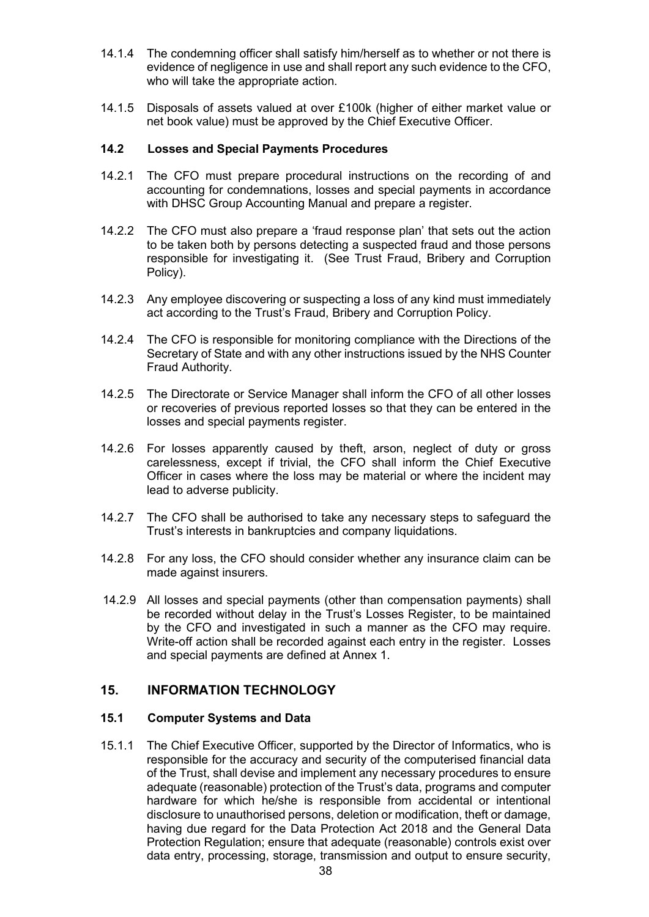- 14.1.4 The condemning officer shall satisfy him/herself as to whether or not there is evidence of negligence in use and shall report any such evidence to the CFO, who will take the appropriate action.
- 14.1.5 Disposals of assets valued at over £100k (higher of either market value or net book value) must be approved by the Chief Executive Officer.

#### **14.2 Losses and Special Payments Procedures**

- 14.2.1 The CFO must prepare procedural instructions on the recording of and accounting for condemnations, losses and special payments in accordance with DHSC Group Accounting Manual and prepare a register.
- 14.2.2 The CFO must also prepare a 'fraud response plan' that sets out the action to be taken both by persons detecting a suspected fraud and those persons responsible for investigating it. (See Trust Fraud, Bribery and Corruption Policy).
- 14.2.3 Any employee discovering or suspecting a loss of any kind must immediately act according to the Trust's Fraud, Bribery and Corruption Policy.
- 14.2.4 The CFO is responsible for monitoring compliance with the Directions of the Secretary of State and with any other instructions issued by the NHS Counter Fraud Authority.
- 14.2.5 The Directorate or Service Manager shall inform the CFO of all other losses or recoveries of previous reported losses so that they can be entered in the losses and special payments register.
- 14.2.6 For losses apparently caused by theft, arson, neglect of duty or gross carelessness, except if trivial, the CFO shall inform the Chief Executive Officer in cases where the loss may be material or where the incident may lead to adverse publicity.
- 14.2.7 The CFO shall be authorised to take any necessary steps to safeguard the Trust's interests in bankruptcies and company liquidations.
- 14.2.8 For any loss, the CFO should consider whether any insurance claim can be made against insurers.
- 14.2.9 All losses and special payments (other than compensation payments) shall be recorded without delay in the Trust's Losses Register, to be maintained by the CFO and investigated in such a manner as the CFO may require. Write-off action shall be recorded against each entry in the register. Losses and special payments are defined at Annex 1.

## **15. INFORMATION TECHNOLOGY**

#### **15.1 Computer Systems and Data**

15.1.1 The Chief Executive Officer, supported by the Director of Informatics, who is responsible for the accuracy and security of the computerised financial data of the Trust, shall devise and implement any necessary procedures to ensure adequate (reasonable) protection of the Trust's data, programs and computer hardware for which he/she is responsible from accidental or intentional disclosure to unauthorised persons, deletion or modification, theft or damage, having due regard for the Data Protection Act 2018 and the General Data Protection Regulation; ensure that adequate (reasonable) controls exist over data entry, processing, storage, transmission and output to ensure security,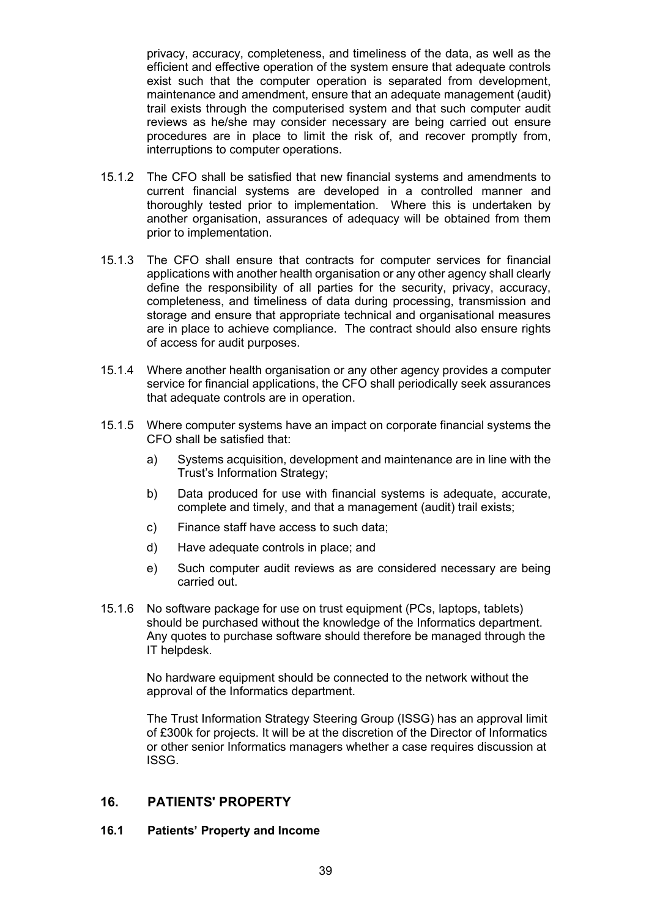privacy, accuracy, completeness, and timeliness of the data, as well as the efficient and effective operation of the system ensure that adequate controls exist such that the computer operation is separated from development, maintenance and amendment, ensure that an adequate management (audit) trail exists through the computerised system and that such computer audit reviews as he/she may consider necessary are being carried out ensure procedures are in place to limit the risk of, and recover promptly from, interruptions to computer operations.

- 15.1.2 The CFO shall be satisfied that new financial systems and amendments to current financial systems are developed in a controlled manner and thoroughly tested prior to implementation. Where this is undertaken by another organisation, assurances of adequacy will be obtained from them prior to implementation.
- 15.1.3 The CFO shall ensure that contracts for computer services for financial applications with another health organisation or any other agency shall clearly define the responsibility of all parties for the security, privacy, accuracy, completeness, and timeliness of data during processing, transmission and storage and ensure that appropriate technical and organisational measures are in place to achieve compliance. The contract should also ensure rights of access for audit purposes.
- 15.1.4 Where another health organisation or any other agency provides a computer service for financial applications, the CFO shall periodically seek assurances that adequate controls are in operation.
- 15.1.5 Where computer systems have an impact on corporate financial systems the CFO shall be satisfied that:
	- a) Systems acquisition, development and maintenance are in line with the Trust's Information Strategy;
	- b) Data produced for use with financial systems is adequate, accurate, complete and timely, and that a management (audit) trail exists;
	- c) Finance staff have access to such data;
	- d) Have adequate controls in place; and
	- e) Such computer audit reviews as are considered necessary are being carried out.
- 15.1.6 No software package for use on trust equipment (PCs, laptops, tablets) should be purchased without the knowledge of the Informatics department. Any quotes to purchase software should therefore be managed through the IT helpdesk.

No hardware equipment should be connected to the network without the approval of the Informatics department.

The Trust Information Strategy Steering Group (ISSG) has an approval limit of £300k for projects. It will be at the discretion of the Director of Informatics or other senior Informatics managers whether a case requires discussion at ISSG.

## **16. PATIENTS' PROPERTY**

#### **16.1 Patients' Property and Income**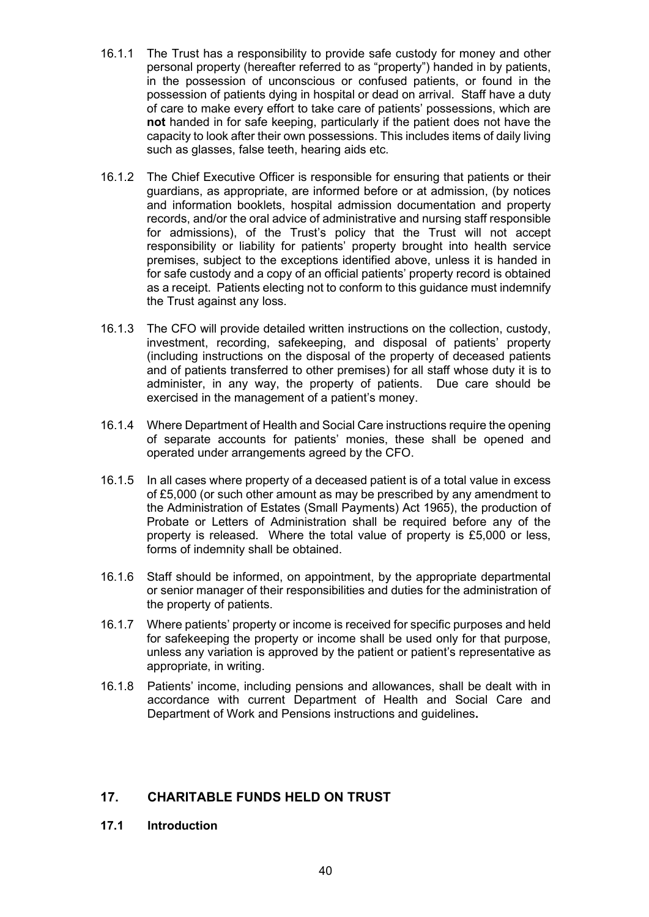- 16.1.1 The Trust has a responsibility to provide safe custody for money and other personal property (hereafter referred to as "property") handed in by patients, in the possession of unconscious or confused patients, or found in the possession of patients dying in hospital or dead on arrival. Staff have a duty of care to make every effort to take care of patients' possessions, which are **not** handed in for safe keeping, particularly if the patient does not have the capacity to look after their own possessions. This includes items of daily living such as glasses, false teeth, hearing aids etc.
- 16.1.2 The Chief Executive Officer is responsible for ensuring that patients or their guardians, as appropriate, are informed before or at admission, (by notices and information booklets, hospital admission documentation and property records, and/or the oral advice of administrative and nursing staff responsible for admissions), of the Trust's policy that the Trust will not accept responsibility or liability for patients' property brought into health service premises, subject to the exceptions identified above, unless it is handed in for safe custody and a copy of an official patients' property record is obtained as a receipt. Patients electing not to conform to this guidance must indemnify the Trust against any loss.
- 16.1.3 The CFO will provide detailed written instructions on the collection, custody, investment, recording, safekeeping, and disposal of patients' property (including instructions on the disposal of the property of deceased patients and of patients transferred to other premises) for all staff whose duty it is to administer, in any way, the property of patients. Due care should be exercised in the management of a patient's money.
- 16.1.4 Where Department of Health and Social Care instructions require the opening of separate accounts for patients' monies, these shall be opened and operated under arrangements agreed by the CFO.
- 16.1.5 In all cases where property of a deceased patient is of a total value in excess of £5,000 (or such other amount as may be prescribed by any amendment to the Administration of Estates (Small Payments) Act 1965), the production of Probate or Letters of Administration shall be required before any of the property is released. Where the total value of property is £5,000 or less, forms of indemnity shall be obtained.
- 16.1.6 Staff should be informed, on appointment, by the appropriate departmental or senior manager of their responsibilities and duties for the administration of the property of patients.
- 16.1.7 Where patients' property or income is received for specific purposes and held for safekeeping the property or income shall be used only for that purpose, unless any variation is approved by the patient or patient's representative as appropriate, in writing.
- 16.1.8 Patients' income, including pensions and allowances, shall be dealt with in accordance with current Department of Health and Social Care and Department of Work and Pensions instructions and guidelines**.**

# **17. CHARITABLE FUNDS HELD ON TRUST**

**17.1 Introduction**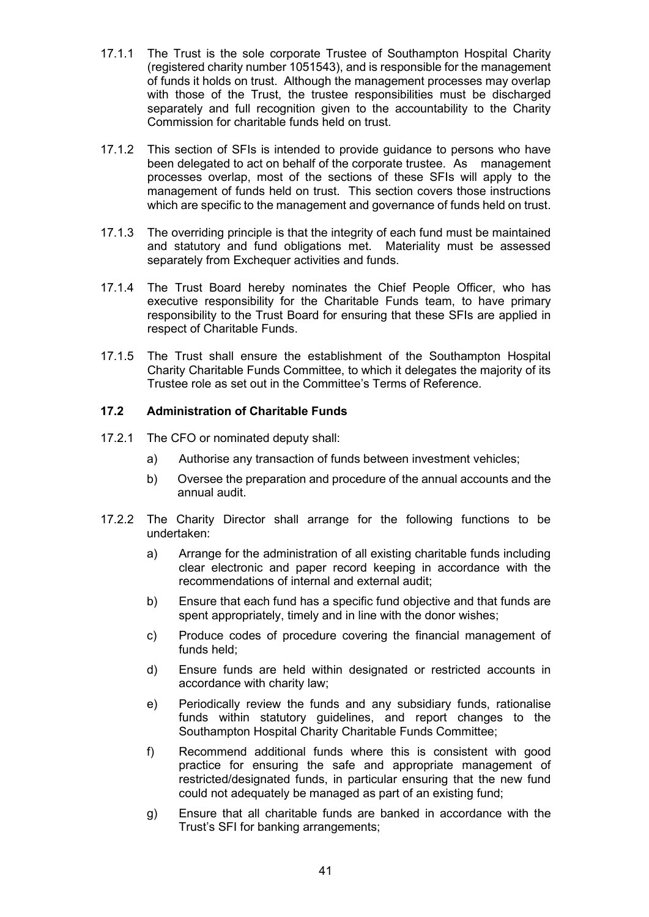- 17.1.1 The Trust is the sole corporate Trustee of Southampton Hospital Charity (registered charity number 1051543), and is responsible for the management of funds it holds on trust. Although the management processes may overlap with those of the Trust, the trustee responsibilities must be discharged separately and full recognition given to the accountability to the Charity Commission for charitable funds held on trust.
- 17.1.2 This section of SFIs is intended to provide guidance to persons who have been delegated to act on behalf of the corporate trustee. As management processes overlap, most of the sections of these SFIs will apply to the management of funds held on trust. This section covers those instructions which are specific to the management and governance of funds held on trust.
- 17.1.3 The overriding principle is that the integrity of each fund must be maintained and statutory and fund obligations met. Materiality must be assessed separately from Exchequer activities and funds.
- 17.1.4 The Trust Board hereby nominates the Chief People Officer, who has executive responsibility for the Charitable Funds team, to have primary responsibility to the Trust Board for ensuring that these SFIs are applied in respect of Charitable Funds.
- 17.1.5 The Trust shall ensure the establishment of the Southampton Hospital Charity Charitable Funds Committee, to which it delegates the majority of its Trustee role as set out in the Committee's Terms of Reference.

## **17.2 Administration of Charitable Funds**

- 17.2.1 The CFO or nominated deputy shall:
	- a) Authorise any transaction of funds between investment vehicles;
	- b) Oversee the preparation and procedure of the annual accounts and the annual audit.
- 17.2.2 The Charity Director shall arrange for the following functions to be undertaken:
	- a) Arrange for the administration of all existing charitable funds including clear electronic and paper record keeping in accordance with the recommendations of internal and external audit;
	- b) Ensure that each fund has a specific fund objective and that funds are spent appropriately, timely and in line with the donor wishes;
	- c) Produce codes of procedure covering the financial management of funds held;
	- d) Ensure funds are held within designated or restricted accounts in accordance with charity law;
	- e) Periodically review the funds and any subsidiary funds, rationalise funds within statutory guidelines, and report changes to the Southampton Hospital Charity Charitable Funds Committee;
	- f) Recommend additional funds where this is consistent with good practice for ensuring the safe and appropriate management of restricted/designated funds, in particular ensuring that the new fund could not adequately be managed as part of an existing fund;
	- g) Ensure that all charitable funds are banked in accordance with the Trust's SFI for banking arrangements;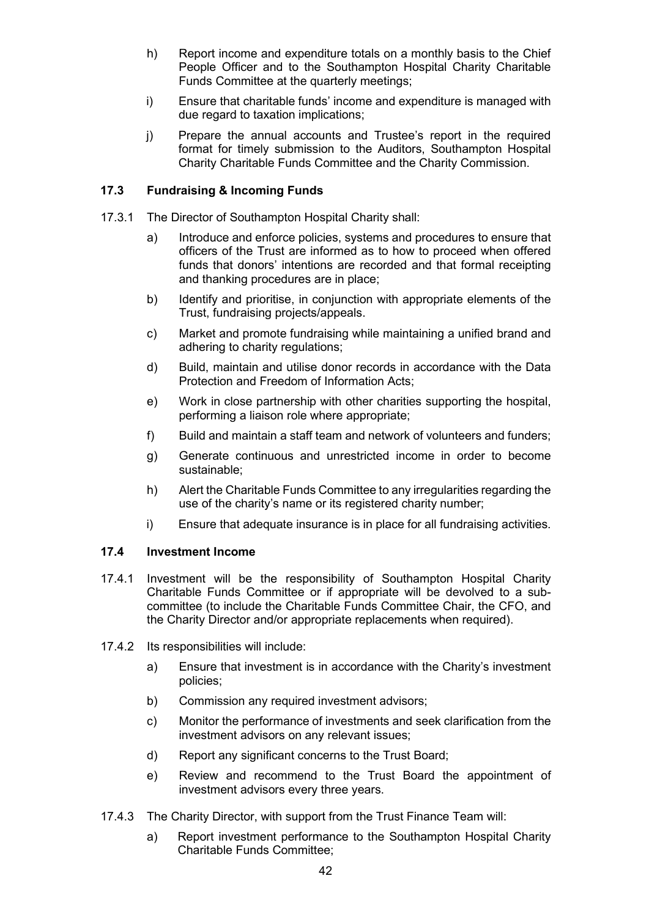- h) Report income and expenditure totals on a monthly basis to the Chief People Officer and to the Southampton Hospital Charity Charitable Funds Committee at the quarterly meetings;
- i) Ensure that charitable funds' income and expenditure is managed with due regard to taxation implications;
- j) Prepare the annual accounts and Trustee's report in the required format for timely submission to the Auditors, Southampton Hospital Charity Charitable Funds Committee and the Charity Commission.

## **17.3 Fundraising & Incoming Funds**

- 17.3.1 The Director of Southampton Hospital Charity shall:
	- a) Introduce and enforce policies, systems and procedures to ensure that officers of the Trust are informed as to how to proceed when offered funds that donors' intentions are recorded and that formal receipting and thanking procedures are in place;
	- b) Identify and prioritise, in conjunction with appropriate elements of the Trust, fundraising projects/appeals.
	- c) Market and promote fundraising while maintaining a unified brand and adhering to charity regulations;
	- d) Build, maintain and utilise donor records in accordance with the Data Protection and Freedom of Information Acts;
	- e) Work in close partnership with other charities supporting the hospital, performing a liaison role where appropriate;
	- f) Build and maintain a staff team and network of volunteers and funders;
	- g) Generate continuous and unrestricted income in order to become sustainable;
	- h) Alert the Charitable Funds Committee to any irregularities regarding the use of the charity's name or its registered charity number;
	- i) Ensure that adequate insurance is in place for all fundraising activities.

## **17.4 Investment Income**

- 17.4.1 Investment will be the responsibility of Southampton Hospital Charity Charitable Funds Committee or if appropriate will be devolved to a subcommittee (to include the Charitable Funds Committee Chair, the CFO, and the Charity Director and/or appropriate replacements when required).
- 17.4.2 Its responsibilities will include:
	- a) Ensure that investment is in accordance with the Charity's investment policies;
	- b) Commission any required investment advisors;
	- c) Monitor the performance of investments and seek clarification from the investment advisors on any relevant issues;
	- d) Report any significant concerns to the Trust Board;
	- e) Review and recommend to the Trust Board the appointment of investment advisors every three years.
- 17.4.3 The Charity Director, with support from the Trust Finance Team will:
	- a) Report investment performance to the Southampton Hospital Charity Charitable Funds Committee;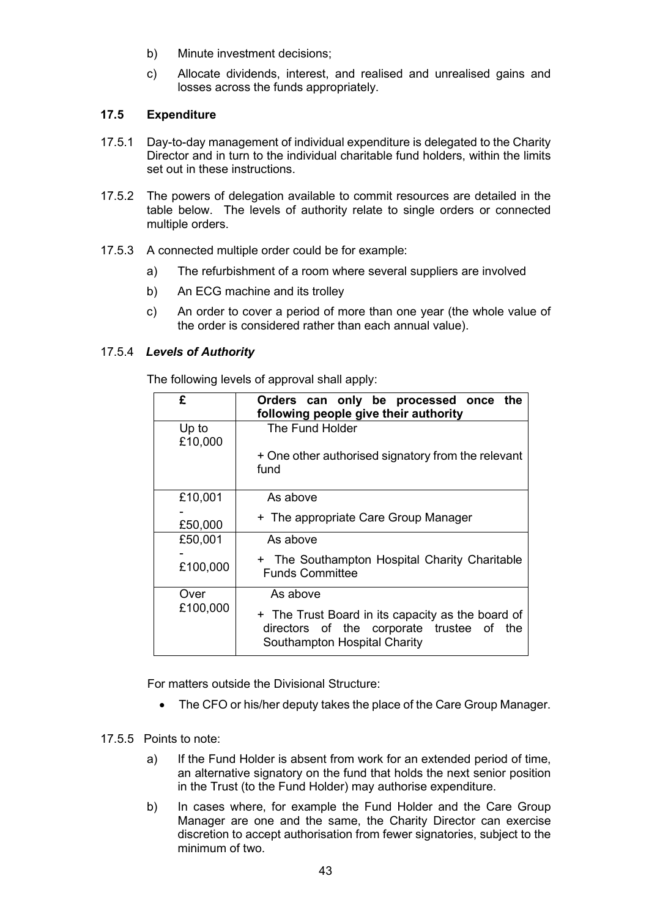- b) Minute investment decisions;
- c) Allocate dividends, interest, and realised and unrealised gains and losses across the funds appropriately.

## **17.5 Expenditure**

- 17.5.1 Day-to-day management of individual expenditure is delegated to the Charity Director and in turn to the individual charitable fund holders, within the limits set out in these instructions.
- 17.5.2 The powers of delegation available to commit resources are detailed in the table below. The levels of authority relate to single orders or connected multiple orders.
- 17.5.3 A connected multiple order could be for example:
	- a) The refurbishment of a room where several suppliers are involved
	- b) An ECG machine and its trolley
	- c) An order to cover a period of more than one year (the whole value of the order is considered rather than each annual value).

## 17.5.4*Levels of Authority*

The following levels of approval shall apply:

| £                | Orders can only be processed once the<br>following people give their authority                                                 |
|------------------|--------------------------------------------------------------------------------------------------------------------------------|
| Up to<br>£10,000 | The Fund Holder                                                                                                                |
|                  | + One other authorised signatory from the relevant<br>fund                                                                     |
| £10,001          | As above                                                                                                                       |
| £50,000          | + The appropriate Care Group Manager                                                                                           |
| £50,001          | As above                                                                                                                       |
| £100,000         | + The Southampton Hospital Charity Charitable<br><b>Funds Committee</b>                                                        |
| Over             | As above                                                                                                                       |
| £100,000         | + The Trust Board in its capacity as the board of<br>directors of the corporate trustee of the<br>Southampton Hospital Charity |

For matters outside the Divisional Structure:

• The CFO or his/her deputy takes the place of the Care Group Manager.

#### 17.5.5 Points to note:

- a) If the Fund Holder is absent from work for an extended period of time, an alternative signatory on the fund that holds the next senior position in the Trust (to the Fund Holder) may authorise expenditure.
- b) In cases where, for example the Fund Holder and the Care Group Manager are one and the same, the Charity Director can exercise discretion to accept authorisation from fewer signatories, subject to the minimum of two.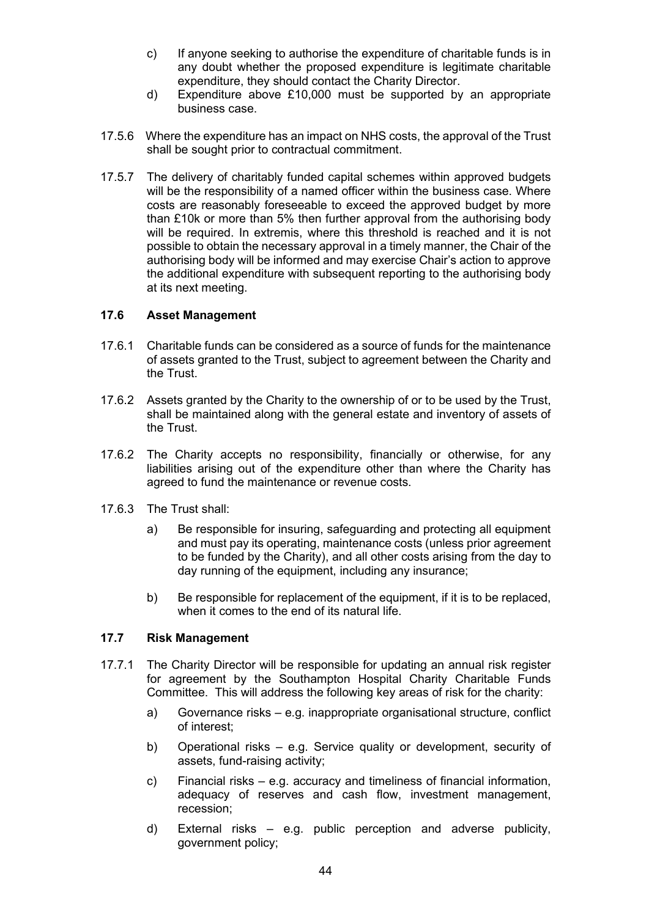- c) If anyone seeking to authorise the expenditure of charitable funds is in any doubt whether the proposed expenditure is legitimate charitable expenditure, they should contact the Charity Director.
- d) Expenditure above £10,000 must be supported by an appropriate business case.
- 17.5.6 Where the expenditure has an impact on NHS costs, the approval of the Trust shall be sought prior to contractual commitment.
- 17.5.7 The delivery of charitably funded capital schemes within approved budgets will be the responsibility of a named officer within the business case. Where costs are reasonably foreseeable to exceed the approved budget by more than £10k or more than 5% then further approval from the authorising body will be required. In extremis, where this threshold is reached and it is not possible to obtain the necessary approval in a timely manner, the Chair of the authorising body will be informed and may exercise Chair's action to approve the additional expenditure with subsequent reporting to the authorising body at its next meeting.

#### **17.6 Asset Management**

- 17.6.1 Charitable funds can be considered as a source of funds for the maintenance of assets granted to the Trust, subject to agreement between the Charity and the Trust.
- 17.6.2 Assets granted by the Charity to the ownership of or to be used by the Trust, shall be maintained along with the general estate and inventory of assets of the Trust.
- 17.6.2 The Charity accepts no responsibility, financially or otherwise, for any liabilities arising out of the expenditure other than where the Charity has agreed to fund the maintenance or revenue costs.
- 17.6.3 The Trust shall:
	- a) Be responsible for insuring, safeguarding and protecting all equipment and must pay its operating, maintenance costs (unless prior agreement to be funded by the Charity), and all other costs arising from the day to day running of the equipment, including any insurance;
	- b) Be responsible for replacement of the equipment, if it is to be replaced, when it comes to the end of its natural life.

#### **17.7 Risk Management**

- 17.7.1 The Charity Director will be responsible for updating an annual risk register for agreement by the Southampton Hospital Charity Charitable Funds Committee. This will address the following key areas of risk for the charity:
	- a) Governance risks e.g. inappropriate organisational structure, conflict of interest;
	- b) Operational risks e.g. Service quality or development, security of assets, fund-raising activity;
	- c) Financial risks e.g. accuracy and timeliness of financial information, adequacy of reserves and cash flow, investment management, recession;
	- d) External risks e.g. public perception and adverse publicity, government policy;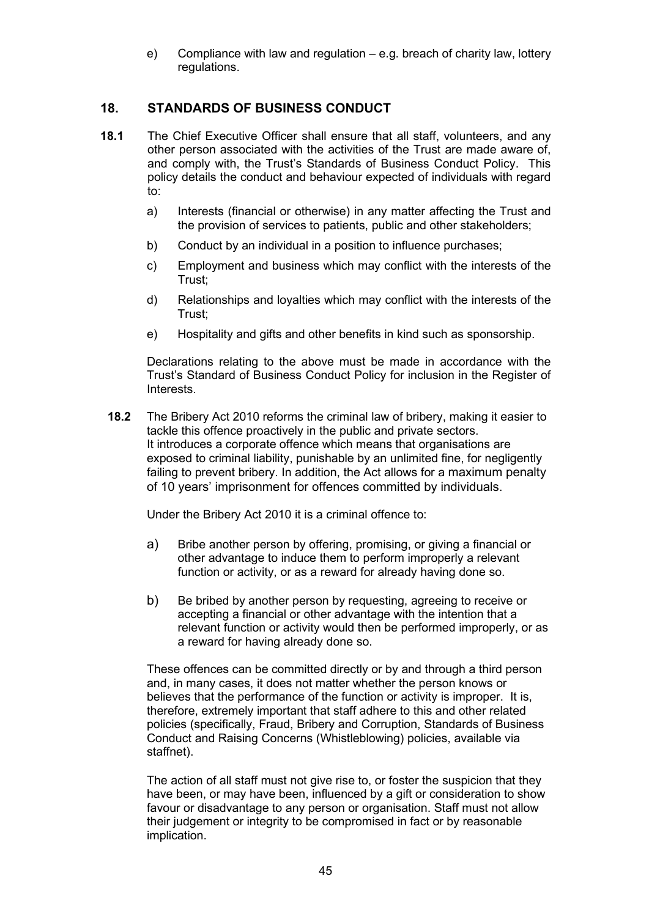e) Compliance with law and regulation – e.g. breach of charity law, lottery regulations.

# **18. STANDARDS OF BUSINESS CONDUCT**

- **18.1** The Chief Executive Officer shall ensure that all staff, volunteers, and any other person associated with the activities of the Trust are made aware of, and comply with, the Trust's Standards of Business Conduct Policy. This policy details the conduct and behaviour expected of individuals with regard to:
	- a) Interests (financial or otherwise) in any matter affecting the Trust and the provision of services to patients, public and other stakeholders;
	- b) Conduct by an individual in a position to influence purchases;
	- c) Employment and business which may conflict with the interests of the Trust;
	- d) Relationships and loyalties which may conflict with the interests of the Trust;
	- e) Hospitality and gifts and other benefits in kind such as sponsorship.

Declarations relating to the above must be made in accordance with the Trust's Standard of Business Conduct Policy for inclusion in the Register of **Interests** 

**18.2** The Bribery Act 2010 reforms the criminal law of bribery, making it easier to tackle this offence proactively in the public and private sectors. It introduces a corporate offence which means that organisations are exposed to criminal liability, punishable by an unlimited fine, for negligently failing to prevent bribery. In addition, the Act allows for a maximum penalty of 10 years' imprisonment for offences committed by individuals.

Under the Bribery Act 2010 it is a criminal offence to:

- a) Bribe another person by offering, promising, or giving a financial or other advantage to induce them to perform improperly a relevant function or activity, or as a reward for already having done so.
- b) Be bribed by another person by requesting, agreeing to receive or accepting a financial or other advantage with the intention that a relevant function or activity would then be performed improperly, or as a reward for having already done so.

These offences can be committed directly or by and through a third person and, in many cases, it does not matter whether the person knows or believes that the performance of the function or activity is improper. It is, therefore, extremely important that staff adhere to this and other related policies (specifically, Fraud, Bribery and Corruption, Standards of Business Conduct and Raising Concerns (Whistleblowing) policies, available via staffnet).

The action of all staff must not give rise to, or foster the suspicion that they have been, or may have been, influenced by a gift or consideration to show favour or disadvantage to any person or organisation. Staff must not allow their judgement or integrity to be compromised in fact or by reasonable implication.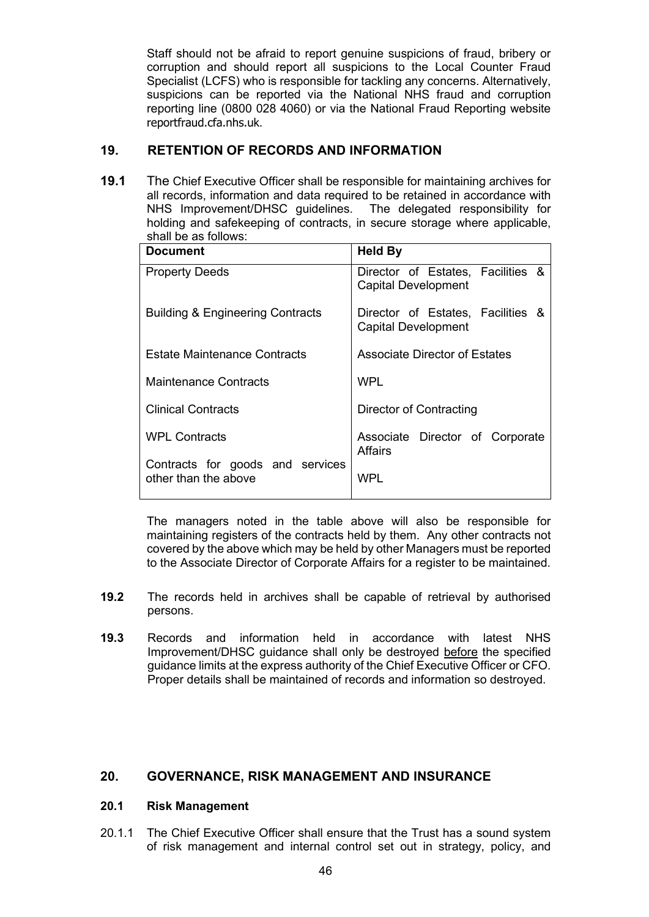Staff should not be afraid to report genuine suspicions of fraud, bribery or corruption and should report all suspicions to the Local Counter Fraud Specialist (LCFS) who is responsible for tackling any concerns. Alternatively, suspicions can be reported via the National NHS fraud and corruption reporting line (0800 028 4060) or via the National Fraud Reporting website reportfraud.cfa.nhs.uk.

# **19. RETENTION OF RECORDS AND INFORMATION**

**19.1** The Chief Executive Officer shall be responsible for maintaining archives for all records, information and data required to be retained in accordance with NHS Improvement/DHSC guidelines. The delegated responsibility for holding and safekeeping of contracts, in secure storage where applicable, shall be as follows:

| <b>Document</b>                                          | <b>Held By</b>                                                  |
|----------------------------------------------------------|-----------------------------------------------------------------|
| <b>Property Deeds</b>                                    | Director of Estates, Facilities &<br><b>Capital Development</b> |
| <b>Building &amp; Engineering Contracts</b>              | Director of Estates, Facilities &<br><b>Capital Development</b> |
| Estate Maintenance Contracts                             | <b>Associate Director of Estates</b>                            |
| <b>Maintenance Contracts</b>                             | WPI                                                             |
| <b>Clinical Contracts</b>                                | Director of Contracting                                         |
| <b>WPL Contracts</b>                                     | Associate Director of Corporate<br><b>Affairs</b>               |
| Contracts for goods and services<br>other than the above | WPL                                                             |

The managers noted in the table above will also be responsible for maintaining registers of the contracts held by them. Any other contracts not covered by the above which may be held by other Managers must be reported to the Associate Director of Corporate Affairs for a register to be maintained.

- **19.2** The records held in archives shall be capable of retrieval by authorised persons.
- **19.3** Records and information held in accordance with latest NHS Improvement/DHSC guidance shall only be destroyed before the specified guidance limits at the express authority of the Chief Executive Officer or CFO. Proper details shall be maintained of records and information so destroyed.

## **20. GOVERNANCE, RISK MANAGEMENT AND INSURANCE**

## **20.1 Risk Management**

20.1.1 The Chief Executive Officer shall ensure that the Trust has a sound system of risk management and internal control set out in strategy, policy, and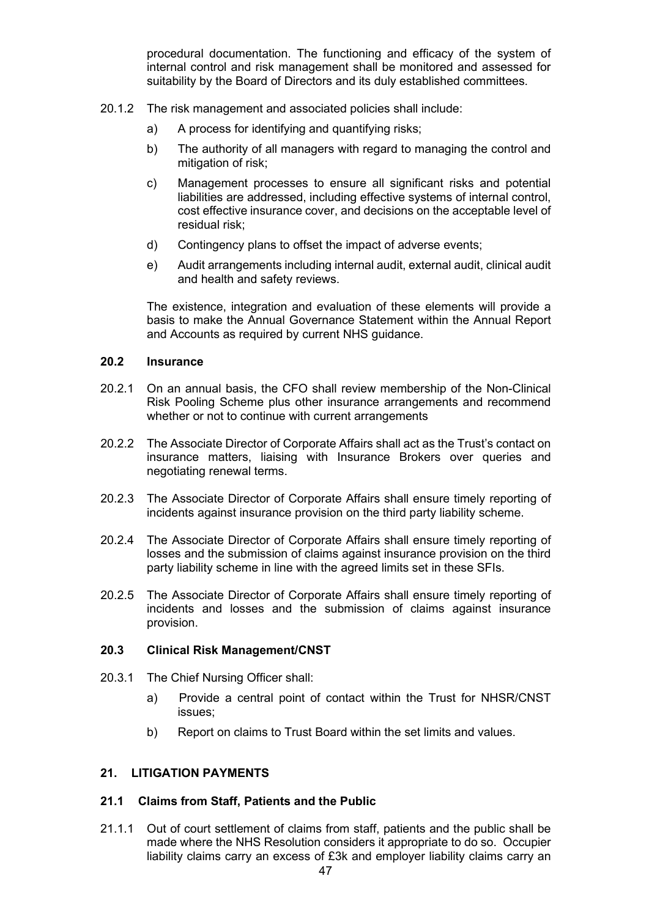procedural documentation. The functioning and efficacy of the system of internal control and risk management shall be monitored and assessed for suitability by the Board of Directors and its duly established committees.

- 20.1.2 The risk management and associated policies shall include:
	- a) A process for identifying and quantifying risks;
	- b) The authority of all managers with regard to managing the control and mitigation of risk;
	- c) Management processes to ensure all significant risks and potential liabilities are addressed, including effective systems of internal control, cost effective insurance cover, and decisions on the acceptable level of residual risk;
	- d) Contingency plans to offset the impact of adverse events;
	- e) Audit arrangements including internal audit, external audit, clinical audit and health and safety reviews.

The existence, integration and evaluation of these elements will provide a basis to make the Annual Governance Statement within the Annual Report and Accounts as required by current NHS guidance.

#### **20.2 Insurance**

- 20.2.1 On an annual basis, the CFO shall review membership of the Non-Clinical Risk Pooling Scheme plus other insurance arrangements and recommend whether or not to continue with current arrangements
- 20.2.2 The Associate Director of Corporate Affairs shall act as the Trust's contact on insurance matters, liaising with Insurance Brokers over queries and negotiating renewal terms.
- 20.2.3 The Associate Director of Corporate Affairs shall ensure timely reporting of incidents against insurance provision on the third party liability scheme.
- 20.2.4 The Associate Director of Corporate Affairs shall ensure timely reporting of losses and the submission of claims against insurance provision on the third party liability scheme in line with the agreed limits set in these SFIs.
- 20.2.5 The Associate Director of Corporate Affairs shall ensure timely reporting of incidents and losses and the submission of claims against insurance provision.

#### **20.3 Clinical Risk Management/CNST**

- 20.3.1 The Chief Nursing Officer shall:
	- a) Provide a central point of contact within the Trust for NHSR/CNST issues;
	- b) Report on claims to Trust Board within the set limits and values.

## **21. LITIGATION PAYMENTS**

#### **21.1 Claims from Staff, Patients and the Public**

21.1.1 Out of court settlement of claims from staff, patients and the public shall be made where the NHS Resolution considers it appropriate to do so. Occupier liability claims carry an excess of £3k and employer liability claims carry an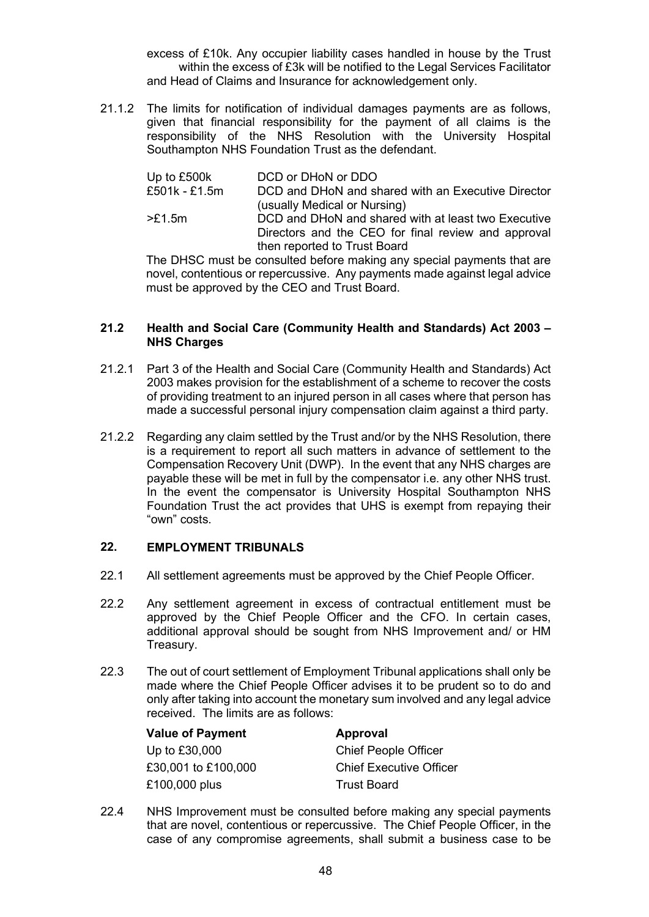excess of £10k. Any occupier liability cases handled in house by the Trust within the excess of £3k will be notified to the Legal Services Facilitator and Head of Claims and Insurance for acknowledgement only.

21.1.2 The limits for notification of individual damages payments are as follows, given that financial responsibility for the payment of all claims is the responsibility of the NHS Resolution with the University Hospital Southampton NHS Foundation Trust as the defendant.

| Up to £500k   | DCD or DHoN or DDO                                                                 |
|---------------|------------------------------------------------------------------------------------|
| £501k - £1.5m | DCD and DHoN and shared with an Executive Director<br>(usually Medical or Nursing) |
| >£1.5m        | DCD and DHoN and shared with at least two Executive                                |
|               | Directors and the CEO for final review and approval                                |
|               | then reported to Trust Board                                                       |

The DHSC must be consulted before making any special payments that are novel, contentious or repercussive. Any payments made against legal advice must be approved by the CEO and Trust Board.

#### **21.2 Health and Social Care (Community Health and Standards) Act 2003 – NHS Charges**

- 21.2.1 Part 3 of the Health and Social Care (Community Health and Standards) Act 2003 makes provision for the establishment of a scheme to recover the costs of providing treatment to an injured person in all cases where that person has made a successful personal injury compensation claim against a third party.
- 21.2.2 Regarding any claim settled by the Trust and/or by the NHS Resolution, there is a requirement to report all such matters in advance of settlement to the Compensation Recovery Unit (DWP). In the event that any NHS charges are payable these will be met in full by the compensator i.e. any other NHS trust. In the event the compensator is University Hospital Southampton NHS Foundation Trust the act provides that UHS is exempt from repaying their "own" costs.

## **22. EMPLOYMENT TRIBUNALS**

- 22.1 All settlement agreements must be approved by the Chief People Officer.
- 22.2 Any settlement agreement in excess of contractual entitlement must be approved by the Chief People Officer and the CFO. In certain cases, additional approval should be sought from NHS Improvement and/ or HM Treasury.
- 22.3 The out of court settlement of Employment Tribunal applications shall only be made where the Chief People Officer advises it to be prudent so to do and only after taking into account the monetary sum involved and any legal advice received. The limits are as follows:

| <b>Value of Payment</b> | Approval                       |
|-------------------------|--------------------------------|
| Up to £30,000           | <b>Chief People Officer</b>    |
| £30,001 to £100,000     | <b>Chief Executive Officer</b> |
| £100,000 plus           | Trust Board                    |

22.4 NHS Improvement must be consulted before making any special payments that are novel, contentious or repercussive. The Chief People Officer, in the case of any compromise agreements, shall submit a business case to be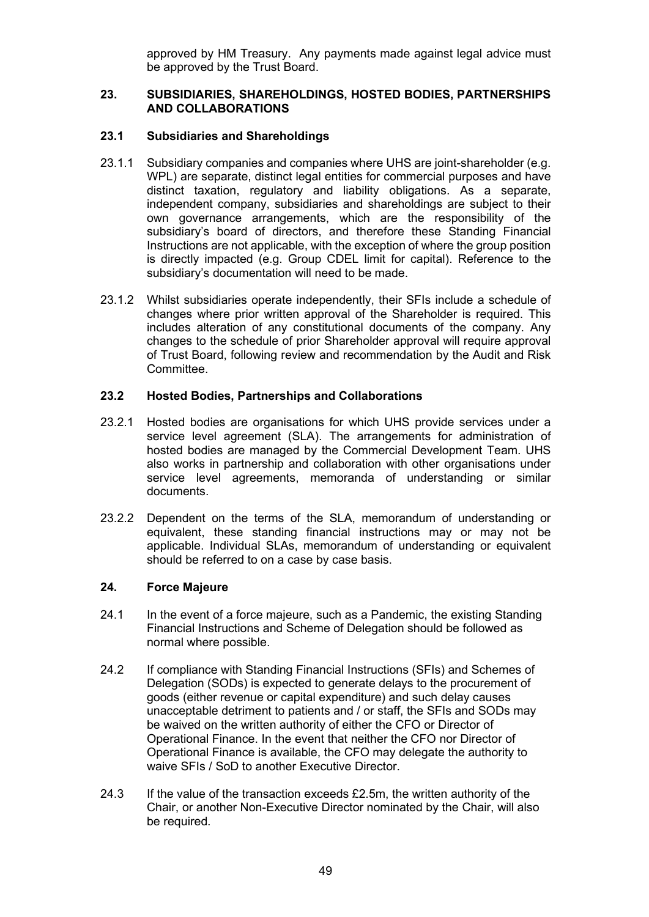approved by HM Treasury. Any payments made against legal advice must be approved by the Trust Board.

#### **23. SUBSIDIARIES, SHAREHOLDINGS, HOSTED BODIES, PARTNERSHIPS AND COLLABORATIONS**

#### **23.1 Subsidiaries and Shareholdings**

- 23.1.1 Subsidiary companies and companies where UHS are joint-shareholder (e.g. WPL) are separate, distinct legal entities for commercial purposes and have distinct taxation, regulatory and liability obligations. As a separate, independent company, subsidiaries and shareholdings are subject to their own governance arrangements, which are the responsibility of the subsidiary's board of directors, and therefore these Standing Financial Instructions are not applicable, with the exception of where the group position is directly impacted (e.g. Group CDEL limit for capital). Reference to the subsidiary's documentation will need to be made.
- 23.1.2 Whilst subsidiaries operate independently, their SFIs include a schedule of changes where prior written approval of the Shareholder is required. This includes alteration of any constitutional documents of the company. Any changes to the schedule of prior Shareholder approval will require approval of Trust Board, following review and recommendation by the Audit and Risk Committee.

#### **23.2 Hosted Bodies, Partnerships and Collaborations**

- 23.2.1 Hosted bodies are organisations for which UHS provide services under a service level agreement (SLA). The arrangements for administration of hosted bodies are managed by the Commercial Development Team. UHS also works in partnership and collaboration with other organisations under service level agreements, memoranda of understanding or similar documents.
- 23.2.2 Dependent on the terms of the SLA, memorandum of understanding or equivalent, these standing financial instructions may or may not be applicable. Individual SLAs, memorandum of understanding or equivalent should be referred to on a case by case basis.

#### **24. Force Majeure**

- 24.1 In the event of a force majeure, such as a Pandemic, the existing Standing Financial Instructions and Scheme of Delegation should be followed as normal where possible.
- 24.2 If compliance with Standing Financial Instructions (SFIs) and Schemes of Delegation (SODs) is expected to generate delays to the procurement of goods (either revenue or capital expenditure) and such delay causes unacceptable detriment to patients and / or staff, the SFIs and SODs may be waived on the written authority of either the CFO or Director of Operational Finance. In the event that neither the CFO nor Director of Operational Finance is available, the CFO may delegate the authority to waive SFIs / SoD to another Executive Director.
- 24.3 If the value of the transaction exceeds £2.5m, the written authority of the Chair, or another Non-Executive Director nominated by the Chair, will also be required.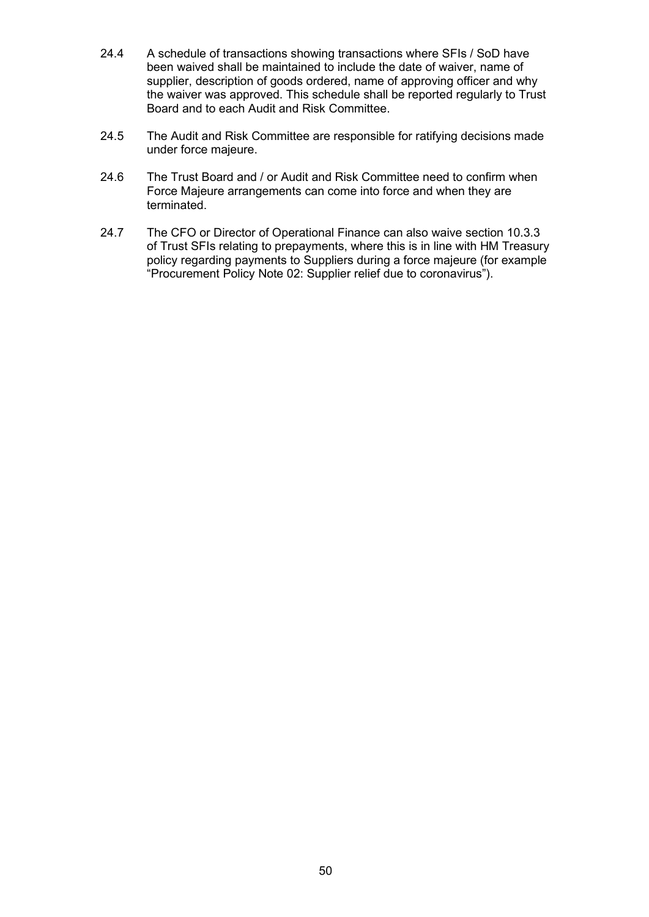- 24.4 A schedule of transactions showing transactions where SFIs / SoD have been waived shall be maintained to include the date of waiver, name of supplier, description of goods ordered, name of approving officer and why the waiver was approved. This schedule shall be reported regularly to Trust Board and to each Audit and Risk Committee.
- 24.5 The Audit and Risk Committee are responsible for ratifying decisions made under force majeure.
- 24.6 The Trust Board and / or Audit and Risk Committee need to confirm when Force Majeure arrangements can come into force and when they are terminated.
- 24.7 The CFO or Director of Operational Finance can also waive section 10.3.3 of Trust SFIs relating to prepayments, where this is in line with HM Treasury policy regarding payments to Suppliers during a force majeure (for example "Procurement Policy Note 02: Supplier relief due to coronavirus").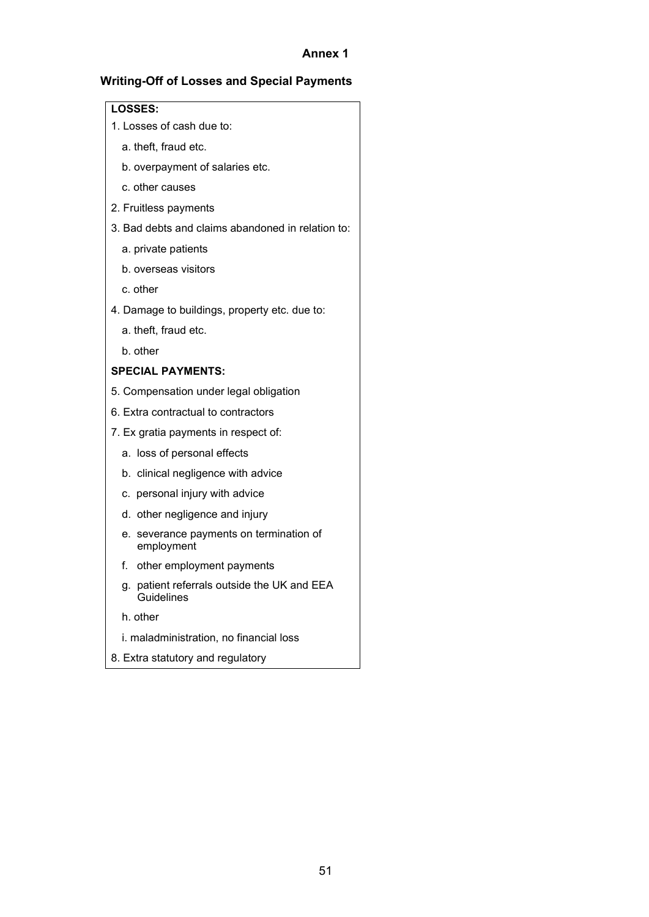## **Annex 1**

## **Writing-Off of Losses and Special Payments**

#### **LOSSES:**

- 1. Losses of cash due to:
	- a. theft, fraud etc.
	- b. overpayment of salaries etc.
	- c. other causes
- 2. Fruitless payments
- 3. Bad debts and claims abandoned in relation to:
	- a. private patients
	- b. overseas visitors
	- c. other
- 4. Damage to buildings, property etc. due to:
	- a. theft, fraud etc.
	- b. other

## **SPECIAL PAYMENTS:**

- 5. Compensation under legal obligation
- 6. Extra contractual to contractors
- 7. Ex gratia payments in respect of:
	- a. loss of personal effects
	- b. clinical negligence with advice
	- c. personal injury with advice
	- d. other negligence and injury
	- e. severance payments on termination of employment
	- f. other employment payments
	- g. patient referrals outside the UK and EEA **Guidelines**
	- h. other
	- i. maladministration, no financial loss
- 8. Extra statutory and regulatory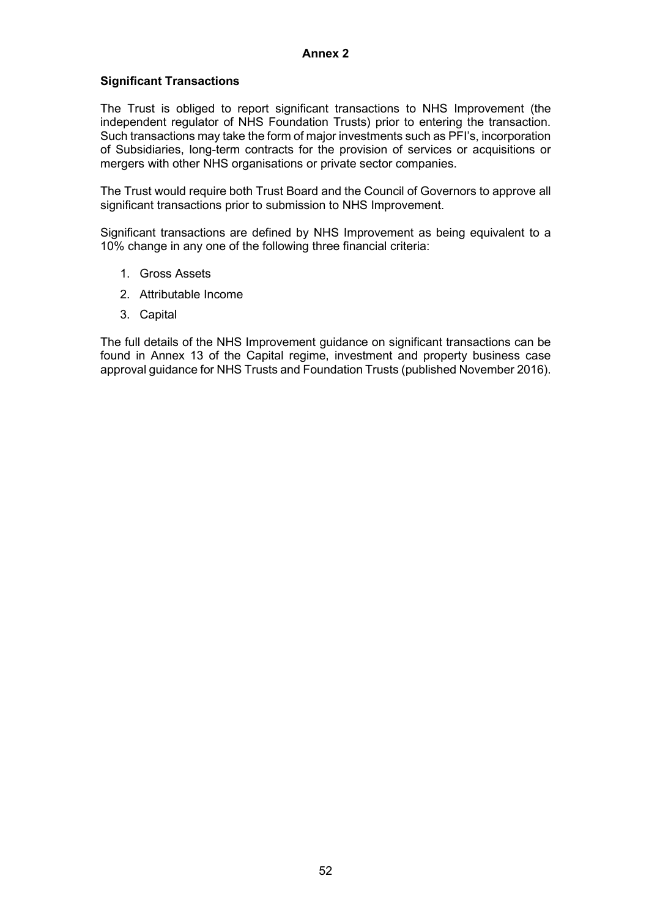#### **Annex 2**

#### **Significant Transactions**

The Trust is obliged to report significant transactions to NHS Improvement (the independent regulator of NHS Foundation Trusts) prior to entering the transaction. Such transactions may take the form of major investments such as PFI's, incorporation of Subsidiaries, long-term contracts for the provision of services or acquisitions or mergers with other NHS organisations or private sector companies.

The Trust would require both Trust Board and the Council of Governors to approve all significant transactions prior to submission to NHS Improvement.

Significant transactions are defined by NHS Improvement as being equivalent to a 10% change in any one of the following three financial criteria:

- 1. Gross Assets
- 2. Attributable Income
- 3. Capital

The full details of the NHS Improvement guidance on significant transactions can be found in Annex 13 of the Capital regime, investment and property business case approval guidance for NHS Trusts and Foundation Trusts (published November 2016).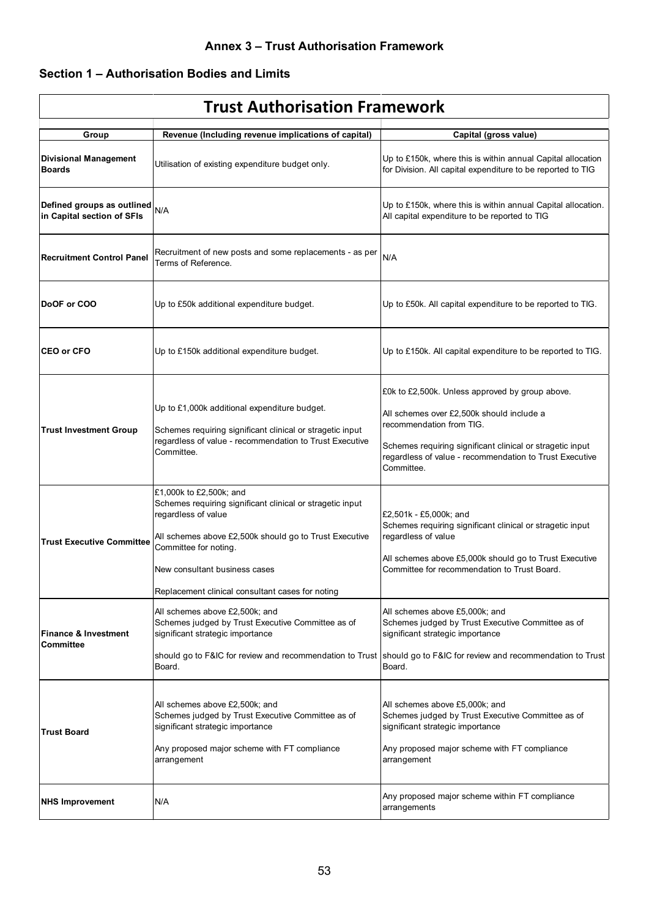# **Section 1 – Authorisation Bodies and Limits**

| <b>Trust Authorisation Framework</b>                                                                                                                                              |                                                                                                                                                                                                                                                                                     |                                                                                                                                                                                                                                                                |  |  |  |
|-----------------------------------------------------------------------------------------------------------------------------------------------------------------------------------|-------------------------------------------------------------------------------------------------------------------------------------------------------------------------------------------------------------------------------------------------------------------------------------|----------------------------------------------------------------------------------------------------------------------------------------------------------------------------------------------------------------------------------------------------------------|--|--|--|
|                                                                                                                                                                                   |                                                                                                                                                                                                                                                                                     |                                                                                                                                                                                                                                                                |  |  |  |
| Group<br><b>Divisional Management</b><br><b>Boards</b>                                                                                                                            | Revenue (Including revenue implications of capital)<br>Utilisation of existing expenditure budget only.                                                                                                                                                                             | Capital (gross value)<br>Up to £150k, where this is within annual Capital allocation<br>for Division. All capital expenditure to be reported to TIG                                                                                                            |  |  |  |
| Defined groups as outlined<br>in Capital section of SFIs                                                                                                                          | N/A                                                                                                                                                                                                                                                                                 | Up to £150k, where this is within annual Capital allocation.<br>All capital expenditure to be reported to TIG                                                                                                                                                  |  |  |  |
| <b>Recruitment Control Panel</b>                                                                                                                                                  | Recruitment of new posts and some replacements - as per<br>Terms of Reference.                                                                                                                                                                                                      | N/A                                                                                                                                                                                                                                                            |  |  |  |
| DoOF or COO                                                                                                                                                                       | Up to £50k additional expenditure budget.                                                                                                                                                                                                                                           | Up to £50k. All capital expenditure to be reported to TIG.                                                                                                                                                                                                     |  |  |  |
| <b>CEO or CFO</b>                                                                                                                                                                 | Up to £150k additional expenditure budget.                                                                                                                                                                                                                                          | Up to £150k. All capital expenditure to be reported to TIG.                                                                                                                                                                                                    |  |  |  |
| <b>Trust Investment Group</b>                                                                                                                                                     | Up to £1,000k additional expenditure budget.<br>Schemes requiring significant clinical or stragetic input<br>regardless of value - recommendation to Trust Executive<br>Committee.                                                                                                  | £0k to £2,500k. Unless approved by group above.<br>All schemes over £2,500k should include a<br>recommendation from TIG.<br>Schemes requiring significant clinical or stragetic input<br>regardless of value - recommendation to Trust Executive<br>Committee. |  |  |  |
| <b>Trust Executive Committee</b>                                                                                                                                                  | £1,000k to £2,500k; and<br>Schemes requiring significant clinical or stragetic input<br>regardless of value<br>All schemes above £2,500k should go to Trust Executive<br>Committee for noting.<br>New consultant business cases<br>Replacement clinical consultant cases for noting | £2,501k - £5,000k; and<br>Schemes requiring significant clinical or stragetic input<br>regardless of value<br>All schemes above £5,000k should go to Trust Executive<br>Committee for recommendation to Trust Board.                                           |  |  |  |
| All schemes above £2,500k; and<br>Schemes judged by Trust Executive Committee as of<br><b>Finance &amp; Investment</b><br>significant strategic importance<br>Committee<br>Board. |                                                                                                                                                                                                                                                                                     | All schemes above £5,000k; and<br>Schemes judged by Trust Executive Committee as of<br>significant strategic importance<br>should go to F&IC for review and recommendation to Trust   should go to F&IC for review and recommendation to Trust<br>Board.       |  |  |  |
| <b>Trust Board</b>                                                                                                                                                                | All schemes above £2,500k; and<br>Schemes judged by Trust Executive Committee as of<br>significant strategic importance<br>Any proposed major scheme with FT compliance<br>arrangement                                                                                              | All schemes above £5,000k; and<br>Schemes judged by Trust Executive Committee as of<br>significant strategic importance<br>Any proposed major scheme with FT compliance<br>arrangement                                                                         |  |  |  |
| <b>NHS Improvement</b>                                                                                                                                                            | N/A                                                                                                                                                                                                                                                                                 | Any proposed major scheme within FT compliance<br>arrangements                                                                                                                                                                                                 |  |  |  |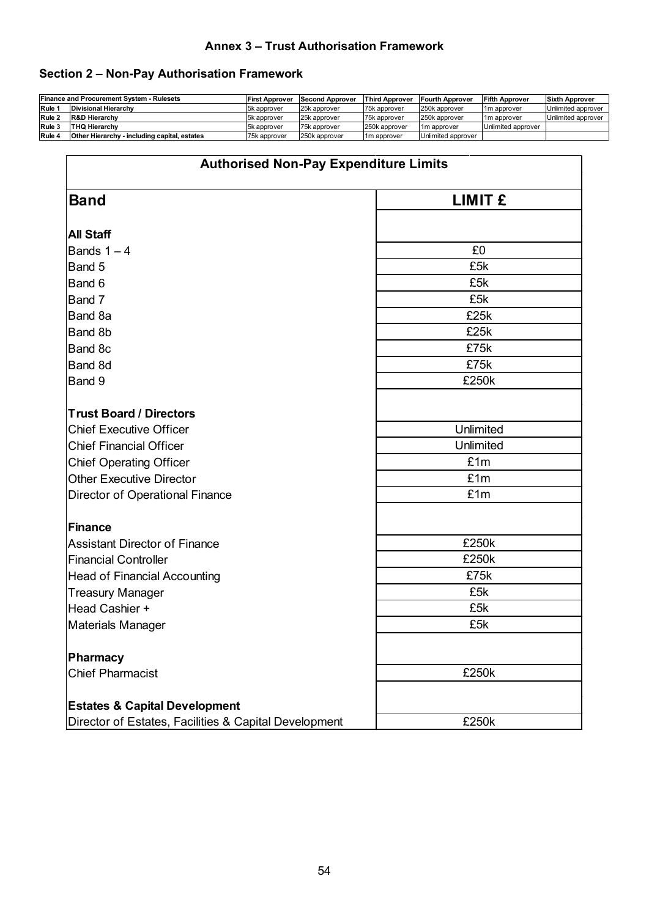# **Annex 3 – Trust Authorisation Framework**

# **Section 2 – Non-Pay Authorisation Framework**

|        | <b>Finance and Procurement System - Rulesets</b> | <b>First Approver</b> | <b>Second Approver</b> | <b>Third Approver</b>   | <b>Fourth Approver</b>    | <b>Fifth Approver</b>   | <b>Sixth Approver</b> |
|--------|--------------------------------------------------|-----------------------|------------------------|-------------------------|---------------------------|-------------------------|-----------------------|
| Rule 1 | Divisional Hierarchy                             | 5k approver           | 25k approver           | 75k approver            | 250k approver             | 1 <sub>m</sub> approver | Unlimited approver    |
| Rule 2 | <b>R&amp;D Hierarchy</b>                         | 5k approver           | 25k approver           | 75k approver            | 250k approver             | 1 <sub>m</sub> approver | Unlimited approver    |
| Rule 3 | ITHQ Hierarchv                                   | 5k approver           | 75k approver           | 250k approver           | 1 <sub>1</sub> m approver | Unlimited approver      |                       |
| Rule 4 | Other Hierarchy - including capital, estates     | 75k approver          | 250k approver          | 1 <sub>m</sub> approver | Unlimited approver        |                         |                       |

| <b>Authorised Non-Pay Expenditure Limits</b>                                                      |                |  |
|---------------------------------------------------------------------------------------------------|----------------|--|
| <b>Band</b>                                                                                       | <b>LIMIT £</b> |  |
| <b>All Staff</b>                                                                                  |                |  |
| Bands $1 - 4$                                                                                     | £0             |  |
| Band 5                                                                                            | £5k            |  |
| Band 6                                                                                            | £5k            |  |
| Band 7                                                                                            | £5k            |  |
| Band 8a                                                                                           | £25k           |  |
| Band 8b                                                                                           | £25k           |  |
| Band 8c                                                                                           | £75k           |  |
| Band 8d                                                                                           | £75k           |  |
| Band 9                                                                                            | £250k          |  |
| <b>Trust Board / Directors</b>                                                                    |                |  |
| <b>Chief Executive Officer</b>                                                                    | Unlimited      |  |
|                                                                                                   | Unlimited      |  |
| <b>Chief Financial Officer</b>                                                                    | £1m            |  |
| <b>Chief Operating Officer</b><br><b>Other Executive Director</b>                                 |                |  |
|                                                                                                   | £1m<br>£1m     |  |
| <b>Director of Operational Finance</b>                                                            |                |  |
| <b>Finance</b>                                                                                    |                |  |
| <b>Assistant Director of Finance</b>                                                              | £250k          |  |
| <b>Financial Controller</b>                                                                       | £250k          |  |
| <b>Head of Financial Accounting</b>                                                               | £75k           |  |
| <b>Treasury Manager</b>                                                                           | £5k            |  |
| Head Cashier +                                                                                    | £5k            |  |
| <b>Materials Manager</b>                                                                          | £5k            |  |
| <b>Pharmacy</b>                                                                                   |                |  |
| <b>Chief Pharmacist</b>                                                                           | £250k          |  |
|                                                                                                   |                |  |
| <b>Estates &amp; Capital Development</b><br>Director of Estates, Facilities & Capital Development | £250k          |  |
|                                                                                                   |                |  |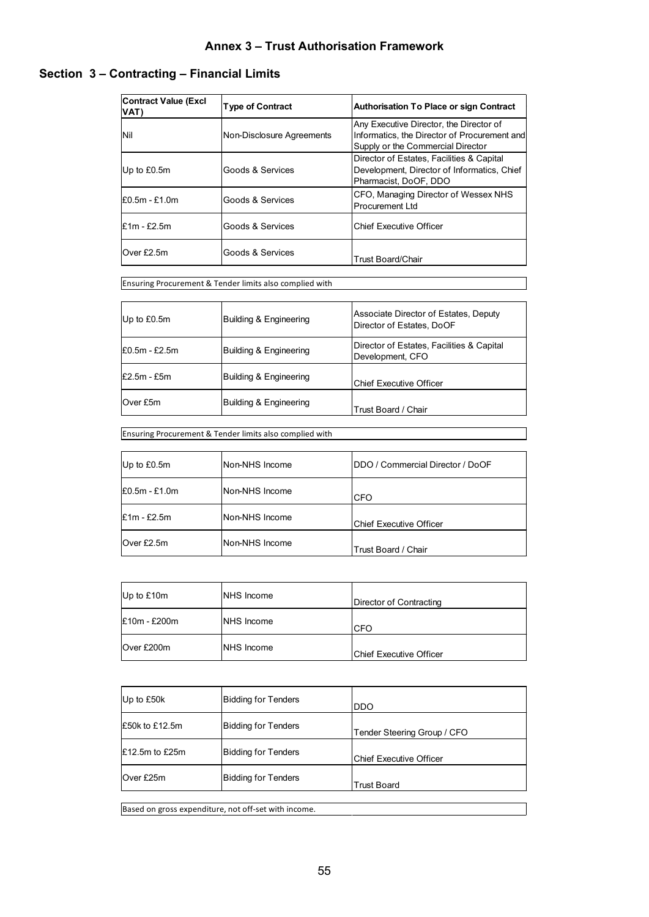# **Section 3 – Contracting – Financial Limits**

| <b>Contract Value (Excl</b><br>VAT) | <b>Type of Contract</b>   | <b>Authorisation To Place or sign Contract</b>                                                                               |
|-------------------------------------|---------------------------|------------------------------------------------------------------------------------------------------------------------------|
| Nil                                 | Non-Disclosure Agreements | Any Executive Director, the Director of<br>Informatics, the Director of Procurement and<br>Supply or the Commercial Director |
| Up to £0.5m                         | Goods & Services          | Director of Estates, Facilities & Capital<br>Development, Director of Informatics, Chief<br>Pharmacist, DoOF, DDO            |
| £0.5m - £1.0m                       | Goods & Services          | CFO, Managing Director of Wessex NHS<br><b>Procurement Ltd</b>                                                               |
| $£1m - £2.5m$                       | Goods & Services          | <b>Chief Executive Officer</b>                                                                                               |
| Over £2.5m                          | Goods & Services          | <b>Trust Board/Chair</b>                                                                                                     |

Ensuring Procurement & Tender limits also complied with

| Up to £0.5m     | Building & Engineering | Associate Director of Estates, Deputy<br>Director of Estates. DoOF |
|-----------------|------------------------|--------------------------------------------------------------------|
| $E0.5m - E2.5m$ | Building & Engineering | Director of Estates, Facilities & Capital<br>Development, CFO      |
| $E2.5m - E5m$   | Building & Engineering | Chief Executive Officer                                            |
| Over £5m        | Building & Engineering | Trust Board / Chair                                                |

Ensuring Procurement & Tender limits also complied with

| Up to £0.5m     | Non-NHS Income | IDDO / Commercial Director / DoOF |
|-----------------|----------------|-----------------------------------|
| $E0.5m - E1.0m$ | Non-NHS Income | <b>CFO</b>                        |
| $E1m - E2.5m$   | Non-NHS Income | <b>Chief Executive Officer</b>    |
| Over £2.5m      | Non-NHS Income | Trust Board / Chair               |

| Up to $£10m$ | <b>NHS</b> Income | Director of Contracting         |
|--------------|-------------------|---------------------------------|
| E10m - £200m | <b>NHS</b> Income | <b>ICFO</b>                     |
| Over £200m   | <b>NHS</b> Income | <b>IChief Executive Officer</b> |

| Up to £50k       | <b>Bidding for Tenders</b> | <b>DDO</b>                      |
|------------------|----------------------------|---------------------------------|
| E50k to £12.5m   | <b>Bidding for Tenders</b> | Tender Steering Group / CFO     |
| $E12.5m$ to £25m | <b>Bidding for Tenders</b> | <b>IChief Executive Officer</b> |
| Over £25m        | <b>Bidding for Tenders</b> | <b>Trust Board</b>              |
|                  |                            |                                 |

Based on gross expenditure, not off-set with income.